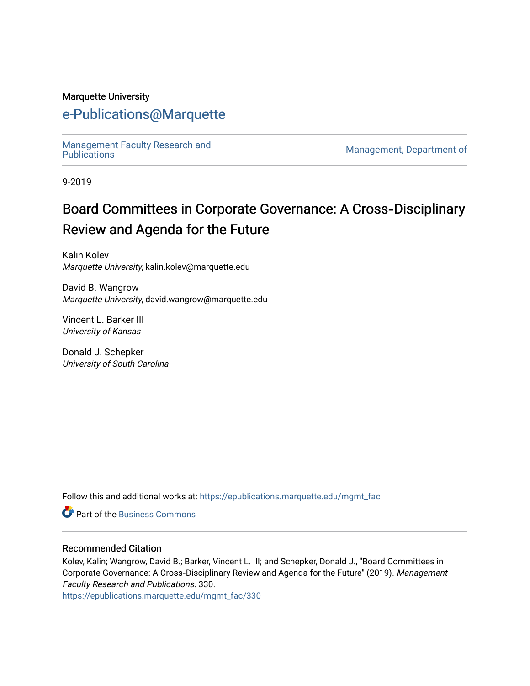#### Marquette University

## [e-Publications@Marquette](https://epublications.marquette.edu/)

Management Faculty Research and<br>Publications

Management, Department of

9-2019

# Board Committees in Corporate Governance: A Cross-Disciplinary Review and Agenda for the Future

Kalin Kolev Marquette University, kalin.kolev@marquette.edu

David B. Wangrow Marquette University, david.wangrow@marquette.edu

Vincent L. Barker III University of Kansas

Donald J. Schepker University of South Carolina

Follow this and additional works at: [https://epublications.marquette.edu/mgmt\\_fac](https://epublications.marquette.edu/mgmt_fac?utm_source=epublications.marquette.edu%2Fmgmt_fac%2F330&utm_medium=PDF&utm_campaign=PDFCoverPages) 

**C** Part of the [Business Commons](http://network.bepress.com/hgg/discipline/622?utm_source=epublications.marquette.edu%2Fmgmt_fac%2F330&utm_medium=PDF&utm_campaign=PDFCoverPages)

#### Recommended Citation

Kolev, Kalin; Wangrow, David B.; Barker, Vincent L. III; and Schepker, Donald J., "Board Committees in Corporate Governance: A Cross‐Disciplinary Review and Agenda for the Future" (2019). Management Faculty Research and Publications. 330.

[https://epublications.marquette.edu/mgmt\\_fac/330](https://epublications.marquette.edu/mgmt_fac/330?utm_source=epublications.marquette.edu%2Fmgmt_fac%2F330&utm_medium=PDF&utm_campaign=PDFCoverPages)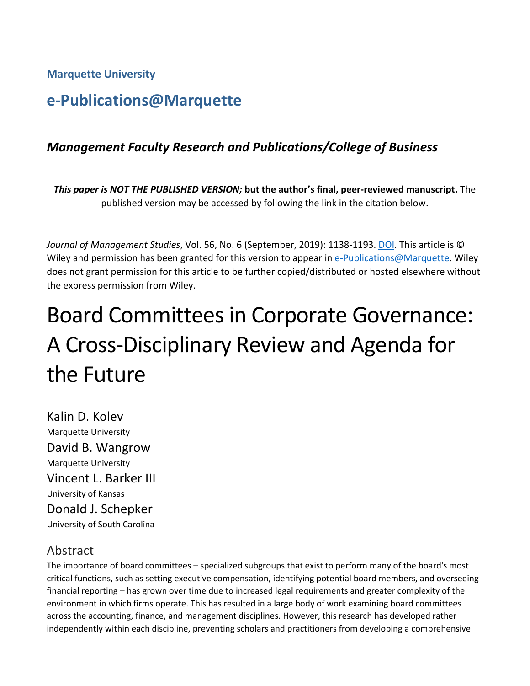**Marquette University**

# **e-Publications@Marquette**

## *Management Faculty Research and Publications/College of Business*

*This paper is NOT THE PUBLISHED VERSION;* **but the author's final, peer-reviewed manuscript.** The published version may be accessed by following the link in the citation below.

*Journal of Management Studies*, Vol. 56, No. 6 (September, 2019): 1138-1193. DOI. This article is © Wiley and permission has been granted for this version to appear in [e-Publications@Marquette.](http://epublications.marquette.edu/) Wiley does not grant permission for this article to be further copied/distributed or hosted elsewhere without the express permission from Wiley.

# Board Committees in Corporate Governance: A Cross-Disciplinary Review and Agenda for the Future

Kalin D. Kolev Marquette University David B. Wangrow Marquette University Vincent L. Barker III University of Kansas Donald J. Schepker University of South Carolina

## Abstract

The importance of board committees – specialized subgroups that exist to perform many of the board's most critical functions, such as setting executive compensation, identifying potential board members, and overseeing financial reporting – has grown over time due to increased legal requirements and greater complexity of the environment in which firms operate. This has resulted in a large body of work examining board committees across the accounting, finance, and management disciplines. However, this research has developed rather independently within each discipline, preventing scholars and practitioners from developing a comprehensive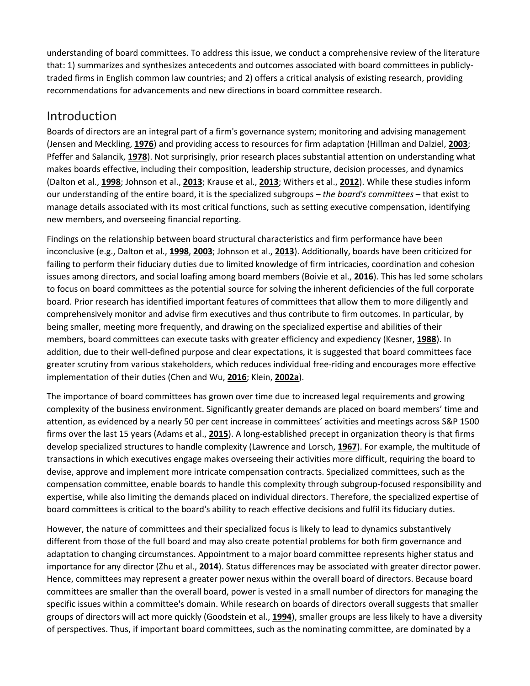understanding of board committees. To address this issue, we conduct a comprehensive review of the literature that: 1) summarizes and synthesizes antecedents and outcomes associated with board committees in publiclytraded firms in English common law countries; and 2) offers a critical analysis of existing research, providing recommendations for advancements and new directions in board committee research.

## Introduction

Boards of directors are an integral part of a firm's governance system; monitoring and advising management (Jensen and Meckling, **[1976](https://onlinelibrary.wiley.com/doi/full/10.1111/joms.12444#joms12444-bib-0125)**) and providing access to resources for firm adaptation (Hillman and Dalziel, **[2003](https://onlinelibrary.wiley.com/doi/full/10.1111/joms.12444#joms12444-bib-0114)**; Pfeffer and Salancik, **[1978](https://onlinelibrary.wiley.com/doi/full/10.1111/joms.12444#joms12444-bib-0169)**). Not surprisingly, prior research places substantial attention on understanding what makes boards effective, including their composition, leadership structure, decision processes, and dynamics (Dalton et al., **[1998](https://onlinelibrary.wiley.com/doi/full/10.1111/joms.12444#joms12444-bib-0061)**; Johnson et al., **[2013](https://onlinelibrary.wiley.com/doi/full/10.1111/joms.12444#joms12444-bib-0127)**; Krause et al., **[2013](https://onlinelibrary.wiley.com/doi/full/10.1111/joms.12444#joms12444-bib-0139)**; Withers et al., **[2012](https://onlinelibrary.wiley.com/doi/full/10.1111/joms.12444#joms12444-bib-0194)**). While these studies inform our understanding of the entire board, it is the specialized subgroups – *the board's committees* – that exist to manage details associated with its most critical functions, such as setting executive compensation, identifying new members, and overseeing financial reporting.

Findings on the relationship between board structural characteristics and firm performance have been inconclusive (e.g., Dalton et al., **[1998](https://onlinelibrary.wiley.com/doi/full/10.1111/joms.12444#joms12444-bib-0061)**, **[2003](https://onlinelibrary.wiley.com/doi/full/10.1111/joms.12444#joms12444-bib-0062)**; Johnson et al., **[2013](https://onlinelibrary.wiley.com/doi/full/10.1111/joms.12444#joms12444-bib-0127)**). Additionally, boards have been criticized for failing to perform their fiduciary duties due to limited knowledge of firm intricacies, coordination and cohesion issues among directors, and social loafing among board members (Boivie et al., **[2016](https://onlinelibrary.wiley.com/doi/full/10.1111/joms.12444#joms12444-bib-0027)**). This has led some scholars to focus on board committees as the potential source for solving the inherent deficiencies of the full corporate board. Prior research has identified important features of committees that allow them to more diligently and comprehensively monitor and advise firm executives and thus contribute to firm outcomes. In particular, by being smaller, meeting more frequently, and drawing on the specialized expertise and abilities of their members, board committees can execute tasks with greater efficiency and expediency (Kesner, **[1988](https://onlinelibrary.wiley.com/doi/full/10.1111/joms.12444#joms12444-bib-0133)**). In addition, due to their well-defined purpose and clear expectations, it is suggested that board committees face greater scrutiny from various stakeholders, which reduces individual free-riding and encourages more effective implementation of their duties (Chen and Wu, **[2016](https://onlinelibrary.wiley.com/doi/full/10.1111/joms.12444#joms12444-bib-0046)**; Klein, **[2002a](https://onlinelibrary.wiley.com/doi/full/10.1111/joms.12444#joms12444-bib-0136)**).

The importance of board committees has grown over time due to increased legal requirements and growing complexity of the business environment. Significantly greater demands are placed on board members' time and attention, as evidenced by a nearly 50 per cent increase in committees' activities and meetings across S&P 1500 firms over the last 15 years (Adams et al., **[2015](https://onlinelibrary.wiley.com/doi/full/10.1111/joms.12444#joms12444-bib-0004)**). A long-established precept in organization theory is that firms develop specialized structures to handle complexity (Lawrence and Lorsch, **[1967](https://onlinelibrary.wiley.com/doi/full/10.1111/joms.12444#joms12444-bib-0146)**). For example, the multitude of transactions in which executives engage makes overseeing their activities more difficult, requiring the board to devise, approve and implement more intricate compensation contracts. Specialized committees, such as the compensation committee, enable boards to handle this complexity through subgroup-focused responsibility and expertise, while also limiting the demands placed on individual directors. Therefore, the specialized expertise of board committees is critical to the board's ability to reach effective decisions and fulfil its fiduciary duties.

However, the nature of committees and their specialized focus is likely to lead to dynamics substantively different from those of the full board and may also create potential problems for both firm governance and adaptation to changing circumstances. Appointment to a major board committee represents higher status and importance for any director (Zhu et al., **[2014](https://onlinelibrary.wiley.com/doi/full/10.1111/joms.12444#joms12444-bib-0198)**). Status differences may be associated with greater director power. Hence, committees may represent a greater power nexus within the overall board of directors. Because board committees are smaller than the overall board, power is vested in a small number of directors for managing the specific issues within a committee's domain. While research on boards of directors overall suggests that smaller groups of directors will act more quickly (Goodstein et al., **[1994](https://onlinelibrary.wiley.com/doi/full/10.1111/joms.12444#joms12444-bib-0099)**), smaller groups are less likely to have a diversity of perspectives. Thus, if important board committees, such as the nominating committee, are dominated by a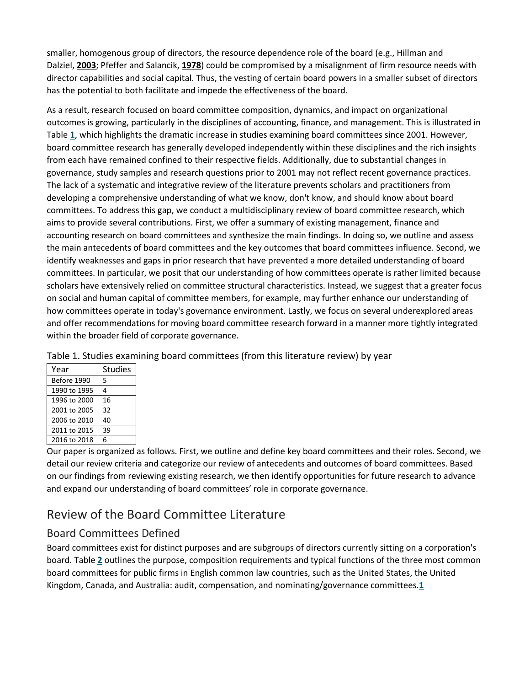smaller, homogenous group of directors, the resource dependence role of the board (e.g., Hillman and Dalziel, **[2003](https://onlinelibrary.wiley.com/doi/full/10.1111/joms.12444#joms12444-bib-0114)**; Pfeffer and Salancik, **[1978](https://onlinelibrary.wiley.com/doi/full/10.1111/joms.12444#joms12444-bib-0169)**) could be compromised by a misalignment of firm resource needs with director capabilities and social capital. Thus, the vesting of certain board powers in a smaller subset of directors has the potential to both facilitate and impede the effectiveness of the board.

As a result, research focused on board committee composition, dynamics, and impact on organizational outcomes is growing, particularly in the disciplines of accounting, finance, and management. This is illustrated in Table **[1](https://onlinelibrary.wiley.com/doi/full/10.1111/joms.12444#joms12444-tbl-0001)**, which highlights the dramatic increase in studies examining board committees since 2001. However, board committee research has generally developed independently within these disciplines and the rich insights from each have remained confined to their respective fields. Additionally, due to substantial changes in governance, study samples and research questions prior to 2001 may not reflect recent governance practices. The lack of a systematic and integrative review of the literature prevents scholars and practitioners from developing a comprehensive understanding of what we know, don't know, and should know about board committees. To address this gap, we conduct a multidisciplinary review of board committee research, which aims to provide several contributions. First, we offer a summary of existing management, finance and accounting research on board committees and synthesize the main findings. In doing so, we outline and assess the main antecedents of board committees and the key outcomes that board committees influence. Second, we identify weaknesses and gaps in prior research that have prevented a more detailed understanding of board committees. In particular, we posit that our understanding of how committees operate is rather limited because scholars have extensively relied on committee structural characteristics. Instead, we suggest that a greater focus on social and human capital of committee members, for example, may further enhance our understanding of how committees operate in today's governance environment. Lastly, we focus on several underexplored areas and offer recommendations for moving board committee research forward in a manner more tightly integrated within the broader field of corporate governance.

| Year         | <b>Studies</b> |
|--------------|----------------|
| Before 1990  | 5              |
| 1990 to 1995 | 4              |
| 1996 to 2000 | 16             |
| 2001 to 2005 | 32             |
| 2006 to 2010 | 40             |
| 2011 to 2015 | 39             |
| 2016 to 2018 | 6              |

Table 1. Studies examining board committees (from this literature review) by year

Our paper is organized as follows. First, we outline and define key board committees and their roles. Second, we detail our review criteria and categorize our review of antecedents and outcomes of board committees. Based on our findings from reviewing existing research, we then identify opportunities for future research to advance and expand our understanding of board committees' role in corporate governance.

## Review of the Board Committee Literature

## Board Committees Defined

Board committees exist for distinct purposes and are subgroups of directors currently sitting on a corporation's board. Table **[2](https://onlinelibrary.wiley.com/doi/full/10.1111/joms.12444#joms12444-tbl-0002)** outlines the purpose, composition requirements and typical functions of the three most common board committees for public firms in English common law countries, such as the United States, the United Kingdom, Canada, and Australia: audit, compensation, and nominating/governance committees.**[1](https://onlinelibrary.wiley.com/doi/full/10.1111/joms.12444#joms12444-note-1001_24)**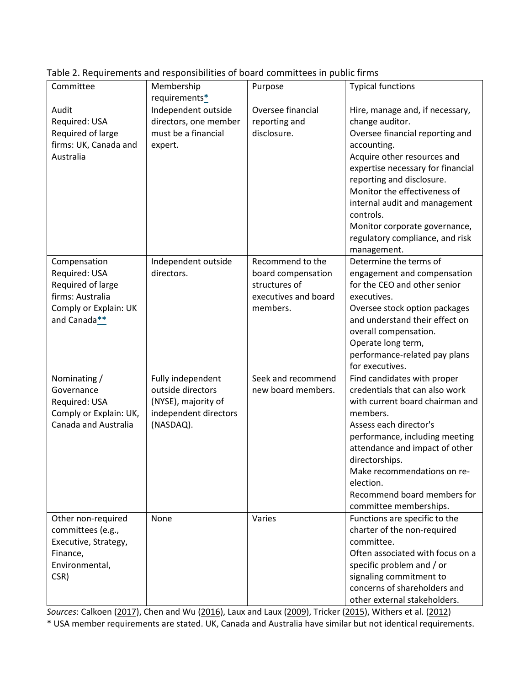| Committee                             | Membership<br>requirements* | Purpose                               | <b>Typical functions</b>                     |
|---------------------------------------|-----------------------------|---------------------------------------|----------------------------------------------|
| Audit                                 | Independent outside         | Oversee financial                     | Hire, manage and, if necessary,              |
| Required: USA                         | directors, one member       | reporting and                         | change auditor.                              |
| Required of large                     | must be a financial         | disclosure.                           | Oversee financial reporting and              |
| firms: UK, Canada and                 | expert.                     |                                       | accounting.                                  |
| Australia                             |                             |                                       | Acquire other resources and                  |
|                                       |                             |                                       | expertise necessary for financial            |
|                                       |                             |                                       | reporting and disclosure.                    |
|                                       |                             |                                       | Monitor the effectiveness of                 |
|                                       |                             |                                       | internal audit and management                |
|                                       |                             |                                       | controls.                                    |
|                                       |                             |                                       | Monitor corporate governance,                |
|                                       |                             |                                       | regulatory compliance, and risk              |
|                                       |                             |                                       | management.                                  |
| Compensation                          | Independent outside         | Recommend to the                      | Determine the terms of                       |
| Required: USA                         | directors.                  | board compensation                    | engagement and compensation                  |
| Required of large<br>firms: Australia |                             | structures of<br>executives and board | for the CEO and other senior                 |
| Comply or Explain: UK                 |                             | members.                              | executives.<br>Oversee stock option packages |
| and Canada**                          |                             |                                       | and understand their effect on               |
|                                       |                             |                                       | overall compensation.                        |
|                                       |                             |                                       | Operate long term,                           |
|                                       |                             |                                       | performance-related pay plans                |
|                                       |                             |                                       | for executives.                              |
| Nominating /                          | Fully independent           | Seek and recommend                    | Find candidates with proper                  |
| Governance                            | outside directors           | new board members.                    | credentials that can also work               |
| Required: USA                         | (NYSE), majority of         |                                       | with current board chairman and              |
| Comply or Explain: UK,                | independent directors       |                                       | members.                                     |
| Canada and Australia                  | (NASDAQ).                   |                                       | Assess each director's                       |
|                                       |                             |                                       | performance, including meeting               |
|                                       |                             |                                       | attendance and impact of other               |
|                                       |                             |                                       | directorships.                               |
|                                       |                             |                                       | Make recommendations on re-                  |
|                                       |                             |                                       | election.<br>Recommend board members for     |
|                                       |                             |                                       | committee memberships.                       |
| Other non-required                    | None                        | Varies                                | Functions are specific to the                |
| committees (e.g.,                     |                             |                                       | charter of the non-required                  |
| Executive, Strategy,                  |                             |                                       | committee.                                   |
| Finance,                              |                             |                                       | Often associated with focus on a             |
| Environmental,                        |                             |                                       | specific problem and / or                    |
| CSR)                                  |                             |                                       | signaling commitment to                      |
|                                       |                             |                                       | concerns of shareholders and                 |
|                                       |                             |                                       | other external stakeholders.                 |

Table 2. Requirements and responsibilities of board committees in public firms

*Sources*: Calkoen [\(2017\)](https://onlinelibrary.wiley.com/doi/full/10.1111/joms.12444#joms12444-bib-0033), Chen and Wu [\(2016\)](https://onlinelibrary.wiley.com/doi/full/10.1111/joms.12444#joms12444-bib-0046), Laux and Laux [\(2009\)](https://onlinelibrary.wiley.com/doi/full/10.1111/joms.12444#joms12444-bib-0145), Tricker [\(2015\)](https://onlinelibrary.wiley.com/doi/full/10.1111/joms.12444#joms12444-bib-0184), Withers et al. [\(2012\)](https://onlinelibrary.wiley.com/doi/full/10.1111/joms.12444#joms12444-bib-0194) \* USA member requirements are stated. UK, Canada and Australia have similar but not identical requirements.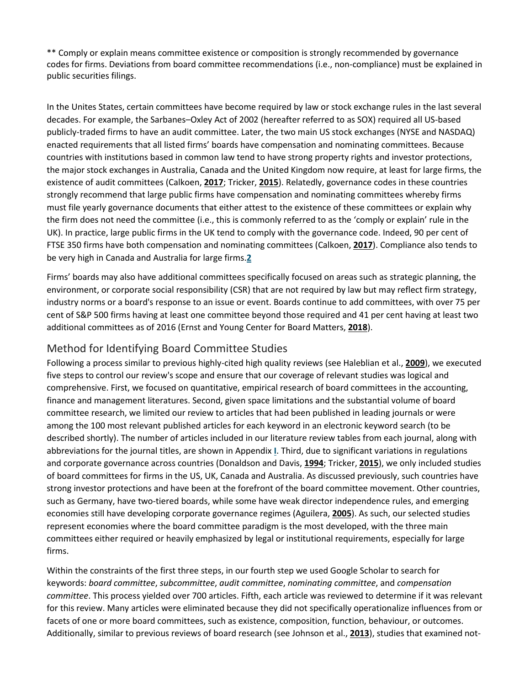\*\* Comply or explain means committee existence or composition is strongly recommended by governance codes for firms. Deviations from board committee recommendations (i.e., non-compliance) must be explained in public securities filings.

In the Unites States, certain committees have become required by law or stock exchange rules in the last several decades. For example, the Sarbanes–Oxley Act of 2002 (hereafter referred to as SOX) required all US-based publicly-traded firms to have an audit committee. Later, the two main US stock exchanges (NYSE and NASDAQ) enacted requirements that all listed firms' boards have compensation and nominating committees. Because countries with institutions based in common law tend to have strong property rights and investor protections, the major stock exchanges in Australia, Canada and the United Kingdom now require, at least for large firms, the existence of audit committees (Calkoen, **[2017](https://onlinelibrary.wiley.com/doi/full/10.1111/joms.12444#joms12444-bib-0033)**; Tricker, **[2015](https://onlinelibrary.wiley.com/doi/full/10.1111/joms.12444#joms12444-bib-0184)**). Relatedly, governance codes in these countries strongly recommend that large public firms have compensation and nominating committees whereby firms must file yearly governance documents that either attest to the existence of these committees or explain why the firm does not need the committee (i.e., this is commonly referred to as the 'comply or explain' rule in the UK). In practice, large public firms in the UK tend to comply with the governance code. Indeed, 90 per cent of FTSE 350 firms have both compensation and nominating committees (Calkoen, **[2017](https://onlinelibrary.wiley.com/doi/full/10.1111/joms.12444#joms12444-bib-0033)**). Compliance also tends to be very high in Canada and Australia for large firms.**[2](https://onlinelibrary.wiley.com/doi/full/10.1111/joms.12444#joms12444-note-1002_35)**

Firms' boards may also have additional committees specifically focused on areas such as strategic planning, the environment, or corporate social responsibility (CSR) that are not required by law but may reflect firm strategy, industry norms or a board's response to an issue or event. Boards continue to add committees, with over 75 per cent of S&P 500 firms having at least one committee beyond those required and 41 per cent having at least two additional committees as of 2016 (Ernst and Young Center for Board Matters, **[2018](https://onlinelibrary.wiley.com/doi/full/10.1111/joms.12444#joms12444-bib-0077)**).

## Method for Identifying Board Committee Studies

Following a process similar to previous highly-cited high quality reviews (see Haleblian et al., **[2009](https://onlinelibrary.wiley.com/doi/full/10.1111/joms.12444#joms12444-bib-0107)**), we executed five steps to control our review's scope and ensure that our coverage of relevant studies was logical and comprehensive. First, we focused on quantitative, empirical research of board committees in the accounting, finance and management literatures. Second, given space limitations and the substantial volume of board committee research, we limited our review to articles that had been published in leading journals or were among the 100 most relevant published articles for each keyword in an electronic keyword search (to be described shortly). The number of articles included in our literature review tables from each journal, along with abbreviations for the journal titles, are shown in Appendix **[I](https://onlinelibrary.wiley.com/doi/full/10.1111/joms.12444#joms12444-app-0001)**. Third, due to significant variations in regulations and corporate governance across countries (Donaldson and Davis, **[1994](https://onlinelibrary.wiley.com/doi/full/10.1111/joms.12444#joms12444-bib-0070)**; Tricker, **[2015](https://onlinelibrary.wiley.com/doi/full/10.1111/joms.12444#joms12444-bib-0184)**), we only included studies of board committees for firms in the US, UK, Canada and Australia. As discussed previously, such countries have strong investor protections and have been at the forefront of the board committee movement. Other countries, such as Germany, have two-tiered boards, while some have weak director independence rules, and emerging economies still have developing corporate governance regimes (Aguilera, **[2005](https://onlinelibrary.wiley.com/doi/full/10.1111/joms.12444#joms12444-bib-0009)**). As such, our selected studies represent economies where the board committee paradigm is the most developed, with the three main committees either required or heavily emphasized by legal or institutional requirements, especially for large firms.

Within the constraints of the first three steps, in our fourth step we used Google Scholar to search for keywords: *board committee*, *subcommittee*, *audit committee*, *nominating committee*, and *compensation committee*. This process yielded over 700 articles. Fifth, each article was reviewed to determine if it was relevant for this review. Many articles were eliminated because they did not specifically operationalize influences from or facets of one or more board committees, such as existence, composition, function, behaviour, or outcomes. Additionally, similar to previous reviews of board research (see Johnson et al., **[2013](https://onlinelibrary.wiley.com/doi/full/10.1111/joms.12444#joms12444-bib-0127)**), studies that examined not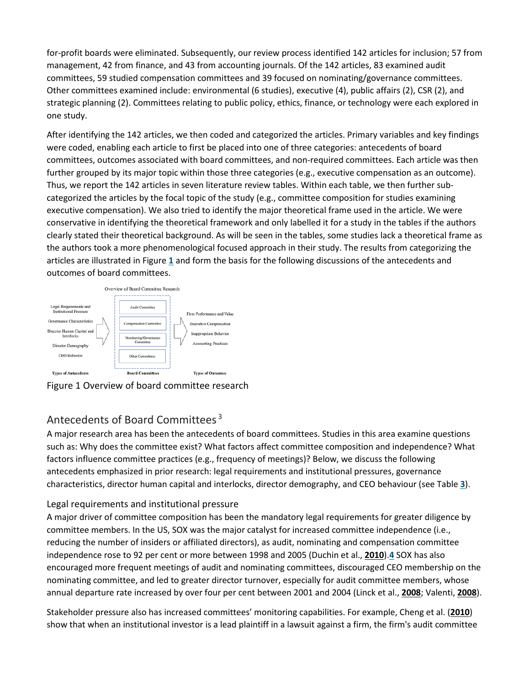for-profit boards were eliminated. Subsequently, our review process identified 142 articles for inclusion; 57 from management, 42 from finance, and 43 from accounting journals. Of the 142 articles, 83 examined audit committees, 59 studied compensation committees and 39 focused on nominating/governance committees. Other committees examined include: environmental (6 studies), executive (4), public affairs (2), CSR (2), and strategic planning (2). Committees relating to public policy, ethics, finance, or technology were each explored in one study.

After identifying the 142 articles, we then coded and categorized the articles. Primary variables and key findings were coded, enabling each article to first be placed into one of three categories: antecedents of board committees, outcomes associated with board committees, and non-required committees. Each article was then further grouped by its major topic within those three categories (e.g., executive compensation as an outcome). Thus, we report the 142 articles in seven literature review tables. Within each table, we then further subcategorized the articles by the focal topic of the study (e.g., committee composition for studies examining executive compensation). We also tried to identify the major theoretical frame used in the article. We were conservative in identifying the theoretical framework and only labelled it for a study in the tables if the authors clearly stated their theoretical background. As will be seen in the tables, some studies lack a theoretical frame as the authors took a more phenomenological focused approach in their study. The results from categorizing the articles are illustrated in Figure **[1](https://onlinelibrary.wiley.com/doi/full/10.1111/joms.12444#joms12444-fig-0001)** and form the basis for the following discussions of the antecedents and outcomes of board committees.



Figure 1 Overview of board committee research

## Antecedents of Board Committees [3](https://onlinelibrary.wiley.com/doi/full/10.1111/joms.12444#joms12444-note-1003_44)

A major research area has been the antecedents of board committees. Studies in this area examine questions such as: Why does the committee exist? What factors affect committee composition and independence? What factors influence committee practices (e.g., frequency of meetings)? Below, we discuss the following antecedents emphasized in prior research: legal requirements and institutional pressures, governance characteristics, director human capital and interlocks, director demography, and CEO behaviour (see Table **[3](https://onlinelibrary.wiley.com/doi/full/10.1111/joms.12444#joms12444-tbl-0003)**).

## Legal requirements and institutional pressure

A major driver of committee composition has been the mandatory legal requirements for greater diligence by committee members. In the US, SOX was the major catalyst for increased committee independence (i.e., reducing the number of insiders or affiliated directors), as audit, nominating and compensation committee independence rose to 92 per cent or more between 1998 and 2005 (Duchin et al., **[2010](https://onlinelibrary.wiley.com/doi/full/10.1111/joms.12444#joms12444-bib-0071)**).**[4](https://onlinelibrary.wiley.com/doi/full/10.1111/joms.12444#joms12444-note-1004_47)** SOX has also encouraged more frequent meetings of audit and nominating committees, discouraged CEO membership on the nominating committee, and led to greater director turnover, especially for audit committee members, whose annual departure rate increased by over four per cent between 2001 and 2004 (Linck et al., **[2008](https://onlinelibrary.wiley.com/doi/full/10.1111/joms.12444#joms12444-bib-0150)**; Valenti, **[2008](https://onlinelibrary.wiley.com/doi/full/10.1111/joms.12444#joms12444-bib-0187)**).

Stakeholder pressure also has increased committees' monitoring capabilities. For example, Cheng et al. (**[2010](https://onlinelibrary.wiley.com/doi/full/10.1111/joms.12444#joms12444-bib-0048)**) show that when an institutional investor is a lead plaintiff in a lawsuit against a firm, the firm's audit committee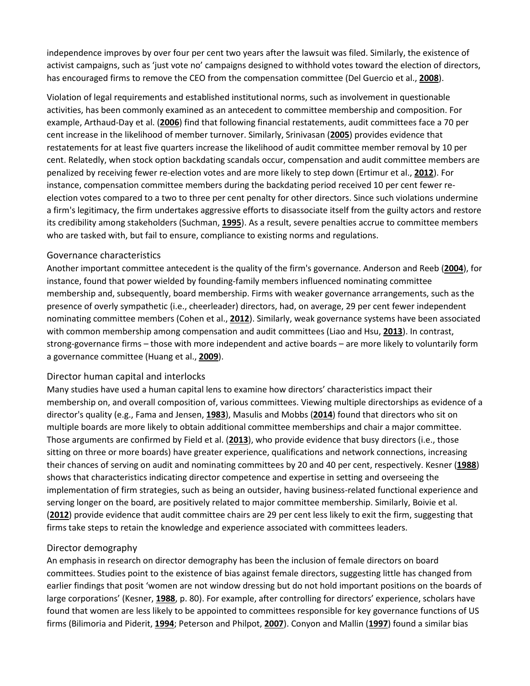independence improves by over four per cent two years after the lawsuit was filed. Similarly, the existence of activist campaigns, such as 'just vote no' campaigns designed to withhold votes toward the election of directors, has encouraged firms to remove the CEO from the compensation committee (Del Guercio et al., **[2008](https://onlinelibrary.wiley.com/doi/full/10.1111/joms.12444#joms12444-bib-0103)**).

Violation of legal requirements and established institutional norms, such as involvement in questionable activities, has been commonly examined as an antecedent to committee membership and composition. For example, Arthaud-Day et al. (**[2006](https://onlinelibrary.wiley.com/doi/full/10.1111/joms.12444#joms12444-bib-0014)**) find that following financial restatements, audit committees face a 70 per cent increase in the likelihood of member turnover. Similarly, Srinivasan (**[2005](https://onlinelibrary.wiley.com/doi/full/10.1111/joms.12444#joms12444-bib-0175)**) provides evidence that restatements for at least five quarters increase the likelihood of audit committee member removal by 10 per cent. Relatedly, when stock option backdating scandals occur, compensation and audit committee members are penalized by receiving fewer re-election votes and are more likely to step down (Ertimur et al., **[2012](https://onlinelibrary.wiley.com/doi/full/10.1111/joms.12444#joms12444-bib-0078)**). For instance, compensation committee members during the backdating period received 10 per cent fewer reelection votes compared to a two to three per cent penalty for other directors. Since such violations undermine a firm's legitimacy, the firm undertakes aggressive efforts to disassociate itself from the guilty actors and restore its credibility among stakeholders (Suchman, **[1995](https://onlinelibrary.wiley.com/doi/full/10.1111/joms.12444#joms12444-bib-0179)**). As a result, severe penalties accrue to committee members who are tasked with, but fail to ensure, compliance to existing norms and regulations.

#### Governance characteristics

Another important committee antecedent is the quality of the firm's governance. Anderson and Reeb (**[2004](https://onlinelibrary.wiley.com/doi/full/10.1111/joms.12444#joms12444-bib-0011)**), for instance, found that power wielded by founding-family members influenced nominating committee membership and, subsequently, board membership. Firms with weaker governance arrangements, such as the presence of overly sympathetic (i.e., cheerleader) directors, had, on average, 29 per cent fewer independent nominating committee members (Cohen et al., **[2012](https://onlinelibrary.wiley.com/doi/full/10.1111/joms.12444#joms12444-bib-0053)**). Similarly, weak governance systems have been associated with common membership among compensation and audit committees (Liao and Hsu, **[2013](https://onlinelibrary.wiley.com/doi/full/10.1111/joms.12444#joms12444-bib-0148)**). In contrast, strong-governance firms – those with more independent and active boards – are more likely to voluntarily form a governance committee (Huang et al., **[2009](https://onlinelibrary.wiley.com/doi/full/10.1111/joms.12444#joms12444-bib-0123)**).

#### Director human capital and interlocks

Many studies have used a human capital lens to examine how directors' characteristics impact their membership on, and overall composition of, various committees. Viewing multiple directorships as evidence of a director's quality (e.g., Fama and Jensen, **[1983](https://onlinelibrary.wiley.com/doi/full/10.1111/joms.12444#joms12444-bib-0083)**), Masulis and Mobbs (**[2014](https://onlinelibrary.wiley.com/doi/full/10.1111/joms.12444#joms12444-bib-0153)**) found that directors who sit on multiple boards are more likely to obtain additional committee memberships and chair a major committee. Those arguments are confirmed by Field et al. (**[2013](https://onlinelibrary.wiley.com/doi/full/10.1111/joms.12444#joms12444-bib-0092)**), who provide evidence that busy directors (i.e., those sitting on three or more boards) have greater experience, qualifications and network connections, increasing their chances of serving on audit and nominating committees by 20 and 40 per cent, respectively. Kesner (**[1988](https://onlinelibrary.wiley.com/doi/full/10.1111/joms.12444#joms12444-bib-0133)**) shows that characteristics indicating director competence and expertise in setting and overseeing the implementation of firm strategies, such as being an outsider, having business-related functional experience and serving longer on the board, are positively related to major committee membership. Similarly, Boivie et al. (**[2012](https://onlinelibrary.wiley.com/doi/full/10.1111/joms.12444#joms12444-bib-0028)**) provide evidence that audit committee chairs are 29 per cent less likely to exit the firm, suggesting that firms take steps to retain the knowledge and experience associated with committees leaders.

## Director demography

An emphasis in research on director demography has been the inclusion of female directors on board committees. Studies point to the existence of bias against female directors, suggesting little has changed from earlier findings that posit 'women are not window dressing but do not hold important positions on the boards of large corporations' (Kesner, **[1988](https://onlinelibrary.wiley.com/doi/full/10.1111/joms.12444#joms12444-bib-0133)**, p. 80). For example, after controlling for directors' experience, scholars have found that women are less likely to be appointed to committees responsible for key governance functions of US firms (Bilimoria and Piderit, **[1994](https://onlinelibrary.wiley.com/doi/full/10.1111/joms.12444#joms12444-bib-0025)**; Peterson and Philpot, **[2007](https://onlinelibrary.wiley.com/doi/full/10.1111/joms.12444#joms12444-bib-0168)**). Conyon and Mallin (**[1997](https://onlinelibrary.wiley.com/doi/full/10.1111/joms.12444#joms12444-bib-0056)**) found a similar bias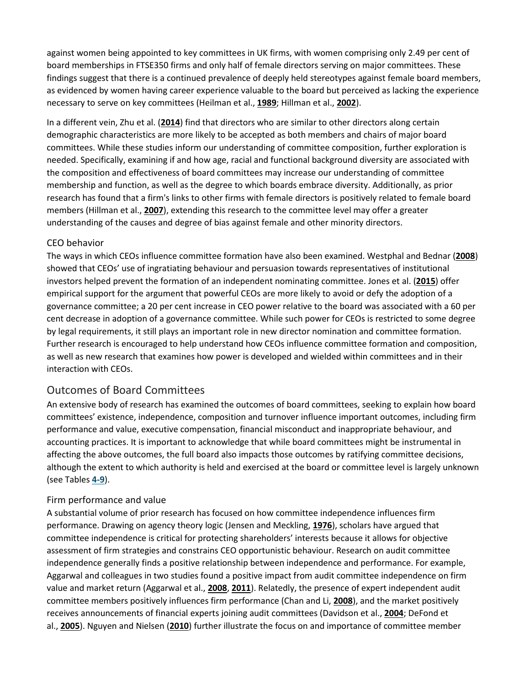against women being appointed to key committees in UK firms, with women comprising only 2.49 per cent of board memberships in FTSE350 firms and only half of female directors serving on major committees. These findings suggest that there is a continued prevalence of deeply held stereotypes against female board members, as evidenced by women having career experience valuable to the board but perceived as lacking the experience necessary to serve on key committees (Heilman et al., **[1989](https://onlinelibrary.wiley.com/doi/full/10.1111/joms.12444#joms12444-bib-0111)**; Hillman et al., **[2002](https://onlinelibrary.wiley.com/doi/full/10.1111/joms.12444#joms12444-bib-0116)**).

In a different vein, Zhu et al. (**[2014](https://onlinelibrary.wiley.com/doi/full/10.1111/joms.12444#joms12444-bib-0198)**) find that directors who are similar to other directors along certain demographic characteristics are more likely to be accepted as both members and chairs of major board committees. While these studies inform our understanding of committee composition, further exploration is needed. Specifically, examining if and how age, racial and functional background diversity are associated with the composition and effectiveness of board committees may increase our understanding of committee membership and function, as well as the degree to which boards embrace diversity. Additionally, as prior research has found that a firm's links to other firms with female directors is positively related to female board members (Hillman et al., **[2007](https://onlinelibrary.wiley.com/doi/full/10.1111/joms.12444#joms12444-bib-0117)**), extending this research to the committee level may offer a greater understanding of the causes and degree of bias against female and other minority directors.

#### CEO behavior

The ways in which CEOs influence committee formation have also been examined. Westphal and Bednar (**[2008](https://onlinelibrary.wiley.com/doi/full/10.1111/joms.12444#joms12444-bib-0191)**) showed that CEOs' use of ingratiating behaviour and persuasion towards representatives of institutional investors helped prevent the formation of an independent nominating committee. Jones et al. (**[2015](https://onlinelibrary.wiley.com/doi/full/10.1111/joms.12444#joms12444-bib-0128)**) offer empirical support for the argument that powerful CEOs are more likely to avoid or defy the adoption of a governance committee; a 20 per cent increase in CEO power relative to the board was associated with a 60 per cent decrease in adoption of a governance committee. While such power for CEOs is restricted to some degree by legal requirements, it still plays an important role in new director nomination and committee formation. Further research is encouraged to help understand how CEOs influence committee formation and composition, as well as new research that examines how power is developed and wielded within committees and in their interaction with CEOs.

## Outcomes of Board Committees

An extensive body of research has examined the outcomes of board committees, seeking to explain how board committees' existence, independence, composition and turnover influence important outcomes, including firm performance and value, executive compensation, financial misconduct and inappropriate behaviour, and accounting practices. It is important to acknowledge that while board committees might be instrumental in affecting the above outcomes, the full board also impacts those outcomes by ratifying committee decisions, although the extent to which authority is held and exercised at the board or committee level is largely unknown (see Tables **[4-9](https://onlinelibrary.wiley.com/doi/full/10.1111/joms.12444#joms12444-tbl-0004)**).

## Firm performance and value

A substantial volume of prior research has focused on how committee independence influences firm performance. Drawing on agency theory logic (Jensen and Meckling, **[1976](https://onlinelibrary.wiley.com/doi/full/10.1111/joms.12444#joms12444-bib-0125)**), scholars have argued that committee independence is critical for protecting shareholders' interests because it allows for objective assessment of firm strategies and constrains CEO opportunistic behaviour. Research on audit committee independence generally finds a positive relationship between independence and performance. For example, Aggarwal and colleagues in two studies found a positive impact from audit committee independence on firm value and market return (Aggarwal et al., **[2008](https://onlinelibrary.wiley.com/doi/full/10.1111/joms.12444#joms12444-bib-0007)**, **[2011](https://onlinelibrary.wiley.com/doi/full/10.1111/joms.12444#joms12444-bib-0006)**). Relatedly, the presence of expert independent audit committee members positively influences firm performance (Chan and Li, **[2008](https://onlinelibrary.wiley.com/doi/full/10.1111/joms.12444#joms12444-bib-0043)**), and the market positively receives announcements of financial experts joining audit committees (Davidson et al., **[2004](https://onlinelibrary.wiley.com/doi/full/10.1111/joms.12444#joms12444-bib-0064)**; DeFond et al., **[2005](https://onlinelibrary.wiley.com/doi/full/10.1111/joms.12444#joms12444-bib-0066)**). Nguyen and Nielsen (**[2010](https://onlinelibrary.wiley.com/doi/full/10.1111/joms.12444#joms12444-bib-0161)**) further illustrate the focus on and importance of committee member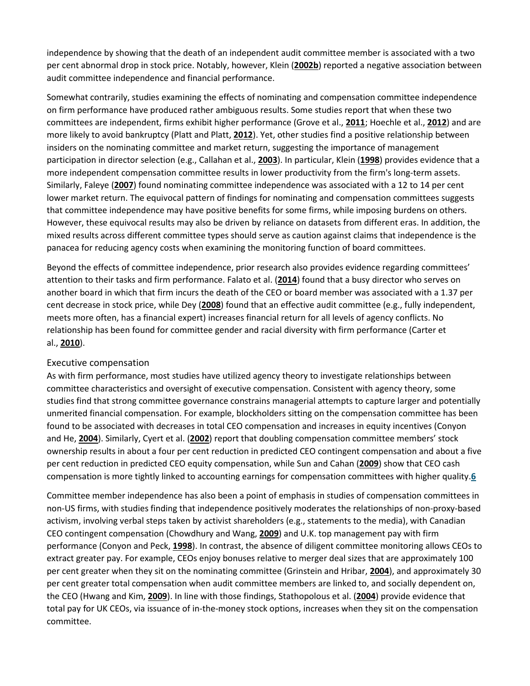independence by showing that the death of an independent audit committee member is associated with a two per cent abnormal drop in stock price. Notably, however, Klein (**[2002b](https://onlinelibrary.wiley.com/doi/full/10.1111/joms.12444#joms12444-bib-0137)**) reported a negative association between audit committee independence and financial performance.

Somewhat contrarily, studies examining the effects of nominating and compensation committee independence on firm performance have produced rather ambiguous results. Some studies report that when these two committees are independent, firms exhibit higher performance (Grove et al., **[2011](https://onlinelibrary.wiley.com/doi/full/10.1111/joms.12444#joms12444-bib-0102)**; Hoechle et al., **[2012](https://onlinelibrary.wiley.com/doi/full/10.1111/joms.12444#joms12444-bib-0119)**) and are more likely to avoid bankruptcy (Platt and Platt, **[2012](https://onlinelibrary.wiley.com/doi/full/10.1111/joms.12444#joms12444-bib-0170)**). Yet, other studies find a positive relationship between insiders on the nominating committee and market return, suggesting the importance of management participation in director selection (e.g., Callahan et al., **[2003](https://onlinelibrary.wiley.com/doi/full/10.1111/joms.12444#joms12444-bib-0035)**). In particular, Klein (**[1998](https://onlinelibrary.wiley.com/doi/full/10.1111/joms.12444#joms12444-bib-0135)**) provides evidence that a more independent compensation committee results in lower productivity from the firm's long-term assets. Similarly, Faleye (**[2007](https://onlinelibrary.wiley.com/doi/full/10.1111/joms.12444#joms12444-bib-0081)**) found nominating committee independence was associated with a 12 to 14 per cent lower market return. The equivocal pattern of findings for nominating and compensation committees suggests that committee independence may have positive benefits for some firms, while imposing burdens on others. However, these equivocal results may also be driven by reliance on datasets from different eras. In addition, the mixed results across different committee types should serve as caution against claims that independence is the panacea for reducing agency costs when examining the monitoring function of board committees.

Beyond the effects of committee independence, prior research also provides evidence regarding committees' attention to their tasks and firm performance. Falato et al. (**[2014](https://onlinelibrary.wiley.com/doi/full/10.1111/joms.12444#joms12444-bib-0080)**) found that a busy director who serves on another board in which that firm incurs the death of the CEO or board member was associated with a 1.37 per cent decrease in stock price, while Dey (**[2008](https://onlinelibrary.wiley.com/doi/full/10.1111/joms.12444#joms12444-bib-0068)**) found that an effective audit committee (e.g., fully independent, meets more often, has a financial expert) increases financial return for all levels of agency conflicts. No relationship has been found for committee gender and racial diversity with firm performance (Carter et al., **[2010](https://onlinelibrary.wiley.com/doi/full/10.1111/joms.12444#joms12444-bib-0041)**).

#### Executive compensation

As with firm performance, most studies have utilized agency theory to investigate relationships between committee characteristics and oversight of executive compensation. Consistent with agency theory, some studies find that strong committee governance constrains managerial attempts to capture larger and potentially unmerited financial compensation. For example, blockholders sitting on the compensation committee has been found to be associated with decreases in total CEO compensation and increases in equity incentives (Conyon and He, **[2004](https://onlinelibrary.wiley.com/doi/full/10.1111/joms.12444#joms12444-bib-0055)**). Similarly, Cyert et al. (**[2002](https://onlinelibrary.wiley.com/doi/full/10.1111/joms.12444#joms12444-bib-0058)**) report that doubling compensation committee members' stock ownership results in about a four per cent reduction in predicted CEO contingent compensation and about a five per cent reduction in predicted CEO equity compensation, while Sun and Cahan (**[2009](https://onlinelibrary.wiley.com/doi/full/10.1111/joms.12444#joms12444-bib-0180)**) show that CEO cash compensation is more tightly linked to accounting earnings for compensation committees with higher quality.**[6](https://onlinelibrary.wiley.com/doi/full/10.1111/joms.12444#joms12444-note-1006_97)**

Committee member independence has also been a point of emphasis in studies of compensation committees in non-US firms, with studies finding that independence positively moderates the relationships of non-proxy-based activism, involving verbal steps taken by activist shareholders (e.g., statements to the media), with Canadian CEO contingent compensation (Chowdhury and Wang, **[2009](https://onlinelibrary.wiley.com/doi/full/10.1111/joms.12444#joms12444-bib-0052)**) and U.K. top management pay with firm performance (Conyon and Peck, **[1998](https://onlinelibrary.wiley.com/doi/full/10.1111/joms.12444#joms12444-bib-0057)**). In contrast, the absence of diligent committee monitoring allows CEOs to extract greater pay. For example, CEOs enjoy bonuses relative to merger deal sizes that are approximately 100 per cent greater when they sit on the nominating committee (Grinstein and Hribar, **[2004](https://onlinelibrary.wiley.com/doi/full/10.1111/joms.12444#joms12444-bib-0101)**), and approximately 30 per cent greater total compensation when audit committee members are linked to, and socially dependent on, the CEO (Hwang and Kim, **[2009](https://onlinelibrary.wiley.com/doi/full/10.1111/joms.12444#joms12444-bib-0124)**). In line with those findings, Stathopolous et al. (**[2004](https://onlinelibrary.wiley.com/doi/full/10.1111/joms.12444#joms12444-bib-0176)**) provide evidence that total pay for UK CEOs, via issuance of in-the-money stock options, increases when they sit on the compensation committee.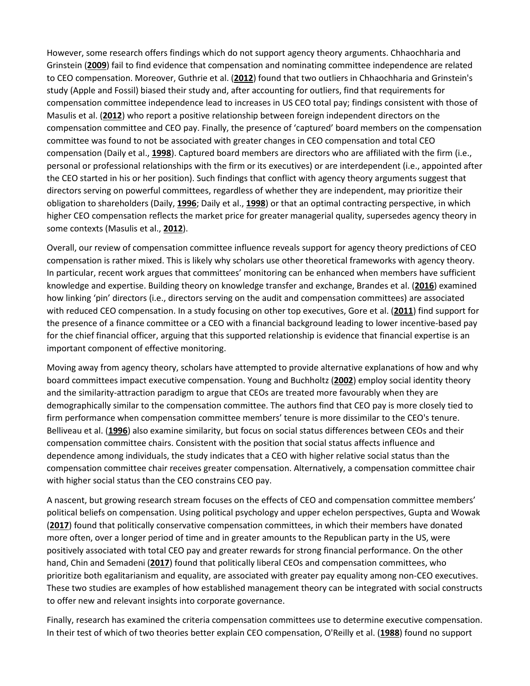However, some research offers findings which do not support agency theory arguments. Chhaochharia and Grinstein (**[2009](https://onlinelibrary.wiley.com/doi/full/10.1111/joms.12444#joms12444-bib-0050)**) fail to find evidence that compensation and nominating committee independence are related to CEO compensation. Moreover, Guthrie et al. (**[2012](https://onlinelibrary.wiley.com/doi/full/10.1111/joms.12444#joms12444-bib-0106)**) found that two outliers in Chhaochharia and Grinstein's study (Apple and Fossil) biased their study and, after accounting for outliers, find that requirements for compensation committee independence lead to increases in US CEO total pay; findings consistent with those of Masulis et al. (**[2012](https://onlinelibrary.wiley.com/doi/full/10.1111/joms.12444#joms12444-bib-0154)**) who report a positive relationship between foreign independent directors on the compensation committee and CEO pay. Finally, the presence of 'captured' board members on the compensation committee was found to not be associated with greater changes in CEO compensation and total CEO compensation (Daily et al., **[1998](https://onlinelibrary.wiley.com/doi/full/10.1111/joms.12444#joms12444-bib-0060)**). Captured board members are directors who are affiliated with the firm (i.e., personal or professional relationships with the firm or its executives) or are interdependent (i.e., appointed after the CEO started in his or her position). Such findings that conflict with agency theory arguments suggest that directors serving on powerful committees, regardless of whether they are independent, may prioritize their obligation to shareholders (Daily, **[1996](https://onlinelibrary.wiley.com/doi/full/10.1111/joms.12444#joms12444-bib-0059)**; Daily et al., **[1998](https://onlinelibrary.wiley.com/doi/full/10.1111/joms.12444#joms12444-bib-0060)**) or that an optimal contracting perspective, in which higher CEO compensation reflects the market price for greater managerial quality, supersedes agency theory in some contexts (Masulis et al., **[2012](https://onlinelibrary.wiley.com/doi/full/10.1111/joms.12444#joms12444-bib-0154)**).

Overall, our review of compensation committee influence reveals support for agency theory predictions of CEO compensation is rather mixed. This is likely why scholars use other theoretical frameworks with agency theory. In particular, recent work argues that committees' monitoring can be enhanced when members have sufficient knowledge and expertise. Building theory on knowledge transfer and exchange, Brandes et al. (**[2016](https://onlinelibrary.wiley.com/doi/full/10.1111/joms.12444#joms12444-bib-0029)**) examined how linking 'pin' directors (i.e., directors serving on the audit and compensation committees) are associated with reduced CEO compensation. In a study focusing on other top executives, Gore et al. (**[2011](https://onlinelibrary.wiley.com/doi/full/10.1111/joms.12444#joms12444-bib-0100)**) find support for the presence of a finance committee or a CEO with a financial background leading to lower incentive-based pay for the chief financial officer, arguing that this supported relationship is evidence that financial expertise is an important component of effective monitoring.

Moving away from agency theory, scholars have attempted to provide alternative explanations of how and why board committees impact executive compensation. Young and Buchholtz (**[2002](https://onlinelibrary.wiley.com/doi/full/10.1111/joms.12444#joms12444-bib-0196)**) employ social identity theory and the similarity-attraction paradigm to argue that CEOs are treated more favourably when they are demographically similar to the compensation committee. The authors find that CEO pay is more closely tied to firm performance when compensation committee members' tenure is more dissimilar to the CEO's tenure. Belliveau et al. (**[1996](https://onlinelibrary.wiley.com/doi/full/10.1111/joms.12444#joms12444-bib-0023)**) also examine similarity, but focus on social status differences between CEOs and their compensation committee chairs. Consistent with the position that social status affects influence and dependence among individuals, the study indicates that a CEO with higher relative social status than the compensation committee chair receives greater compensation. Alternatively, a compensation committee chair with higher social status than the CEO constrains CEO pay.

A nascent, but growing research stream focuses on the effects of CEO and compensation committee members' political beliefs on compensation. Using political psychology and upper echelon perspectives, Gupta and Wowak (**[2017](https://onlinelibrary.wiley.com/doi/full/10.1111/joms.12444#joms12444-bib-0105)**) found that politically conservative compensation committees, in which their members have donated more often, over a longer period of time and in greater amounts to the Republican party in the US, were positively associated with total CEO pay and greater rewards for strong financial performance. On the other hand, Chin and Semadeni (**[2017](https://onlinelibrary.wiley.com/doi/full/10.1111/joms.12444#joms12444-bib-0051)**) found that politically liberal CEOs and compensation committees, who prioritize both egalitarianism and equality, are associated with greater pay equality among non-CEO executives. These two studies are examples of how established management theory can be integrated with social constructs to offer new and relevant insights into corporate governance.

Finally, research has examined the criteria compensation committees use to determine executive compensation. In their test of which of two theories better explain CEO compensation, O'Reilly et al. (**[1988](https://onlinelibrary.wiley.com/doi/full/10.1111/joms.12444#joms12444-bib-0162)**) found no support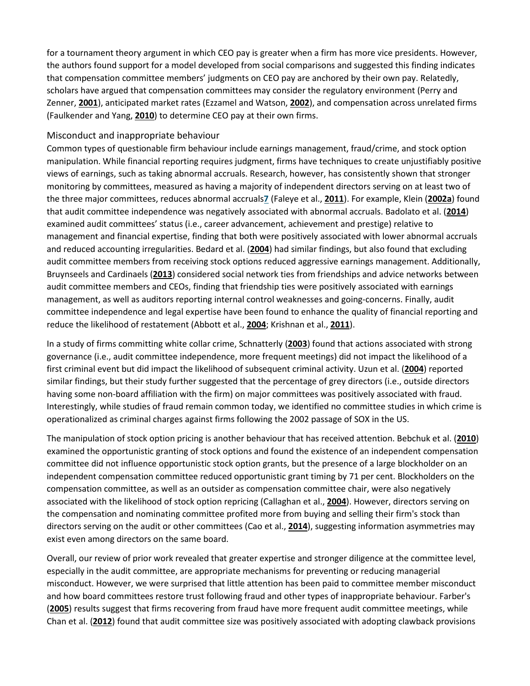for a tournament theory argument in which CEO pay is greater when a firm has more vice presidents. However, the authors found support for a model developed from social comparisons and suggested this finding indicates that compensation committee members' judgments on CEO pay are anchored by their own pay. Relatedly, scholars have argued that compensation committees may consider the regulatory environment (Perry and Zenner, **[2001](https://onlinelibrary.wiley.com/doi/full/10.1111/joms.12444#joms12444-bib-0165)**), anticipated market rates (Ezzamel and Watson, **[2002](https://onlinelibrary.wiley.com/doi/full/10.1111/joms.12444#joms12444-bib-0079)**), and compensation across unrelated firms (Faulkender and Yang, **[2010](https://onlinelibrary.wiley.com/doi/full/10.1111/joms.12444#joms12444-bib-0085)**) to determine CEO pay at their own firms.

#### Misconduct and inappropriate behaviour

Common types of questionable firm behaviour include earnings management, fraud/crime, and stock option manipulation. While financial reporting requires judgment, firms have techniques to create unjustifiably positive views of earnings, such as taking abnormal accruals. Research, however, has consistently shown that stronger monitoring by committees, measured as having a majority of independent directors serving on at least two of the three major committees, reduces abnormal accruals**[7](https://onlinelibrary.wiley.com/doi/full/10.1111/joms.12444#joms12444-note-1007_120)** (Faleye et al., **[2011](https://onlinelibrary.wiley.com/doi/full/10.1111/joms.12444#joms12444-bib-0082)**). For example, Klein (**[2002a](https://onlinelibrary.wiley.com/doi/full/10.1111/joms.12444#joms12444-bib-0136)**) found that audit committee independence was negatively associated with abnormal accruals. Badolato et al. (**[2014](https://onlinelibrary.wiley.com/doi/full/10.1111/joms.12444#joms12444-bib-0016)**) examined audit committees' status (i.e., career advancement, achievement and prestige) relative to management and financial expertise, finding that both were positively associated with lower abnormal accruals and reduced accounting irregularities. Bedard et al. (**[2004](https://onlinelibrary.wiley.com/doi/full/10.1111/joms.12444#joms12444-bib-0021)**) had similar findings, but also found that excluding audit committee members from receiving stock options reduced aggressive earnings management. Additionally, Bruynseels and Cardinaels (**[2013](https://onlinelibrary.wiley.com/doi/full/10.1111/joms.12444#joms12444-bib-0031)**) considered social network ties from friendships and advice networks between audit committee members and CEOs, finding that friendship ties were positively associated with earnings management, as well as auditors reporting internal control weaknesses and going-concerns. Finally, audit committee independence and legal expertise have been found to enhance the quality of financial reporting and reduce the likelihood of restatement (Abbott et al., **[2004](https://onlinelibrary.wiley.com/doi/full/10.1111/joms.12444#joms12444-bib-0001)**; Krishnan et al., **[2011](https://onlinelibrary.wiley.com/doi/full/10.1111/joms.12444#joms12444-bib-0141)**).

In a study of firms committing white collar crime, Schnatterly (**[2003](https://onlinelibrary.wiley.com/doi/full/10.1111/joms.12444#joms12444-bib-0172)**) found that actions associated with strong governance (i.e., audit committee independence, more frequent meetings) did not impact the likelihood of a first criminal event but did impact the likelihood of subsequent criminal activity. Uzun et al. (**[2004](https://onlinelibrary.wiley.com/doi/full/10.1111/joms.12444#joms12444-bib-0185)**) reported similar findings, but their study further suggested that the percentage of grey directors (i.e., outside directors having some non-board affiliation with the firm) on major committees was positively associated with fraud. Interestingly, while studies of fraud remain common today, we identified no committee studies in which crime is operationalized as criminal charges against firms following the 2002 passage of SOX in the US.

The manipulation of stock option pricing is another behaviour that has received attention. Bebchuk et al. (**[2010](https://onlinelibrary.wiley.com/doi/full/10.1111/joms.12444#joms12444-bib-0018)**) examined the opportunistic granting of stock options and found the existence of an independent compensation committee did not influence opportunistic stock option grants, but the presence of a large blockholder on an independent compensation committee reduced opportunistic grant timing by 71 per cent. Blockholders on the compensation committee, as well as an outsider as compensation committee chair, were also negatively associated with the likelihood of stock option repricing (Callaghan et al., **[2004](https://onlinelibrary.wiley.com/doi/full/10.1111/joms.12444#joms12444-bib-0034)**). However, directors serving on the compensation and nominating committee profited more from buying and selling their firm's stock than directors serving on the audit or other committees (Cao et al., **[2014](https://onlinelibrary.wiley.com/doi/full/10.1111/joms.12444#joms12444-bib-0036)**), suggesting information asymmetries may exist even among directors on the same board.

Overall, our review of prior work revealed that greater expertise and stronger diligence at the committee level, especially in the audit committee, are appropriate mechanisms for preventing or reducing managerial misconduct. However, we were surprised that little attention has been paid to committee member misconduct and how board committees restore trust following fraud and other types of inappropriate behaviour. Farber's (**[2005](https://onlinelibrary.wiley.com/doi/full/10.1111/joms.12444#joms12444-bib-0084)**) results suggest that firms recovering from fraud have more frequent audit committee meetings, while Chan et al. (**[2012](https://onlinelibrary.wiley.com/doi/full/10.1111/joms.12444#joms12444-bib-0044)**) found that audit committee size was positively associated with adopting clawback provisions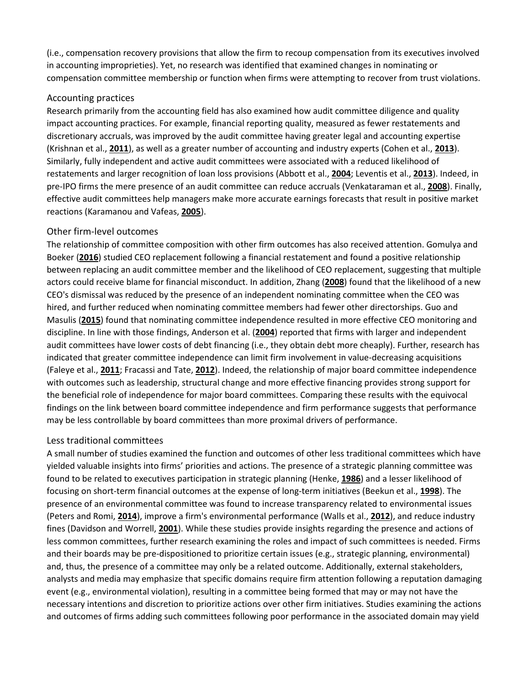(i.e., compensation recovery provisions that allow the firm to recoup compensation from its executives involved in accounting improprieties). Yet, no research was identified that examined changes in nominating or compensation committee membership or function when firms were attempting to recover from trust violations.

## Accounting practices

Research primarily from the accounting field has also examined how audit committee diligence and quality impact accounting practices. For example, financial reporting quality, measured as fewer restatements and discretionary accruals, was improved by the audit committee having greater legal and accounting expertise (Krishnan et al., **[2011](https://onlinelibrary.wiley.com/doi/full/10.1111/joms.12444#joms12444-bib-0141)**), as well as a greater number of accounting and industry experts (Cohen et al., **[2013](https://onlinelibrary.wiley.com/doi/full/10.1111/joms.12444#joms12444-bib-0054)**). Similarly, fully independent and active audit committees were associated with a reduced likelihood of restatements and larger recognition of loan loss provisions (Abbott et al., **[2004](https://onlinelibrary.wiley.com/doi/full/10.1111/joms.12444#joms12444-bib-0001)**; Leventis et al., **[2013](https://onlinelibrary.wiley.com/doi/full/10.1111/joms.12444#joms12444-bib-0147)**). Indeed, in pre-IPO firms the mere presence of an audit committee can reduce accruals (Venkataraman et al., **[2008](https://onlinelibrary.wiley.com/doi/full/10.1111/joms.12444#joms12444-bib-0189)**). Finally, effective audit committees help managers make more accurate earnings forecasts that result in positive market reactions (Karamanou and Vafeas, **[2005](https://onlinelibrary.wiley.com/doi/full/10.1111/joms.12444#joms12444-bib-0132)**).

## Other firm-level outcomes

The relationship of committee composition with other firm outcomes has also received attention. Gomulya and Boeker (**[2016](https://onlinelibrary.wiley.com/doi/full/10.1111/joms.12444#joms12444-bib-0098)**) studied CEO replacement following a financial restatement and found a positive relationship between replacing an audit committee member and the likelihood of CEO replacement, suggesting that multiple actors could receive blame for financial misconduct. In addition, Zhang (**[2008](https://onlinelibrary.wiley.com/doi/full/10.1111/joms.12444#joms12444-bib-0197)**) found that the likelihood of a new CEO's dismissal was reduced by the presence of an independent nominating committee when the CEO was hired, and further reduced when nominating committee members had fewer other directorships. Guo and Masulis (**[2015](https://onlinelibrary.wiley.com/doi/full/10.1111/joms.12444#joms12444-bib-0104)**) found that nominating committee independence resulted in more effective CEO monitoring and discipline. In line with those findings, Anderson et al. (**[2004](https://onlinelibrary.wiley.com/doi/full/10.1111/joms.12444#joms12444-bib-0012)**) reported that firms with larger and independent audit committees have lower costs of debt financing (i.e., they obtain debt more cheaply). Further, research has indicated that greater committee independence can limit firm involvement in value-decreasing acquisitions (Faleye et al., **[2011](https://onlinelibrary.wiley.com/doi/full/10.1111/joms.12444#joms12444-bib-0082)**; Fracassi and Tate, **[2012](https://onlinelibrary.wiley.com/doi/full/10.1111/joms.12444#joms12444-bib-0095)**). Indeed, the relationship of major board committee independence with outcomes such as leadership, structural change and more effective financing provides strong support for the beneficial role of independence for major board committees. Comparing these results with the equivocal findings on the link between board committee independence and firm performance suggests that performance may be less controllable by board committees than more proximal drivers of performance.

## Less traditional committees

A small number of studies examined the function and outcomes of other less traditional committees which have yielded valuable insights into firms' priorities and actions. The presence of a strategic planning committee was found to be related to executives participation in strategic planning (Henke, **[1986](https://onlinelibrary.wiley.com/doi/full/10.1111/joms.12444#joms12444-bib-0112)**) and a lesser likelihood of focusing on short-term financial outcomes at the expense of long-term initiatives (Beekun et al., **[1998](https://onlinelibrary.wiley.com/doi/full/10.1111/joms.12444#joms12444-bib-0022)**). The presence of an environmental committee was found to increase transparency related to environmental issues (Peters and Romi, **[2014](https://onlinelibrary.wiley.com/doi/full/10.1111/joms.12444#joms12444-bib-0167)**), improve a firm's environmental performance (Walls et al., **[2012](https://onlinelibrary.wiley.com/doi/full/10.1111/joms.12444#joms12444-bib-0190)**), and reduce industry fines (Davidson and Worrell, **[2001](https://onlinelibrary.wiley.com/doi/full/10.1111/joms.12444#joms12444-bib-0063)**). While these studies provide insights regarding the presence and actions of less common committees, further research examining the roles and impact of such committees is needed. Firms and their boards may be pre-dispositioned to prioritize certain issues (e.g., strategic planning, environmental) and, thus, the presence of a committee may only be a related outcome. Additionally, external stakeholders, analysts and media may emphasize that specific domains require firm attention following a reputation damaging event (e.g., environmental violation), resulting in a committee being formed that may or may not have the necessary intentions and discretion to prioritize actions over other firm initiatives. Studies examining the actions and outcomes of firms adding such committees following poor performance in the associated domain may yield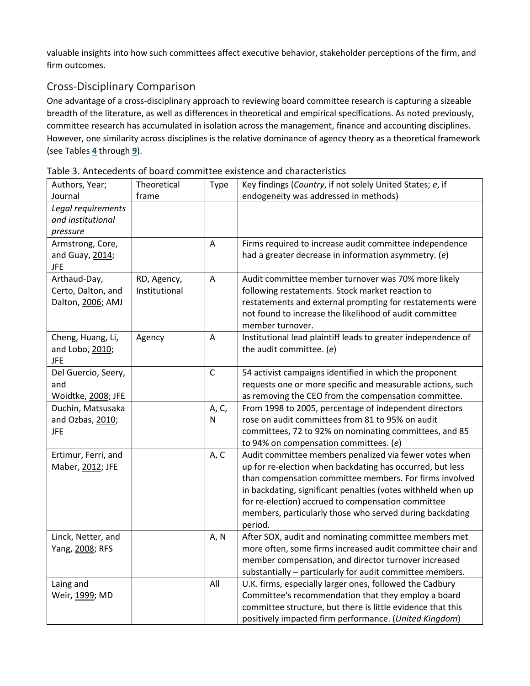valuable insights into how such committees affect executive behavior, stakeholder perceptions of the firm, and firm outcomes.

## Cross-Disciplinary Comparison

One advantage of a cross-disciplinary approach to reviewing board committee research is capturing a sizeable breadth of the literature, as well as differences in theoretical and empirical specifications. As noted previously, committee research has accumulated in isolation across the management, finance and accounting disciplines. However, one similarity across disciplines is the relative dominance of agency theory as a theoretical framework (see Tables **[4](https://onlinelibrary.wiley.com/doi/full/10.1111/joms.12444#joms12444-tbl-0004)** through **[9](https://onlinelibrary.wiley.com/doi/full/10.1111/joms.12444#joms12444-tbl-0009)**).

| Authors, Year;      | Theoretical   | Type         | Key findings (Country, if not solely United States; e, if     |
|---------------------|---------------|--------------|---------------------------------------------------------------|
| Journal             | frame         |              | endogeneity was addressed in methods)                         |
| Legal requirements  |               |              |                                                               |
| and institutional   |               |              |                                                               |
| pressure            |               |              |                                                               |
| Armstrong, Core,    |               | A            | Firms required to increase audit committee independence       |
| and Guay, 2014;     |               |              | had a greater decrease in information asymmetry. (e)          |
| <b>JFE</b>          |               |              |                                                               |
| Arthaud-Day,        | RD, Agency,   | A            | Audit committee member turnover was 70% more likely           |
| Certo, Dalton, and  | Institutional |              | following restatements. Stock market reaction to              |
| Dalton, 2006; AMJ   |               |              | restatements and external prompting for restatements were     |
|                     |               |              | not found to increase the likelihood of audit committee       |
|                     |               |              | member turnover.                                              |
| Cheng, Huang, Li,   | Agency        | A            | Institutional lead plaintiff leads to greater independence of |
| and Lobo, 2010;     |               |              | the audit committee. (e)                                      |
| <b>JFE</b>          |               |              |                                                               |
| Del Guercio, Seery, |               | $\mathsf{C}$ | 54 activist campaigns identified in which the proponent       |
| and                 |               |              | requests one or more specific and measurable actions, such    |
| Woidtke, 2008; JFE  |               |              | as removing the CEO from the compensation committee.          |
| Duchin, Matsusaka   |               | A, C,        | From 1998 to 2005, percentage of independent directors        |
| and Ozbas, 2010;    |               | N            | rose on audit committees from 81 to 95% on audit              |
| <b>JFE</b>          |               |              | committees, 72 to 92% on nominating committees, and 85        |
|                     |               |              | to 94% on compensation committees. (e)                        |
| Ertimur, Ferri, and |               | A, C         | Audit committee members penalized via fewer votes when        |
| Maber, 2012; JFE    |               |              | up for re-election when backdating has occurred, but less     |
|                     |               |              | than compensation committee members. For firms involved       |
|                     |               |              | in backdating, significant penalties (votes withheld when up  |
|                     |               |              | for re-election) accrued to compensation committee            |
|                     |               |              | members, particularly those who served during backdating      |
|                     |               |              | period.                                                       |
| Linck, Netter, and  |               | A, N         | After SOX, audit and nominating committee members met         |
| Yang, 2008; RFS     |               |              | more often, some firms increased audit committee chair and    |
|                     |               |              | member compensation, and director turnover increased          |
|                     |               |              | substantially - particularly for audit committee members.     |
| Laing and           |               | All          | U.K. firms, especially larger ones, followed the Cadbury      |
| Weir, 1999; MD      |               |              | Committee's recommendation that they employ a board           |
|                     |               |              | committee structure, but there is little evidence that this   |
|                     |               |              | positively impacted firm performance. (United Kingdom)        |

Table 3. Antecedents of board committee existence and characteristics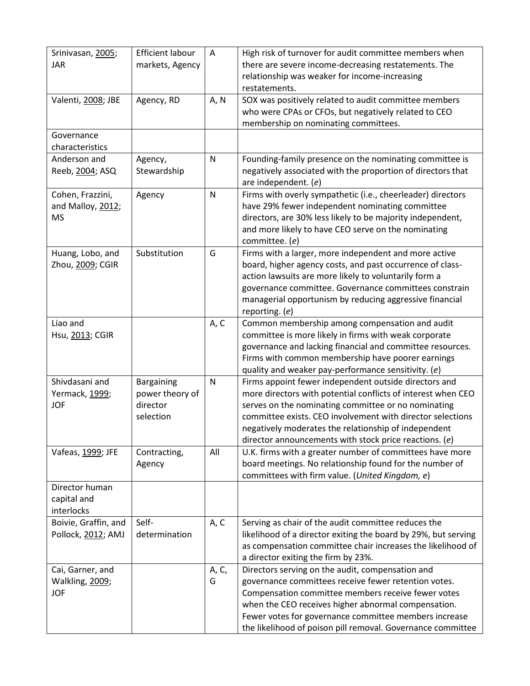| Srinivasan, 2005;                    | <b>Efficient labour</b> | A            | High risk of turnover for audit committee members when                                                             |
|--------------------------------------|-------------------------|--------------|--------------------------------------------------------------------------------------------------------------------|
| <b>JAR</b>                           | markets, Agency         |              | there are severe income-decreasing restatements. The                                                               |
|                                      |                         |              | relationship was weaker for income-increasing                                                                      |
|                                      |                         |              | restatements.                                                                                                      |
| Valenti, 2008; JBE                   | Agency, RD              | A, N         | SOX was positively related to audit committee members                                                              |
|                                      |                         |              | who were CPAs or CFOs, but negatively related to CEO<br>membership on nominating committees.                       |
| Governance                           |                         |              |                                                                                                                    |
| characteristics                      |                         |              |                                                                                                                    |
| Anderson and                         | Agency,                 | ${\sf N}$    | Founding-family presence on the nominating committee is                                                            |
| Reeb, 2004; ASQ                      | Stewardship             |              | negatively associated with the proportion of directors that                                                        |
|                                      |                         |              | are independent. (e)                                                                                               |
| Cohen, Frazzini,                     | Agency                  | $\mathsf{N}$ | Firms with overly sympathetic (i.e., cheerleader) directors                                                        |
| and Malloy, 2012;                    |                         |              | have 29% fewer independent nominating committee                                                                    |
| <b>MS</b>                            |                         |              | directors, are 30% less likely to be majority independent,                                                         |
|                                      |                         |              | and more likely to have CEO serve on the nominating                                                                |
|                                      | Substitution            |              | committee. (e)                                                                                                     |
| Huang, Lobo, and<br>Zhou, 2009; CGIR |                         | G            | Firms with a larger, more independent and more active                                                              |
|                                      |                         |              | board, higher agency costs, and past occurrence of class-<br>action lawsuits are more likely to voluntarily form a |
|                                      |                         |              | governance committee. Governance committees constrain                                                              |
|                                      |                         |              | managerial opportunism by reducing aggressive financial                                                            |
|                                      |                         |              | reporting. (e)                                                                                                     |
| Liao and                             |                         | A, C         | Common membership among compensation and audit                                                                     |
| Hsu, 2013; CGIR                      |                         |              | committee is more likely in firms with weak corporate                                                              |
|                                      |                         |              | governance and lacking financial and committee resources.                                                          |
|                                      |                         |              | Firms with common membership have poorer earnings                                                                  |
|                                      |                         |              | quality and weaker pay-performance sensitivity. (e)                                                                |
| Shivdasani and                       | Bargaining              | $\mathsf{N}$ | Firms appoint fewer independent outside directors and                                                              |
| Yermack, 1999;                       | power theory of         |              | more directors with potential conflicts of interest when CEO                                                       |
| <b>JOF</b>                           | director                |              | serves on the nominating committee or no nominating                                                                |
|                                      | selection               |              | committee exists. CEO involvement with director selections                                                         |
|                                      |                         |              | negatively moderates the relationship of independent<br>director announcements with stock price reactions. (e)     |
| Vafeas, 1999; JFE                    | Contracting,            | All          | U.K. firms with a greater number of committees have more                                                           |
|                                      | Agency                  |              | board meetings. No relationship found for the number of                                                            |
|                                      |                         |              | committees with firm value. (United Kingdom, e)                                                                    |
| Director human                       |                         |              |                                                                                                                    |
| capital and                          |                         |              |                                                                                                                    |
| interlocks                           |                         |              |                                                                                                                    |
| Boivie, Graffin, and                 | Self-                   | A, C         | Serving as chair of the audit committee reduces the                                                                |
| Pollock, 2012; AMJ                   | determination           |              | likelihood of a director exiting the board by 29%, but serving                                                     |
|                                      |                         |              | as compensation committee chair increases the likelihood of                                                        |
|                                      |                         |              | a director exiting the firm by 23%.                                                                                |
| Cai, Garner, and                     |                         | A, C,        | Directors serving on the audit, compensation and<br>governance committees receive fewer retention votes.           |
| Walkling, 2009;<br><b>JOF</b>        |                         | G            | Compensation committee members receive fewer votes                                                                 |
|                                      |                         |              | when the CEO receives higher abnormal compensation.                                                                |
|                                      |                         |              | Fewer votes for governance committee members increase                                                              |
|                                      |                         |              | the likelihood of poison pill removal. Governance committee                                                        |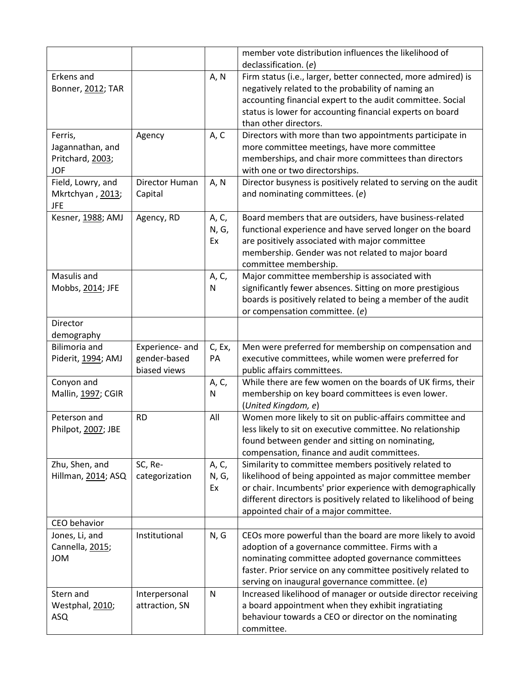|                                                               |                                 |                      | member vote distribution influences the likelihood of                                                                                                                                                                                                                                        |
|---------------------------------------------------------------|---------------------------------|----------------------|----------------------------------------------------------------------------------------------------------------------------------------------------------------------------------------------------------------------------------------------------------------------------------------------|
|                                                               |                                 |                      | declassification. (e)                                                                                                                                                                                                                                                                        |
| Erkens and<br>Bonner, 2012; TAR                               |                                 | A, N                 | Firm status (i.e., larger, better connected, more admired) is<br>negatively related to the probability of naming an<br>accounting financial expert to the audit committee. Social<br>status is lower for accounting financial experts on board<br>than other directors.                      |
| Ferris,<br>Jagannathan, and<br>Pritchard, 2003;<br><b>JOF</b> | Agency                          | A, C                 | Directors with more than two appointments participate in<br>more committee meetings, have more committee<br>memberships, and chair more committees than directors<br>with one or two directorships.                                                                                          |
| Field, Lowry, and<br>Mkrtchyan, 2013;<br><b>JFE</b>           | Director Human<br>Capital       | A, N                 | Director busyness is positively related to serving on the audit<br>and nominating committees. (e)                                                                                                                                                                                            |
| Kesner, 1988; AMJ                                             | Agency, RD                      | A, C,<br>N, G,<br>Ex | Board members that are outsiders, have business-related<br>functional experience and have served longer on the board<br>are positively associated with major committee<br>membership. Gender was not related to major board<br>committee membership.                                         |
| Masulis and<br>Mobbs, 2014; JFE                               |                                 | A, C,<br>N           | Major committee membership is associated with<br>significantly fewer absences. Sitting on more prestigious<br>boards is positively related to being a member of the audit<br>or compensation committee. (e)                                                                                  |
| Director<br>demography                                        |                                 |                      |                                                                                                                                                                                                                                                                                              |
| <b>Bilimoria</b> and                                          | Experience- and                 | C, Ex,               | Men were preferred for membership on compensation and                                                                                                                                                                                                                                        |
| Piderit, 1994; AMJ                                            | gender-based<br>biased views    | PA                   | executive committees, while women were preferred for<br>public affairs committees.                                                                                                                                                                                                           |
| Conyon and<br>Mallin, 1997; CGIR                              |                                 | A, C,<br>N           | While there are few women on the boards of UK firms, their<br>membership on key board committees is even lower.<br>(United Kingdom, e)                                                                                                                                                       |
| Peterson and<br>Philpot, 2007; JBE                            | <b>RD</b>                       | All                  | Women more likely to sit on public-affairs committee and<br>less likely to sit on executive committee. No relationship<br>found between gender and sitting on nominating,<br>compensation, finance and audit committees.                                                                     |
| Zhu, Shen, and<br>Hillman, 2014; ASQ                          | SC, Re-<br>categorization       | A, C,<br>N, G,<br>Ex | Similarity to committee members positively related to<br>likelihood of being appointed as major committee member<br>or chair. Incumbents' prior experience with demographically<br>different directors is positively related to likelihood of being<br>appointed chair of a major committee. |
| CEO behavior                                                  |                                 |                      |                                                                                                                                                                                                                                                                                              |
| Jones, Li, and<br>Cannella, 2015;<br><b>JOM</b>               | Institutional                   | N, G                 | CEOs more powerful than the board are more likely to avoid<br>adoption of a governance committee. Firms with a<br>nominating committee adopted governance committees<br>faster. Prior service on any committee positively related to<br>serving on inaugural governance committee. (e)       |
| Stern and<br>Westphal, 2010;<br>ASQ                           | Interpersonal<br>attraction, SN | N                    | Increased likelihood of manager or outside director receiving<br>a board appointment when they exhibit ingratiating<br>behaviour towards a CEO or director on the nominating<br>committee.                                                                                                   |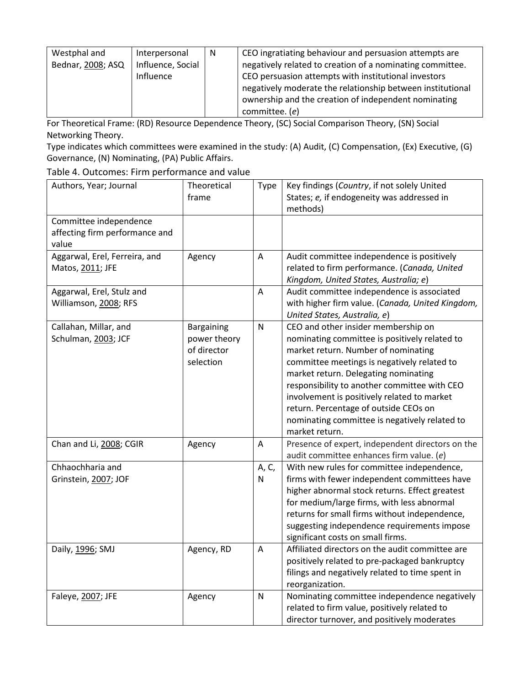| Westphal and      | Interpersonal     | - N | CEO ingratiating behaviour and persuasion attempts are     |
|-------------------|-------------------|-----|------------------------------------------------------------|
| Bednar, 2008; ASQ | Influence, Social |     | negatively related to creation of a nominating committee.  |
|                   | Influence         |     | CEO persuasion attempts with institutional investors       |
|                   |                   |     | negatively moderate the relationship between institutional |
|                   |                   |     | ownership and the creation of independent nominating       |
|                   |                   |     | committee. (e)                                             |

For Theoretical Frame: (RD) Resource Dependence Theory, (SC) Social Comparison Theory, (SN) Social Networking Theory.

Type indicates which committees were examined in the study: (A) Audit, (C) Compensation, (Ex) Executive, (G) Governance, (N) Nominating, (PA) Public Affairs.

Table 4. Outcomes: Firm performance and value

| Authors, Year; Journal         | Theoretical       | <b>Type</b>               | Key findings (Country, if not solely United      |
|--------------------------------|-------------------|---------------------------|--------------------------------------------------|
|                                | frame             |                           | States; e, if endogeneity was addressed in       |
|                                |                   |                           | methods)                                         |
| Committee independence         |                   |                           |                                                  |
| affecting firm performance and |                   |                           |                                                  |
| value                          |                   |                           |                                                  |
| Aggarwal, Erel, Ferreira, and  | Agency            | Α                         | Audit committee independence is positively       |
| Matos, 2011; JFE               |                   |                           | related to firm performance. (Canada, United     |
|                                |                   |                           | Kingdom, United States, Australia; e)            |
| Aggarwal, Erel, Stulz and      |                   | $\boldsymbol{\mathsf{A}}$ | Audit committee independence is associated       |
| Williamson, 2008; RFS          |                   |                           | with higher firm value. (Canada, United Kingdom, |
|                                |                   |                           | United States, Australia, e)                     |
| Callahan, Millar, and          | <b>Bargaining</b> | $\mathsf{N}$              | CEO and other insider membership on              |
| Schulman, 2003; JCF            | power theory      |                           | nominating committee is positively related to    |
|                                | of director       |                           | market return. Number of nominating              |
|                                | selection         |                           | committee meetings is negatively related to      |
|                                |                   |                           | market return. Delegating nominating             |
|                                |                   |                           | responsibility to another committee with CEO     |
|                                |                   |                           | involvement is positively related to market      |
|                                |                   |                           | return. Percentage of outside CEOs on            |
|                                |                   |                           | nominating committee is negatively related to    |
|                                |                   |                           | market return.                                   |
| Chan and Li, 2008; CGIR        | Agency            | A                         | Presence of expert, independent directors on the |
|                                |                   |                           | audit committee enhances firm value. (e)         |
| Chhaochharia and               |                   | A, C,                     | With new rules for committee independence,       |
| Grinstein, 2007; JOF           |                   | N                         | firms with fewer independent committees have     |
|                                |                   |                           | higher abnormal stock returns. Effect greatest   |
|                                |                   |                           | for medium/large firms, with less abnormal       |
|                                |                   |                           | returns for small firms without independence,    |
|                                |                   |                           | suggesting independence requirements impose      |
|                                |                   |                           | significant costs on small firms.                |
| Daily, 1996; SMJ               | Agency, RD        | A                         | Affiliated directors on the audit committee are  |
|                                |                   |                           | positively related to pre-packaged bankruptcy    |
|                                |                   |                           | filings and negatively related to time spent in  |
|                                |                   |                           | reorganization.                                  |
| Faleye, 2007; JFE              | Agency            | ${\sf N}$                 | Nominating committee independence negatively     |
|                                |                   |                           | related to firm value, positively related to     |
|                                |                   |                           | director turnover, and positively moderates      |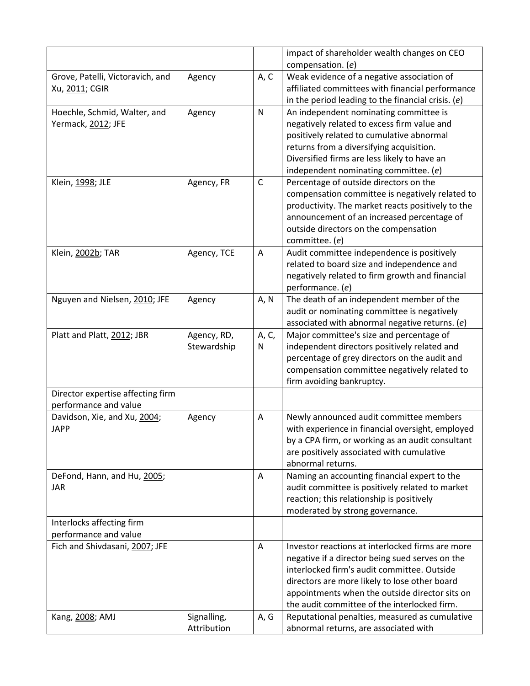|                                   |             |              | impact of shareholder wealth changes on CEO          |
|-----------------------------------|-------------|--------------|------------------------------------------------------|
|                                   |             |              | compensation. (e)                                    |
| Grove, Patelli, Victoravich, and  | Agency      | A, C         | Weak evidence of a negative association of           |
| Xu, 2011; CGIR                    |             |              | affiliated committees with financial performance     |
|                                   |             |              | in the period leading to the financial crisis. $(e)$ |
| Hoechle, Schmid, Walter, and      | Agency      | $\mathsf{N}$ | An independent nominating committee is               |
| Yermack, 2012; JFE                |             |              | negatively related to excess firm value and          |
|                                   |             |              | positively related to cumulative abnormal            |
|                                   |             |              | returns from a diversifying acquisition.             |
|                                   |             |              | Diversified firms are less likely to have an         |
|                                   |             |              | independent nominating committee. (e)                |
| Klein, 1998; JLE                  | Agency, FR  | $\mathsf C$  | Percentage of outside directors on the               |
|                                   |             |              | compensation committee is negatively related to      |
|                                   |             |              | productivity. The market reacts positively to the    |
|                                   |             |              | announcement of an increased percentage of           |
|                                   |             |              | outside directors on the compensation                |
|                                   |             |              | committee. (e)                                       |
| Klein, 2002b; TAR                 | Agency, TCE | A            | Audit committee independence is positively           |
|                                   |             |              | related to board size and independence and           |
|                                   |             |              | negatively related to firm growth and financial      |
|                                   |             |              | performance. (e)                                     |
| Nguyen and Nielsen, 2010; JFE     | Agency      | A, N         | The death of an independent member of the            |
|                                   |             |              | audit or nominating committee is negatively          |
|                                   |             |              | associated with abnormal negative returns. (e)       |
| Platt and Platt, 2012; JBR        | Agency, RD, | A, C,        | Major committee's size and percentage of             |
|                                   | Stewardship | N            | independent directors positively related and         |
|                                   |             |              | percentage of grey directors on the audit and        |
|                                   |             |              | compensation committee negatively related to         |
|                                   |             |              | firm avoiding bankruptcy.                            |
| Director expertise affecting firm |             |              |                                                      |
| performance and value             |             |              |                                                      |
| Davidson, Xie, and Xu, 2004;      | Agency      | A            | Newly announced audit committee members              |
| <b>JAPP</b>                       |             |              | with experience in financial oversight, employed     |
|                                   |             |              | by a CPA firm, or working as an audit consultant     |
|                                   |             |              | are positively associated with cumulative            |
|                                   |             |              | abnormal returns.                                    |
| DeFond, Hann, and Hu, 2005;       |             | A            | Naming an accounting financial expert to the         |
| <b>JAR</b>                        |             |              | audit committee is positively related to market      |
|                                   |             |              | reaction; this relationship is positively            |
|                                   |             |              | moderated by strong governance.                      |
| Interlocks affecting firm         |             |              |                                                      |
| performance and value             |             |              |                                                      |
| Fich and Shivdasani, 2007; JFE    |             | Α            | Investor reactions at interlocked firms are more     |
|                                   |             |              | negative if a director being sued serves on the      |
|                                   |             |              | interlocked firm's audit committee. Outside          |
|                                   |             |              | directors are more likely to lose other board        |
|                                   |             |              | appointments when the outside director sits on       |
|                                   |             |              | the audit committee of the interlocked firm.         |
| Kang, 2008; AMJ                   | Signalling, | A, G         | Reputational penalties, measured as cumulative       |
|                                   | Attribution |              | abnormal returns, are associated with                |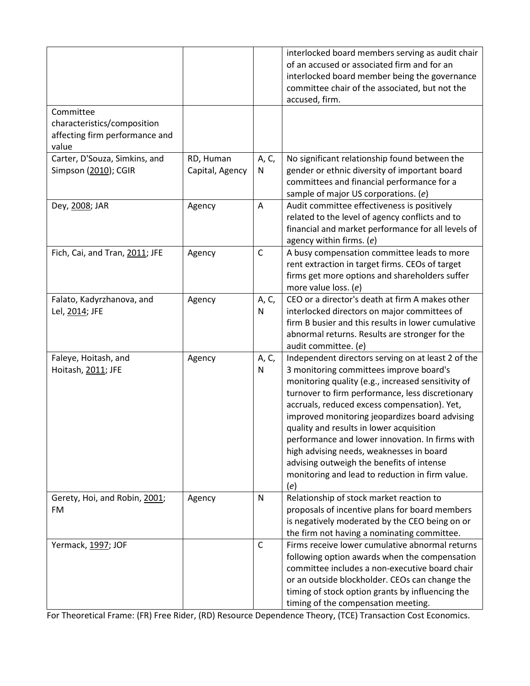| Committee                                                              |                              |              | interlocked board members serving as audit chair<br>of an accused or associated firm and for an<br>interlocked board member being the governance<br>committee chair of the associated, but not the<br>accused, firm.                                                                                                                                                                                                                                                                                                                                        |
|------------------------------------------------------------------------|------------------------------|--------------|-------------------------------------------------------------------------------------------------------------------------------------------------------------------------------------------------------------------------------------------------------------------------------------------------------------------------------------------------------------------------------------------------------------------------------------------------------------------------------------------------------------------------------------------------------------|
| characteristics/composition<br>affecting firm performance and<br>value |                              |              |                                                                                                                                                                                                                                                                                                                                                                                                                                                                                                                                                             |
| Carter, D'Souza, Simkins, and<br>Simpson (2010); CGIR                  | RD, Human<br>Capital, Agency | A, C,<br>N   | No significant relationship found between the<br>gender or ethnic diversity of important board<br>committees and financial performance for a<br>sample of major US corporations. (e)                                                                                                                                                                                                                                                                                                                                                                        |
| Dey, 2008; JAR                                                         | Agency                       | A            | Audit committee effectiveness is positively<br>related to the level of agency conflicts and to<br>financial and market performance for all levels of<br>agency within firms. (e)                                                                                                                                                                                                                                                                                                                                                                            |
| Fich, Cai, and Tran, 2011; JFE                                         | Agency                       | $\mathsf C$  | A busy compensation committee leads to more<br>rent extraction in target firms. CEOs of target<br>firms get more options and shareholders suffer<br>more value loss. (e)                                                                                                                                                                                                                                                                                                                                                                                    |
| Falato, Kadyrzhanova, and<br>Lel, 2014; JFE                            | Agency                       | A, C,<br>N   | CEO or a director's death at firm A makes other<br>interlocked directors on major committees of<br>firm B busier and this results in lower cumulative<br>abnormal returns. Results are stronger for the<br>audit committee. (e)                                                                                                                                                                                                                                                                                                                             |
| Faleye, Hoitash, and<br>Hoitash, 2011; JFE                             | Agency                       | A, C,<br>N   | Independent directors serving on at least 2 of the<br>3 monitoring committees improve board's<br>monitoring quality (e.g., increased sensitivity of<br>turnover to firm performance, less discretionary<br>accruals, reduced excess compensation). Yet,<br>improved monitoring jeopardizes board advising<br>quality and results in lower acquisition<br>performance and lower innovation. In firms with<br>high advising needs, weaknesses in board<br>advising outweigh the benefits of intense<br>monitoring and lead to reduction in firm value.<br>(e) |
| Gerety, Hoi, and Robin, 2001;<br><b>FM</b>                             | Agency                       | N            | Relationship of stock market reaction to<br>proposals of incentive plans for board members<br>is negatively moderated by the CEO being on or<br>the firm not having a nominating committee.                                                                                                                                                                                                                                                                                                                                                                 |
| Yermack, 1997; JOF                                                     |                              | $\mathsf{C}$ | Firms receive lower cumulative abnormal returns<br>following option awards when the compensation<br>committee includes a non-executive board chair<br>or an outside blockholder. CEOs can change the<br>timing of stock option grants by influencing the<br>timing of the compensation meeting.                                                                                                                                                                                                                                                             |

For Theoretical Frame: (FR) Free Rider, (RD) Resource Dependence Theory, (TCE) Transaction Cost Economics.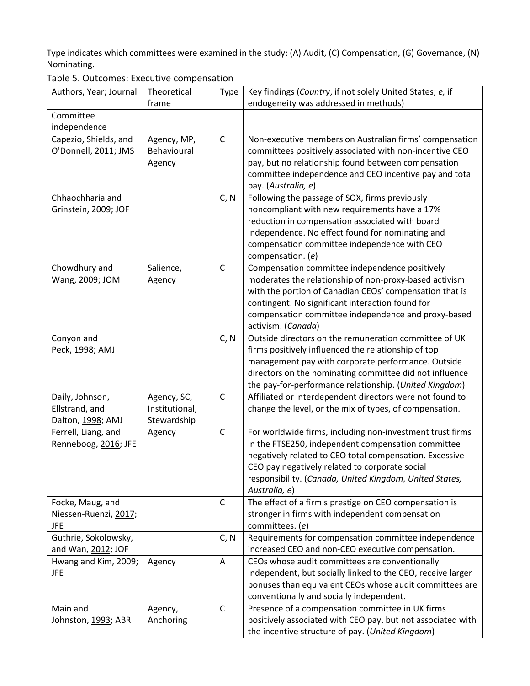Type indicates which committees were examined in the study: (A) Audit, (C) Compensation, (G) Governance, (N) Nominating.<br>Table E. Out

| Table 5. Outcomes: Executive compensation |             |      |                                                           |  |
|-------------------------------------------|-------------|------|-----------------------------------------------------------|--|
| Authors, Year; Journal                    | Theoretical | Type | Key findings (Country, if not solely United States; e, if |  |
|                                           | frame       |      | endogeneity was addressed in methods)                     |  |
| Committee                                 |             |      |                                                           |  |
| independence                              |             |      |                                                           |  |
| Capezio, Shields, and                     | Agency, MP, | C    | Non-executive members on Australian firms' compensation   |  |
| O'Donnell, 2011; JMS                      | Behavioural |      | committees positively associated with non-incentive CEO   |  |
|                                           | Agency      |      | pay, but no relationship found between compensation       |  |
|                                           |             |      | committee independence and CEO incentive pay and total    |  |
|                                           |             |      | pay. (Australia, e)                                       |  |
| Chhaochharia and                          |             | C, N | Following the passage of SOX, firms previously            |  |
| Grinstein, 2009; JOF                      |             |      | noncompliant with new requirements have a 17%             |  |
|                                           |             |      | reduction in compensation associated with board           |  |
|                                           |             |      | independence. No effect found for nominating and          |  |
|                                           |             |      | compensation committee independence with CEO              |  |
|                                           |             |      | compensation. (e)                                         |  |
| Chowdhury and                             | Salience,   | C    | Compensation committee independence positively            |  |
| Wang, 2009; JOM                           | Agency      |      | moderates the relationship of non-proxy-based activism    |  |
|                                           |             |      | with the portion of Canadian CEOs' compensation that is   |  |
|                                           |             |      | contingent. No significant interaction found for          |  |
|                                           |             |      | compensation committee independence and proxy-based       |  |
|                                           |             |      | activism. (Canada)                                        |  |
| Conyon and                                |             | C, N | Outside directors on the remuneration committee of UK     |  |
| Peck, 1998; AMJ                           |             |      | firms positively influenced the relationship of top       |  |
|                                           |             |      | management pay with corporate performance. Outside        |  |
|                                           |             |      | directors on the nominating committee did not influence   |  |
|                                           |             |      | the pay-for-performance relationship. (United Kingdom)    |  |
| Daily, Johnson,                           | Agency, SC, | C    | Affiliated or interdependent directors were not found to  |  |

Table compensation<br>Itive compensation

| Dally, JOHNSON,                                   | Agelicy, SC,         | J    | Allinated of interdependent directors were not found to                                                                                                                                                                                                                                                  |
|---------------------------------------------------|----------------------|------|----------------------------------------------------------------------------------------------------------------------------------------------------------------------------------------------------------------------------------------------------------------------------------------------------------|
| Ellstrand, and                                    | Institutional,       |      | change the level, or the mix of types, of compensation.                                                                                                                                                                                                                                                  |
| Dalton, 1998; AMJ                                 | Stewardship          |      |                                                                                                                                                                                                                                                                                                          |
| Ferrell, Liang, and<br>Renneboog, 2016; JFE       | Agency               | C    | For worldwide firms, including non-investment trust firms<br>in the FTSE250, independent compensation committee<br>negatively related to CEO total compensation. Excessive<br>CEO pay negatively related to corporate social<br>responsibility. (Canada, United Kingdom, United States,<br>Australia, e) |
| Focke, Maug, and<br>Niessen-Ruenzi, 2017;<br>JFE. |                      | C    | The effect of a firm's prestige on CEO compensation is<br>stronger in firms with independent compensation<br>committees. (e)                                                                                                                                                                             |
| Guthrie, Sokolowsky,<br>and Wan, 2012; JOF        |                      | C, N | Requirements for compensation committee independence<br>increased CEO and non-CEO executive compensation.                                                                                                                                                                                                |
| Hwang and Kim, 2009;<br>JFE                       | Agency               | A    | CEOs whose audit committees are conventionally<br>independent, but socially linked to the CEO, receive larger<br>bonuses than equivalent CEOs whose audit committees are<br>conventionally and socially independent.                                                                                     |
| Main and<br>Johnston, 1993; ABR                   | Agency,<br>Anchoring | C    | Presence of a compensation committee in UK firms<br>positively associated with CEO pay, but not associated with<br>the incentive structure of pay. (United Kingdom)                                                                                                                                      |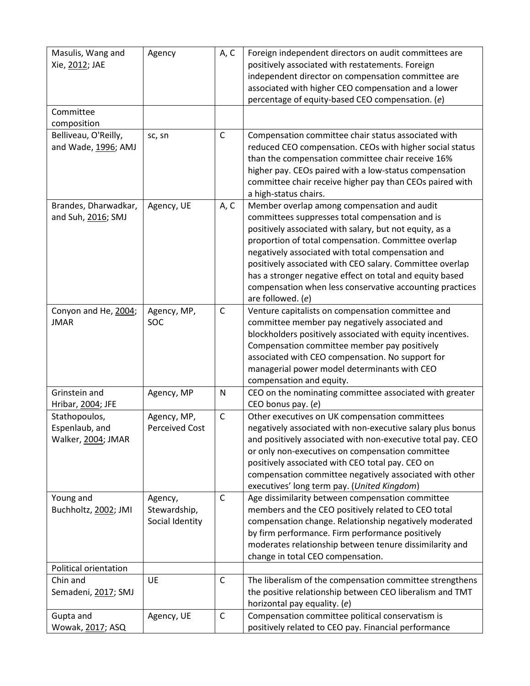| Masulis, Wang and<br>Xie, 2012; JAE                   | Agency                                     | A, C         | Foreign independent directors on audit committees are<br>positively associated with restatements. Foreign<br>independent director on compensation committee are<br>associated with higher CEO compensation and a lower<br>percentage of equity-based CEO compensation. (e)                                                                                                                                                                                                     |
|-------------------------------------------------------|--------------------------------------------|--------------|--------------------------------------------------------------------------------------------------------------------------------------------------------------------------------------------------------------------------------------------------------------------------------------------------------------------------------------------------------------------------------------------------------------------------------------------------------------------------------|
| Committee<br>composition                              |                                            |              |                                                                                                                                                                                                                                                                                                                                                                                                                                                                                |
| Belliveau, O'Reilly,<br>and Wade, 1996; AMJ           | sc, sn                                     | $\mathsf{C}$ | Compensation committee chair status associated with<br>reduced CEO compensation. CEOs with higher social status<br>than the compensation committee chair receive 16%<br>higher pay. CEOs paired with a low-status compensation<br>committee chair receive higher pay than CEOs paired with<br>a high-status chairs.                                                                                                                                                            |
| Brandes, Dharwadkar,<br>and Suh, 2016; SMJ            | Agency, UE                                 | A, C         | Member overlap among compensation and audit<br>committees suppresses total compensation and is<br>positively associated with salary, but not equity, as a<br>proportion of total compensation. Committee overlap<br>negatively associated with total compensation and<br>positively associated with CEO salary. Committee overlap<br>has a stronger negative effect on total and equity based<br>compensation when less conservative accounting practices<br>are followed. (e) |
| Conyon and He, 2004;<br><b>JMAR</b>                   | Agency, MP,<br>SOC                         | C            | Venture capitalists on compensation committee and<br>committee member pay negatively associated and<br>blockholders positively associated with equity incentives.<br>Compensation committee member pay positively<br>associated with CEO compensation. No support for<br>managerial power model determinants with CEO<br>compensation and equity.                                                                                                                              |
| Grinstein and<br>Hribar, 2004; JFE                    | Agency, MP                                 | N            | CEO on the nominating committee associated with greater<br>CEO bonus pay. (e)                                                                                                                                                                                                                                                                                                                                                                                                  |
| Stathopoulos,<br>Espenlaub, and<br>Walker, 2004; JMAR | Agency, MP,<br><b>Perceived Cost</b>       | $\mathsf C$  | Other executives on UK compensation committees<br>negatively associated with non-executive salary plus bonus<br>and positively associated with non-executive total pay. CEO<br>or only non-executives on compensation committee<br>positively associated with CEO total pay. CEO on<br>compensation committee negatively associated with other<br>executives' long term pay. (United Kingdom)                                                                                  |
| Young and<br>Buchholtz, 2002; JMI                     | Agency,<br>Stewardship,<br>Social Identity | C            | Age dissimilarity between compensation committee<br>members and the CEO positively related to CEO total<br>compensation change. Relationship negatively moderated<br>by firm performance. Firm performance positively<br>moderates relationship between tenure dissimilarity and<br>change in total CEO compensation.                                                                                                                                                          |
| Political orientation                                 |                                            |              |                                                                                                                                                                                                                                                                                                                                                                                                                                                                                |
| Chin and<br>Semadeni, 2017; SMJ                       | UE                                         | C            | The liberalism of the compensation committee strengthens<br>the positive relationship between CEO liberalism and TMT<br>horizontal pay equality. (e)                                                                                                                                                                                                                                                                                                                           |
| Gupta and<br>Wowak, 2017; ASQ                         | Agency, UE                                 | $\mathsf C$  | Compensation committee political conservatism is<br>positively related to CEO pay. Financial performance                                                                                                                                                                                                                                                                                                                                                                       |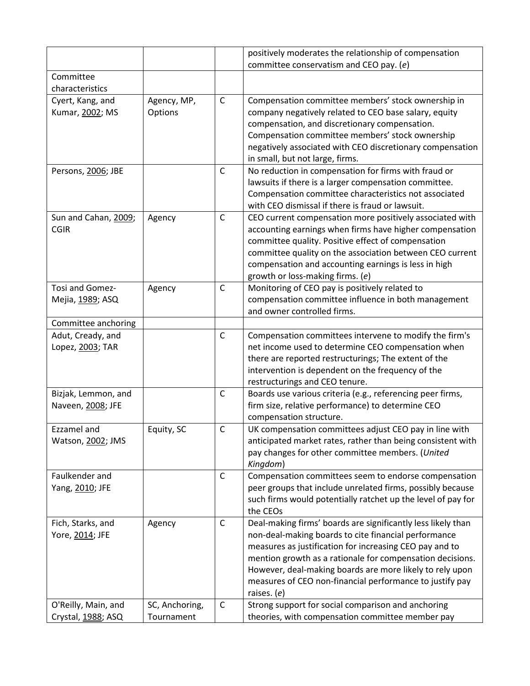|                                           |                              |              | positively moderates the relationship of compensation                                                                                                                                                                                                                                                                                                                               |
|-------------------------------------------|------------------------------|--------------|-------------------------------------------------------------------------------------------------------------------------------------------------------------------------------------------------------------------------------------------------------------------------------------------------------------------------------------------------------------------------------------|
|                                           |                              |              | committee conservatism and CEO pay. (e)                                                                                                                                                                                                                                                                                                                                             |
| Committee<br>characteristics              |                              |              |                                                                                                                                                                                                                                                                                                                                                                                     |
| Cyert, Kang, and<br>Kumar, 2002; MS       | Agency, MP,<br>Options       | $\mathsf{C}$ | Compensation committee members' stock ownership in<br>company negatively related to CEO base salary, equity<br>compensation, and discretionary compensation.<br>Compensation committee members' stock ownership<br>negatively associated with CEO discretionary compensation<br>in small, but not large, firms.                                                                     |
| Persons, 2006; JBE                        |                              | C            | No reduction in compensation for firms with fraud or<br>lawsuits if there is a larger compensation committee.<br>Compensation committee characteristics not associated<br>with CEO dismissal if there is fraud or lawsuit.                                                                                                                                                          |
| Sun and Cahan, 2009;<br><b>CGIR</b>       | Agency                       | C            | CEO current compensation more positively associated with<br>accounting earnings when firms have higher compensation<br>committee quality. Positive effect of compensation<br>committee quality on the association between CEO current<br>compensation and accounting earnings is less in high<br>growth or loss-making firms. (e)                                                   |
| Tosi and Gomez-<br>Mejia, 1989; ASQ       | Agency                       | C            | Monitoring of CEO pay is positively related to<br>compensation committee influence in both management<br>and owner controlled firms.                                                                                                                                                                                                                                                |
| Committee anchoring                       |                              |              |                                                                                                                                                                                                                                                                                                                                                                                     |
| Adut, Cready, and<br>Lopez, 2003; TAR     |                              | $\mathsf{C}$ | Compensation committees intervene to modify the firm's<br>net income used to determine CEO compensation when<br>there are reported restructurings; The extent of the<br>intervention is dependent on the frequency of the<br>restructurings and CEO tenure.                                                                                                                         |
| Bizjak, Lemmon, and<br>Naveen, 2008; JFE  |                              | C            | Boards use various criteria (e.g., referencing peer firms,<br>firm size, relative performance) to determine CEO<br>compensation structure.                                                                                                                                                                                                                                          |
| <b>Ezzamel and</b><br>Watson, 2002; JMS   | Equity, SC                   | $\mathsf{C}$ | UK compensation committees adjust CEO pay in line with<br>anticipated market rates, rather than being consistent with<br>pay changes for other committee members. (United<br>Kingdom)                                                                                                                                                                                               |
| Faulkender and<br>Yang, 2010; JFE         |                              | $\mathsf C$  | Compensation committees seem to endorse compensation<br>peer groups that include unrelated firms, possibly because<br>such firms would potentially ratchet up the level of pay for<br>the CEOs                                                                                                                                                                                      |
| Fich, Starks, and<br>Yore, 2014; JFE      | Agency                       | $\mathsf C$  | Deal-making firms' boards are significantly less likely than<br>non-deal-making boards to cite financial performance<br>measures as justification for increasing CEO pay and to<br>mention growth as a rationale for compensation decisions.<br>However, deal-making boards are more likely to rely upon<br>measures of CEO non-financial performance to justify pay<br>raises. (e) |
| O'Reilly, Main, and<br>Crystal, 1988; ASQ | SC, Anchoring,<br>Tournament | $\mathsf C$  | Strong support for social comparison and anchoring<br>theories, with compensation committee member pay                                                                                                                                                                                                                                                                              |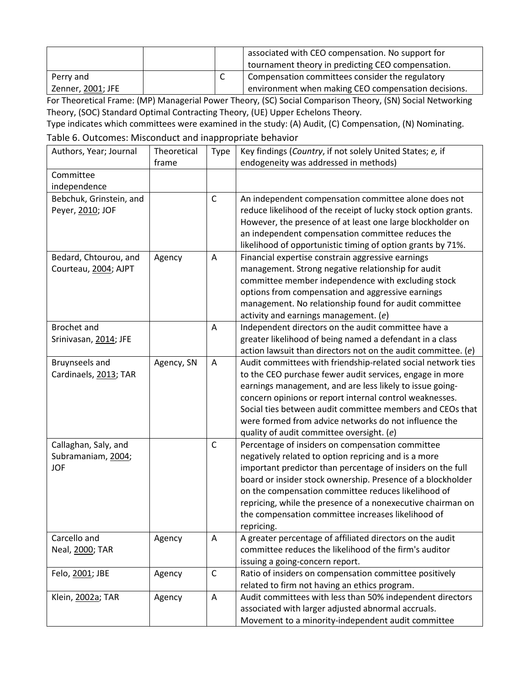|                   | associated with CEO compensation. No support for<br>tournament theory in predicting CEO compensation. |
|-------------------|-------------------------------------------------------------------------------------------------------|
| Perry and         | Compensation committees consider the regulatory                                                       |
| Zenner, 2001; JFE | environment when making CEO compensation decisions.                                                   |

For Theoretical Frame: (MP) Managerial Power Theory, (SC) Social Comparison Theory, (SN) Social Networking Theory, (SOC) Standard Optimal Contracting Theory, (UE) Upper Echelons Theory.

Type indicates which committees were examined in the study: (A) Audit, (C) Compensation, (N) Nominating.

|  |  | Table 6. Outcomes: Misconduct and inappropriate behavior |  |  |  |
|--|--|----------------------------------------------------------|--|--|--|
|--|--|----------------------------------------------------------|--|--|--|

| Authors, Year; Journal                                   | Theoretical<br>frame | Type           | Key findings (Country, if not solely United States; e, if<br>endogeneity was addressed in methods)                                                                                                                                                                                                                                                                                                                               |
|----------------------------------------------------------|----------------------|----------------|----------------------------------------------------------------------------------------------------------------------------------------------------------------------------------------------------------------------------------------------------------------------------------------------------------------------------------------------------------------------------------------------------------------------------------|
| Committee                                                |                      |                |                                                                                                                                                                                                                                                                                                                                                                                                                                  |
| independence                                             |                      |                |                                                                                                                                                                                                                                                                                                                                                                                                                                  |
| Bebchuk, Grinstein, and<br>Peyer, 2010; JOF              |                      | $\mathsf{C}$   | An independent compensation committee alone does not<br>reduce likelihood of the receipt of lucky stock option grants.<br>However, the presence of at least one large blockholder on<br>an independent compensation committee reduces the<br>likelihood of opportunistic timing of option grants by 71%.                                                                                                                         |
| Bedard, Chtourou, and<br>Courteau, 2004; AJPT            | Agency               | A              | Financial expertise constrain aggressive earnings<br>management. Strong negative relationship for audit<br>committee member independence with excluding stock<br>options from compensation and aggressive earnings<br>management. No relationship found for audit committee<br>activity and earnings management. $(e)$                                                                                                           |
| <b>Brochet and</b><br>Srinivasan, 2014; JFE              |                      | $\overline{A}$ | Independent directors on the audit committee have a<br>greater likelihood of being named a defendant in a class<br>action lawsuit than directors not on the audit committee. $(e)$                                                                                                                                                                                                                                               |
| Bruynseels and<br>Cardinaels, 2013; TAR                  | Agency, SN           | A              | Audit committees with friendship-related social network ties<br>to the CEO purchase fewer audit services, engage in more<br>earnings management, and are less likely to issue going-<br>concern opinions or report internal control weaknesses.<br>Social ties between audit committee members and CEOs that<br>were formed from advice networks do not influence the<br>quality of audit committee oversight. (e)               |
| Callaghan, Saly, and<br>Subramaniam, 2004;<br><b>JOF</b> |                      | $\mathsf{C}$   | Percentage of insiders on compensation committee<br>negatively related to option repricing and is a more<br>important predictor than percentage of insiders on the full<br>board or insider stock ownership. Presence of a blockholder<br>on the compensation committee reduces likelihood of<br>repricing, while the presence of a nonexecutive chairman on<br>the compensation committee increases likelihood of<br>repricing. |
| Carcello and<br>Neal, 2000; TAR                          | Agency               | Α              | A greater percentage of affiliated directors on the audit<br>committee reduces the likelihood of the firm's auditor<br>issuing a going-concern report.                                                                                                                                                                                                                                                                           |
| Felo, 2001; JBE                                          | Agency               | $\mathsf{C}$   | Ratio of insiders on compensation committee positively<br>related to firm not having an ethics program.                                                                                                                                                                                                                                                                                                                          |
| Klein, 2002a; TAR                                        | Agency               | A              | Audit committees with less than 50% independent directors<br>associated with larger adjusted abnormal accruals.<br>Movement to a minority-independent audit committee                                                                                                                                                                                                                                                            |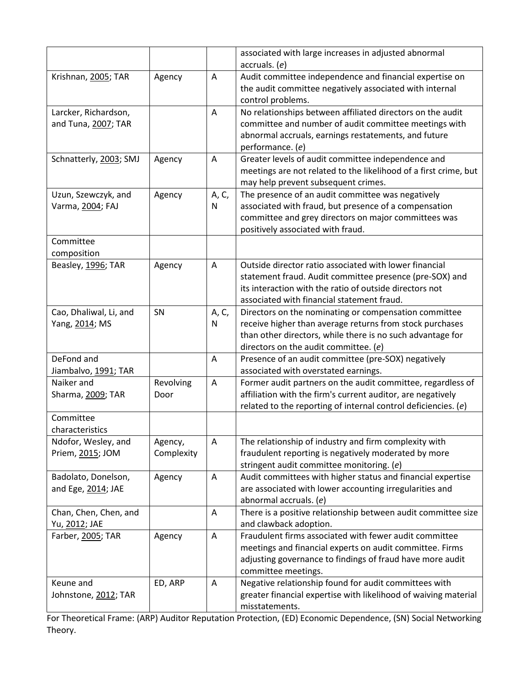|                                             |                       |            | associated with large increases in adjusted abnormal<br>accruals. (e)                                                                                                                                                      |
|---------------------------------------------|-----------------------|------------|----------------------------------------------------------------------------------------------------------------------------------------------------------------------------------------------------------------------------|
| Krishnan, 2005; TAR                         | Agency                | Α          | Audit committee independence and financial expertise on<br>the audit committee negatively associated with internal<br>control problems.                                                                                    |
| Larcker, Richardson,<br>and Tuna, 2007; TAR |                       | A          | No relationships between affiliated directors on the audit<br>committee and number of audit committee meetings with<br>abnormal accruals, earnings restatements, and future<br>performance. (e)                            |
| Schnatterly, 2003; SMJ                      | Agency                | Α          | Greater levels of audit committee independence and<br>meetings are not related to the likelihood of a first crime, but<br>may help prevent subsequent crimes.                                                              |
| Uzun, Szewczyk, and<br>Varma, 2004; FAJ     | Agency                | A, C,<br>N | The presence of an audit committee was negatively<br>associated with fraud, but presence of a compensation<br>committee and grey directors on major committees was<br>positively associated with fraud.                    |
| Committee<br>composition                    |                       |            |                                                                                                                                                                                                                            |
| Beasley, 1996; TAR                          | Agency                | Α          | Outside director ratio associated with lower financial<br>statement fraud. Audit committee presence (pre-SOX) and<br>its interaction with the ratio of outside directors not<br>associated with financial statement fraud. |
| Cao, Dhaliwal, Li, and<br>Yang, 2014; MS    | SN                    | A, C,<br>N | Directors on the nominating or compensation committee<br>receive higher than average returns from stock purchases<br>than other directors, while there is no such advantage for<br>directors on the audit committee. (e)   |
| DeFond and<br>Jiambalvo, 1991; TAR          |                       | Α          | Presence of an audit committee (pre-SOX) negatively<br>associated with overstated earnings.                                                                                                                                |
| Naiker and<br>Sharma, 2009; TAR             | Revolving<br>Door     | A          | Former audit partners on the audit committee, regardless of<br>affiliation with the firm's current auditor, are negatively<br>related to the reporting of internal control deficiencies. $(e)$                             |
| Committee<br>characteristics                |                       |            |                                                                                                                                                                                                                            |
| Ndofor, Wesley, and<br>Priem, 2015; JOM     | Agency,<br>Complexity | Α          | The relationship of industry and firm complexity with<br>fraudulent reporting is negatively moderated by more<br>stringent audit committee monitoring. (e)                                                                 |
| Badolato, Donelson,<br>and Ege, 2014; JAE   | Agency                | Α          | Audit committees with higher status and financial expertise<br>are associated with lower accounting irregularities and<br>abnormal accruals. (e)                                                                           |
| Chan, Chen, Chen, and<br>Yu, 2012; JAE      |                       | Α          | There is a positive relationship between audit committee size<br>and clawback adoption.                                                                                                                                    |
| Farber, 2005; TAR                           | Agency                | Α          | Fraudulent firms associated with fewer audit committee<br>meetings and financial experts on audit committee. Firms<br>adjusting governance to findings of fraud have more audit<br>committee meetings.                     |
| Keune and<br>Johnstone, 2012; TAR           | ED, ARP               | Α          | Negative relationship found for audit committees with<br>greater financial expertise with likelihood of waiving material<br>misstatements.                                                                                 |

For Theoretical Frame: (ARP) Auditor Reputation Protection, (ED) Economic Dependence, (SN) Social Networking Theory.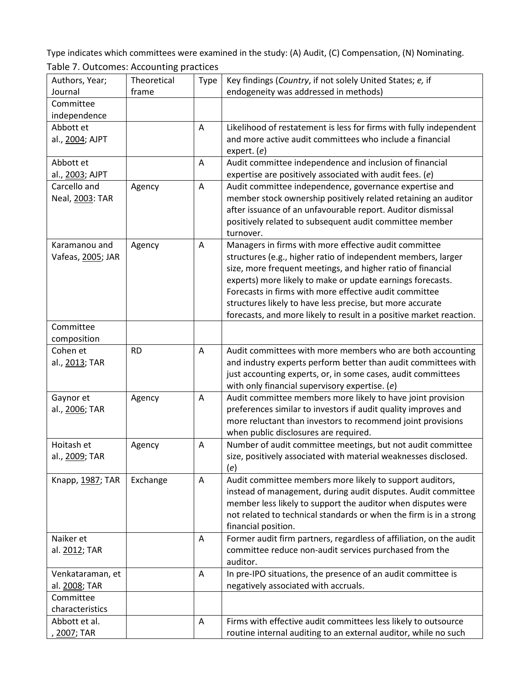Type indicates which committees were examined in the study: (A) Audit, (C) Compensation, (N) Nominating. Table 7. Outcomes: Accounting practices

|                   | ັັ          |             |                                                                     |
|-------------------|-------------|-------------|---------------------------------------------------------------------|
| Authors, Year;    | Theoretical | <b>Type</b> | Key findings (Country, if not solely United States; e, if           |
| Journal           | frame       |             | endogeneity was addressed in methods)                               |
| Committee         |             |             |                                                                     |
| independence      |             |             |                                                                     |
| Abbott et         |             | A           | Likelihood of restatement is less for firms with fully independent  |
| al., 2004; AJPT   |             |             | and more active audit committees who include a financial            |
|                   |             |             | expert. $(e)$                                                       |
| Abbott et         |             | Α           | Audit committee independence and inclusion of financial             |
| al., 2003; AJPT   |             |             | expertise are positively associated with audit fees. $(e)$          |
| Carcello and      | Agency      | Α           | Audit committee independence, governance expertise and              |
| Neal, 2003: TAR   |             |             | member stock ownership positively related retaining an auditor      |
|                   |             |             | after issuance of an unfavourable report. Auditor dismissal         |
|                   |             |             | positively related to subsequent audit committee member             |
|                   |             |             | turnover.                                                           |
| Karamanou and     | Agency      | Α           | Managers in firms with more effective audit committee               |
| Vafeas, 2005; JAR |             |             | structures (e.g., higher ratio of independent members, larger       |
|                   |             |             | size, more frequent meetings, and higher ratio of financial         |
|                   |             |             | experts) more likely to make or update earnings forecasts.          |
|                   |             |             | Forecasts in firms with more effective audit committee              |
|                   |             |             | structures likely to have less precise, but more accurate           |
|                   |             |             | forecasts, and more likely to result in a positive market reaction. |
| Committee         |             |             |                                                                     |
| composition       |             |             |                                                                     |
| Cohen et          | <b>RD</b>   | A           | Audit committees with more members who are both accounting          |
| al., 2013; TAR    |             |             | and industry experts perform better than audit committees with      |
|                   |             |             | just accounting experts, or, in some cases, audit committees        |
|                   |             |             | with only financial supervisory expertise. (e)                      |
| Gaynor et         | Agency      | A           | Audit committee members more likely to have joint provision         |
| al., 2006; TAR    |             |             | preferences similar to investors if audit quality improves and      |
|                   |             |             | more reluctant than investors to recommend joint provisions         |
|                   |             |             | when public disclosures are required.                               |
| Hoitash et        | Agency      | A           | Number of audit committee meetings, but not audit committee         |
| al., 2009; TAR    |             |             | size, positively associated with material weaknesses disclosed.     |
|                   |             |             | (e)                                                                 |
| Knapp, 1987; TAR  | Exchange    | Α           | Audit committee members more likely to support auditors,            |
|                   |             |             | instead of management, during audit disputes. Audit committee       |
|                   |             |             | member less likely to support the auditor when disputes were        |
|                   |             |             | not related to technical standards or when the firm is in a strong  |
|                   |             |             | financial position.                                                 |
| Naiker et         |             | A           | Former audit firm partners, regardless of affiliation, on the audit |
| al. 2012; TAR     |             |             | committee reduce non-audit services purchased from the              |
|                   |             |             | auditor.                                                            |
| Venkataraman, et  |             | Α           | In pre-IPO situations, the presence of an audit committee is        |
| al. 2008; TAR     |             |             | negatively associated with accruals.                                |
| Committee         |             |             |                                                                     |
| characteristics   |             |             |                                                                     |
| Abbott et al.     |             | A           | Firms with effective audit committees less likely to outsource      |
|                   |             |             |                                                                     |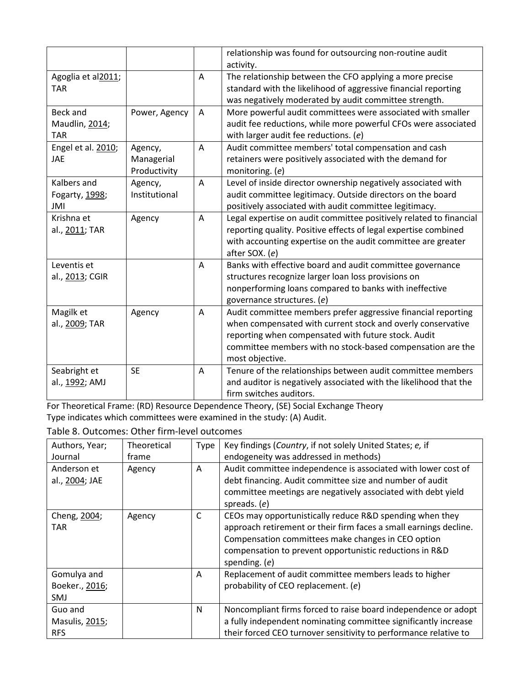|                                                 |                                       |                | relationship was found for outsourcing non-routine audit<br>activity.                                                                                                                                                                                                |
|-------------------------------------------------|---------------------------------------|----------------|----------------------------------------------------------------------------------------------------------------------------------------------------------------------------------------------------------------------------------------------------------------------|
| Agoglia et al2011;<br><b>TAR</b>                |                                       | Α              | The relationship between the CFO applying a more precise<br>standard with the likelihood of aggressive financial reporting<br>was negatively moderated by audit committee strength.                                                                                  |
| <b>Beck and</b><br>Maudlin, 2014;<br><b>TAR</b> | Power, Agency                         | Α              | More powerful audit committees were associated with smaller<br>audit fee reductions, while more powerful CFOs were associated<br>with larger audit fee reductions. (e)                                                                                               |
| Engel et al. 2010;<br>JAE                       | Agency,<br>Managerial<br>Productivity | Α              | Audit committee members' total compensation and cash<br>retainers were positively associated with the demand for<br>monitoring. (e)                                                                                                                                  |
| Kalbers and<br>Fogarty, 1998;<br>JMI            | Agency,<br>Institutional              | $\overline{A}$ | Level of inside director ownership negatively associated with<br>audit committee legitimacy. Outside directors on the board<br>positively associated with audit committee legitimacy.                                                                                |
| Krishna et<br>al., 2011; TAR                    | Agency                                | Α              | Legal expertise on audit committee positively related to financial<br>reporting quality. Positive effects of legal expertise combined<br>with accounting expertise on the audit committee are greater<br>after SOX. (e)                                              |
| Leventis et<br>al., 2013; CGIR                  |                                       | A              | Banks with effective board and audit committee governance<br>structures recognize larger loan loss provisions on<br>nonperforming loans compared to banks with ineffective<br>governance structures. (e)                                                             |
| Magilk et<br>al., 2009; TAR                     | Agency                                | Α              | Audit committee members prefer aggressive financial reporting<br>when compensated with current stock and overly conservative<br>reporting when compensated with future stock. Audit<br>committee members with no stock-based compensation are the<br>most objective. |
| Seabright et<br>al., 1992; AMJ                  | <b>SE</b>                             | Α              | Tenure of the relationships between audit committee members<br>and auditor is negatively associated with the likelihood that the<br>firm switches auditors.                                                                                                          |

For Theoretical Frame: (RD) Resource Dependence Theory, (SE) Social Exchange Theory Type indicates which committees were examined in the study: (A) Audit.

Table 8. Outcomes: Other firm-level outcomes

| Authors, Year;                              | Theoretical | Type | Key findings (Country, if not solely United States; e, if                                                                                                                                                                                                         |
|---------------------------------------------|-------------|------|-------------------------------------------------------------------------------------------------------------------------------------------------------------------------------------------------------------------------------------------------------------------|
| Journal                                     | frame       |      | endogeneity was addressed in methods)                                                                                                                                                                                                                             |
| Anderson et<br>al., 2004; JAE               | Agency      | A    | Audit committee independence is associated with lower cost of<br>debt financing. Audit committee size and number of audit<br>committee meetings are negatively associated with debt yield<br>spreads. $(e)$                                                       |
| Cheng, 2004;<br>TAR                         | Agency      | C    | CEOs may opportunistically reduce R&D spending when they<br>approach retirement or their firm faces a small earnings decline.<br>Compensation committees make changes in CEO option<br>compensation to prevent opportunistic reductions in R&D<br>spending. $(e)$ |
| Gomulya and<br>Boeker., 2016;<br><b>SMJ</b> |             | A    | Replacement of audit committee members leads to higher<br>probability of CEO replacement. (e)                                                                                                                                                                     |
| Guo and<br>Masulis, 2015;<br><b>RFS</b>     |             | N    | Noncompliant firms forced to raise board independence or adopt<br>a fully independent nominating committee significantly increase<br>their forced CEO turnover sensitivity to performance relative to                                                             |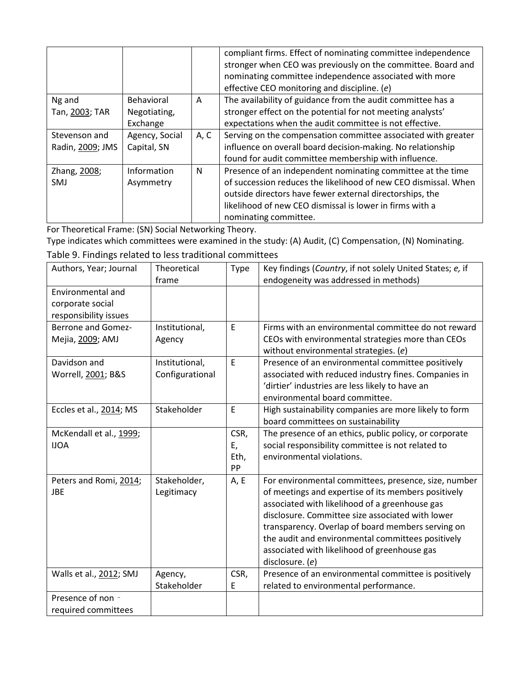|                  |                |      | compliant firms. Effect of nominating committee independence<br>stronger when CEO was previously on the committee. Board and<br>nominating committee independence associated with more<br>effective CEO monitoring and discipline. (e) |
|------------------|----------------|------|----------------------------------------------------------------------------------------------------------------------------------------------------------------------------------------------------------------------------------------|
| Ng and           | Behavioral     | A    | The availability of guidance from the audit committee has a                                                                                                                                                                            |
| Tan, 2003; TAR   | Negotiating,   |      | stronger effect on the potential for not meeting analysts'                                                                                                                                                                             |
|                  | Exchange       |      | expectations when the audit committee is not effective.                                                                                                                                                                                |
| Stevenson and    | Agency, Social | A, C | Serving on the compensation committee associated with greater                                                                                                                                                                          |
| Radin, 2009; JMS | Capital, SN    |      | influence on overall board decision-making. No relationship                                                                                                                                                                            |
|                  |                |      | found for audit committee membership with influence.                                                                                                                                                                                   |
| Zhang, 2008;     | Information    | N    | Presence of an independent nominating committee at the time                                                                                                                                                                            |
| SMJ              | Asymmetry      |      | of succession reduces the likelihood of new CEO dismissal. When                                                                                                                                                                        |
|                  |                |      | outside directors have fewer external directorships, the                                                                                                                                                                               |
|                  |                |      | likelihood of new CEO dismissal is lower in firms with a                                                                                                                                                                               |
|                  |                |      | nominating committee.                                                                                                                                                                                                                  |

For Theoretical Frame: (SN) Social Networking Theory.

Type indicates which committees were examined in the study: (A) Audit, (C) Compensation, (N) Nominating. Table 9. Findings related to less traditional committees

| Authors, Year; Journal                                         | Theoretical<br>frame              | Type                     | Key findings (Country, if not solely United States; e, if<br>endogeneity was addressed in methods)                                                                                                                                                                                                                                                                                             |
|----------------------------------------------------------------|-----------------------------------|--------------------------|------------------------------------------------------------------------------------------------------------------------------------------------------------------------------------------------------------------------------------------------------------------------------------------------------------------------------------------------------------------------------------------------|
| Environmental and<br>corporate social<br>responsibility issues |                                   |                          |                                                                                                                                                                                                                                                                                                                                                                                                |
| <b>Berrone and Gomez-</b><br>Mejia, 2009; AMJ                  | Institutional,<br>Agency          | E                        | Firms with an environmental committee do not reward<br>CEOs with environmental strategies more than CEOs<br>without environmental strategies. (e)                                                                                                                                                                                                                                              |
| Davidson and<br>Worrell, 2001; B&S                             | Institutional,<br>Configurational | E                        | Presence of an environmental committee positively<br>associated with reduced industry fines. Companies in<br>'dirtier' industries are less likely to have an<br>environmental board committee.                                                                                                                                                                                                 |
| Eccles et al., 2014; MS                                        | Stakeholder                       | E                        | High sustainability companies are more likely to form<br>board committees on sustainability                                                                                                                                                                                                                                                                                                    |
| McKendall et al., 1999;<br><b>IJOA</b>                         |                                   | CSR,<br>E,<br>Eth,<br>PP | The presence of an ethics, public policy, or corporate<br>social responsibility committee is not related to<br>environmental violations.                                                                                                                                                                                                                                                       |
| Peters and Romi, 2014;<br>JBE                                  | Stakeholder,<br>Legitimacy        | A, E                     | For environmental committees, presence, size, number<br>of meetings and expertise of its members positively<br>associated with likelihood of a greenhouse gas<br>disclosure. Committee size associated with lower<br>transparency. Overlap of board members serving on<br>the audit and environmental committees positively<br>associated with likelihood of greenhouse gas<br>disclosure. (e) |
| Walls et al., 2012; SMJ                                        | Agency,<br>Stakeholder            | CSR,<br>Ε                | Presence of an environmental committee is positively<br>related to environmental performance.                                                                                                                                                                                                                                                                                                  |
| Presence of non -                                              |                                   |                          |                                                                                                                                                                                                                                                                                                                                                                                                |
| required committees                                            |                                   |                          |                                                                                                                                                                                                                                                                                                                                                                                                |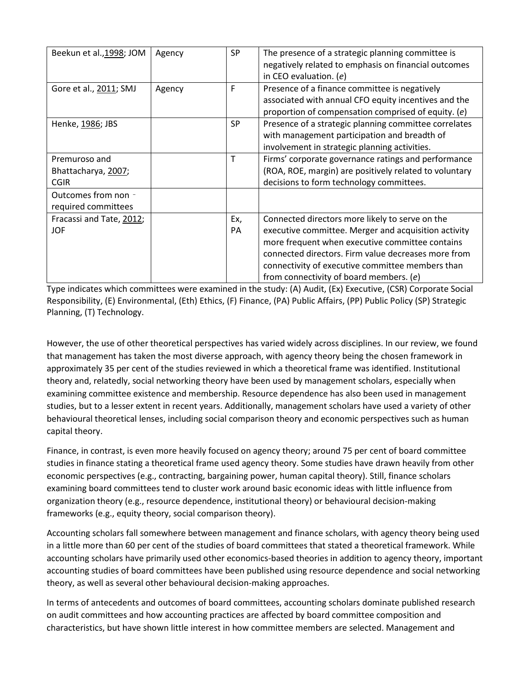| Beekun et al., 1998; JOM                            | Agency | <b>SP</b> | The presence of a strategic planning committee is<br>negatively related to emphasis on financial outcomes<br>in CEO evaluation. $(e)$                                                                                                                                                                            |
|-----------------------------------------------------|--------|-----------|------------------------------------------------------------------------------------------------------------------------------------------------------------------------------------------------------------------------------------------------------------------------------------------------------------------|
| Gore et al., 2011; SMJ                              | Agency | F         | Presence of a finance committee is negatively<br>associated with annual CFO equity incentives and the<br>proportion of compensation comprised of equity. (e)                                                                                                                                                     |
| Henke, 1986; JBS                                    |        | <b>SP</b> | Presence of a strategic planning committee correlates<br>with management participation and breadth of<br>involvement in strategic planning activities.                                                                                                                                                           |
| Premuroso and<br>Bhattacharya, 2007;<br><b>CGIR</b> |        | T         | Firms' corporate governance ratings and performance<br>(ROA, ROE, margin) are positively related to voluntary<br>decisions to form technology committees.                                                                                                                                                        |
| Outcomes from non -<br>required committees          |        |           |                                                                                                                                                                                                                                                                                                                  |
| Fracassi and Tate, 2012;<br><b>JOF</b>              |        | Ex,<br>PA | Connected directors more likely to serve on the<br>executive committee. Merger and acquisition activity<br>more frequent when executive committee contains<br>connected directors. Firm value decreases more from<br>connectivity of executive committee members than<br>from connectivity of board members. (e) |

Type indicates which committees were examined in the study: (A) Audit, (Ex) Executive, (CSR) Corporate Social Responsibility, (E) Environmental, (Eth) Ethics, (F) Finance, (PA) Public Affairs, (PP) Public Policy (SP) Strategic Planning, (T) Technology.

However, the use of other theoretical perspectives has varied widely across disciplines. In our review, we found that management has taken the most diverse approach, with agency theory being the chosen framework in approximately 35 per cent of the studies reviewed in which a theoretical frame was identified. Institutional theory and, relatedly, social networking theory have been used by management scholars, especially when examining committee existence and membership. Resource dependence has also been used in management studies, but to a lesser extent in recent years. Additionally, management scholars have used a variety of other behavioural theoretical lenses, including social comparison theory and economic perspectives such as human capital theory.

Finance, in contrast, is even more heavily focused on agency theory; around 75 per cent of board committee studies in finance stating a theoretical frame used agency theory. Some studies have drawn heavily from other economic perspectives (e.g., contracting, bargaining power, human capital theory). Still, finance scholars examining board committees tend to cluster work around basic economic ideas with little influence from organization theory (e.g., resource dependence, institutional theory) or behavioural decision-making frameworks (e.g., equity theory, social comparison theory).

Accounting scholars fall somewhere between management and finance scholars, with agency theory being used in a little more than 60 per cent of the studies of board committees that stated a theoretical framework. While accounting scholars have primarily used other economics-based theories in addition to agency theory, important accounting studies of board committees have been published using resource dependence and social networking theory, as well as several other behavioural decision-making approaches.

In terms of antecedents and outcomes of board committees, accounting scholars dominate published research on audit committees and how accounting practices are affected by board committee composition and characteristics, but have shown little interest in how committee members are selected. Management and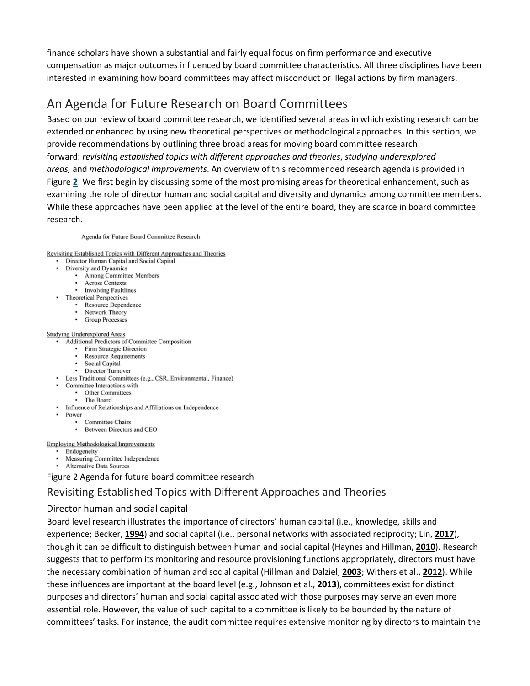finance scholars have shown a substantial and fairly equal focus on firm performance and executive compensation as major outcomes influenced by board committee characteristics. All three disciplines have been interested in examining how board committees may affect misconduct or illegal actions by firm managers.

## An Agenda for Future Research on Board Committees

Based on our review of board committee research, we identified several areas in which existing research can be extended or enhanced by using new theoretical perspectives or methodological approaches. In this section, we provide recommendations by outlining three broad areas for moving board committee research forward: *revisiting established topics with different approaches and theories*, *studying underexplored areas,* and *methodological improvements*. An overview of this recommended research agenda is provided in Figure **[2](https://onlinelibrary.wiley.com/doi/full/10.1111/joms.12444#joms12444-fig-0002)**. We first begin by discussing some of the most promising areas for theoretical enhancement, such as examining the role of director human and social capital and diversity and dynamics among committee members. While these approaches have been applied at the level of the entire board, they are scarce in board committee research.

Agenda for Future Board Committee Research

Revisiting Established Topics with Different Approaches and Theories

- Director Human Capital and Social Capital
- Diversity and Dynamics
	- Among Committee Members
	- Across Contexts
	- Involving Faultlines
- **Theoretical Perspectives** 
	- Resource Dependence
	- Network Theory
	- Group Processes

#### **Studying Underexplored Areas**

- Additional Predictors of Committee Composition
	- Firm Strategic Direction
	- Resource Requirements
	- Social Capital
	- Director Turnover
- Less Traditional Committees (e.g., CSR, Environmental, Finance)
- Committee Interactions with
	- Other Committees
	- The Board
- Influence of Relationships and Affiliations on Independence
	- Power
		- Committee Chairs
- Between Directors and CEO

**Employing Methodological Improvements** 

- Endogeneity
- Measuring Committee Independence
- Alternative Data Sources

Figure 2 Agenda for future board committee research

## Revisiting Established Topics with Different Approaches and Theories

## Director human and social capital

Board level research illustrates the importance of directors' human capital (i.e., knowledge, skills and experience; Becker, **[1994](https://onlinelibrary.wiley.com/doi/full/10.1111/joms.12444#joms12444-bib-0020)**) and social capital (i.e., personal networks with associated reciprocity; Lin, **[2017](https://onlinelibrary.wiley.com/doi/full/10.1111/joms.12444#joms12444-bib-0149)**), though it can be difficult to distinguish between human and social capital (Haynes and Hillman, **[2010](https://onlinelibrary.wiley.com/doi/full/10.1111/joms.12444#joms12444-bib-0110)**). Research suggests that to perform its monitoring and resource provisioning functions appropriately, directors must have the necessary combination of human and social capital (Hillman and Dalziel, **[2003](https://onlinelibrary.wiley.com/doi/full/10.1111/joms.12444#joms12444-bib-0114)**; Withers et al., **[2012](https://onlinelibrary.wiley.com/doi/full/10.1111/joms.12444#joms12444-bib-0194)**). While these influences are important at the board level (e.g., Johnson et al., **[2013](https://onlinelibrary.wiley.com/doi/full/10.1111/joms.12444#joms12444-bib-0127)**), committees exist for distinct purposes and directors' human and social capital associated with those purposes may serve an even more essential role. However, the value of such capital to a committee is likely to be bounded by the nature of committees' tasks. For instance, the audit committee requires extensive monitoring by directors to maintain the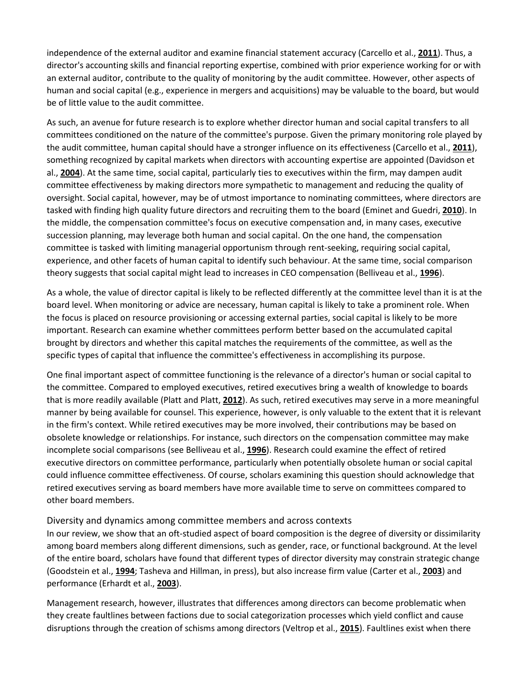independence of the external auditor and examine financial statement accuracy (Carcello et al., **[2011](https://onlinelibrary.wiley.com/doi/full/10.1111/joms.12444#joms12444-bib-0040)**). Thus, a director's accounting skills and financial reporting expertise, combined with prior experience working for or with an external auditor, contribute to the quality of monitoring by the audit committee. However, other aspects of human and social capital (e.g., experience in mergers and acquisitions) may be valuable to the board, but would be of little value to the audit committee.

As such, an avenue for future research is to explore whether director human and social capital transfers to all committees conditioned on the nature of the committee's purpose. Given the primary monitoring role played by the audit committee, human capital should have a stronger influence on its effectiveness (Carcello et al., **[2011](https://onlinelibrary.wiley.com/doi/full/10.1111/joms.12444#joms12444-bib-0040)**), something recognized by capital markets when directors with accounting expertise are appointed (Davidson et al., **[2004](https://onlinelibrary.wiley.com/doi/full/10.1111/joms.12444#joms12444-bib-0064)**). At the same time, social capital, particularly ties to executives within the firm, may dampen audit committee effectiveness by making directors more sympathetic to management and reducing the quality of oversight. Social capital, however, may be of utmost importance to nominating committees, where directors are tasked with finding high quality future directors and recruiting them to the board (Eminet and Guedri, **[2010](https://onlinelibrary.wiley.com/doi/full/10.1111/joms.12444#joms12444-bib-0073)**). In the middle, the compensation committee's focus on executive compensation and, in many cases, executive succession planning, may leverage both human and social capital. On the one hand, the compensation committee is tasked with limiting managerial opportunism through rent-seeking, requiring social capital, experience, and other facets of human capital to identify such behaviour. At the same time, social comparison theory suggests that social capital might lead to increases in CEO compensation (Belliveau et al., **[1996](https://onlinelibrary.wiley.com/doi/full/10.1111/joms.12444#joms12444-bib-0023)**).

As a whole, the value of director capital is likely to be reflected differently at the committee level than it is at the board level. When monitoring or advice are necessary, human capital is likely to take a prominent role. When the focus is placed on resource provisioning or accessing external parties, social capital is likely to be more important. Research can examine whether committees perform better based on the accumulated capital brought by directors and whether this capital matches the requirements of the committee, as well as the specific types of capital that influence the committee's effectiveness in accomplishing its purpose.

One final important aspect of committee functioning is the relevance of a director's human or social capital to the committee. Compared to employed executives, retired executives bring a wealth of knowledge to boards that is more readily available (Platt and Platt, **[2012](https://onlinelibrary.wiley.com/doi/full/10.1111/joms.12444#joms12444-bib-0170)**). As such, retired executives may serve in a more meaningful manner by being available for counsel. This experience, however, is only valuable to the extent that it is relevant in the firm's context. While retired executives may be more involved, their contributions may be based on obsolete knowledge or relationships. For instance, such directors on the compensation committee may make incomplete social comparisons (see Belliveau et al., **[1996](https://onlinelibrary.wiley.com/doi/full/10.1111/joms.12444#joms12444-bib-0023)**). Research could examine the effect of retired executive directors on committee performance, particularly when potentially obsolete human or social capital could influence committee effectiveness. Of course, scholars examining this question should acknowledge that retired executives serving as board members have more available time to serve on committees compared to other board members.

#### Diversity and dynamics among committee members and across contexts

In our review, we show that an oft-studied aspect of board composition is the degree of diversity or dissimilarity among board members along different dimensions, such as gender, race, or functional background. At the level of the entire board, scholars have found that different types of director diversity may constrain strategic change (Goodstein et al., **[1994](https://onlinelibrary.wiley.com/doi/full/10.1111/joms.12444#joms12444-bib-0099)**; Tasheva and Hillman, in press), but also increase firm value (Carter et al., **[2003](https://onlinelibrary.wiley.com/doi/full/10.1111/joms.12444#joms12444-bib-0042)**) and performance (Erhardt et al., **[2003](https://onlinelibrary.wiley.com/doi/full/10.1111/joms.12444#joms12444-bib-0075)**).

Management research, however, illustrates that differences among directors can become problematic when they create faultlines between factions due to social categorization processes which yield conflict and cause disruptions through the creation of schisms among directors (Veltrop et al., **[2015](https://onlinelibrary.wiley.com/doi/full/10.1111/joms.12444#joms12444-bib-0188)**). Faultlines exist when there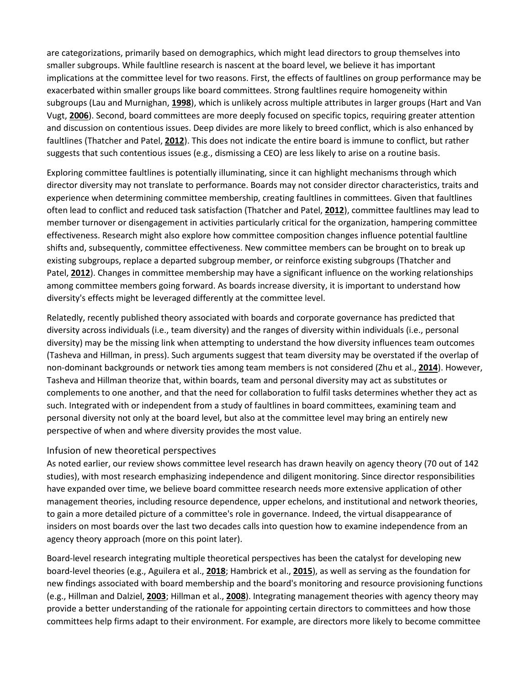are categorizations, primarily based on demographics, which might lead directors to group themselves into smaller subgroups. While faultline research is nascent at the board level, we believe it has important implications at the committee level for two reasons. First, the effects of faultlines on group performance may be exacerbated within smaller groups like board committees. Strong faultlines require homogeneity within subgroups (Lau and Murnighan, **[1998](https://onlinelibrary.wiley.com/doi/full/10.1111/joms.12444#joms12444-bib-0144)**), which is unlikely across multiple attributes in larger groups (Hart and Van Vugt, **[2006](https://onlinelibrary.wiley.com/doi/full/10.1111/joms.12444#joms12444-bib-0109)**). Second, board committees are more deeply focused on specific topics, requiring greater attention and discussion on contentious issues. Deep divides are more likely to breed conflict, which is also enhanced by faultlines (Thatcher and Patel, **[2012](https://onlinelibrary.wiley.com/doi/full/10.1111/joms.12444#joms12444-bib-0182)**). This does not indicate the entire board is immune to conflict, but rather suggests that such contentious issues (e.g., dismissing a CEO) are less likely to arise on a routine basis.

Exploring committee faultlines is potentially illuminating, since it can highlight mechanisms through which director diversity may not translate to performance. Boards may not consider director characteristics, traits and experience when determining committee membership, creating faultlines in committees. Given that faultlines often lead to conflict and reduced task satisfaction (Thatcher and Patel, **[2012](https://onlinelibrary.wiley.com/doi/full/10.1111/joms.12444#joms12444-bib-0182)**), committee faultlines may lead to member turnover or disengagement in activities particularly critical for the organization, hampering committee effectiveness. Research might also explore how committee composition changes influence potential faultline shifts and, subsequently, committee effectiveness. New committee members can be brought on to break up existing subgroups, replace a departed subgroup member, or reinforce existing subgroups (Thatcher and Patel, **[2012](https://onlinelibrary.wiley.com/doi/full/10.1111/joms.12444#joms12444-bib-0182)**). Changes in committee membership may have a significant influence on the working relationships among committee members going forward. As boards increase diversity, it is important to understand how diversity's effects might be leveraged differently at the committee level.

Relatedly, recently published theory associated with boards and corporate governance has predicted that diversity across individuals (i.e., team diversity) and the ranges of diversity within individuals (i.e., personal diversity) may be the missing link when attempting to understand the how diversity influences team outcomes (Tasheva and Hillman, in press). Such arguments suggest that team diversity may be overstated if the overlap of non-dominant backgrounds or network ties among team members is not considered (Zhu et al., **[2014](https://onlinelibrary.wiley.com/doi/full/10.1111/joms.12444#joms12444-bib-0198)**). However, Tasheva and Hillman theorize that, within boards, team and personal diversity may act as substitutes or complements to one another, and that the need for collaboration to fulfil tasks determines whether they act as such. Integrated with or independent from a study of faultlines in board committees, examining team and personal diversity not only at the board level, but also at the committee level may bring an entirely new perspective of when and where diversity provides the most value.

## Infusion of new theoretical perspectives

As noted earlier, our review shows committee level research has drawn heavily on agency theory (70 out of 142 studies), with most research emphasizing independence and diligent monitoring. Since director responsibilities have expanded over time, we believe board committee research needs more extensive application of other management theories, including resource dependence, upper echelons, and institutional and network theories, to gain a more detailed picture of a committee's role in governance. Indeed, the virtual disappearance of insiders on most boards over the last two decades calls into question how to examine independence from an agency theory approach (more on this point later).

Board-level research integrating multiple theoretical perspectives has been the catalyst for developing new board-level theories (e.g., Aguilera et al., **[2018](https://onlinelibrary.wiley.com/doi/full/10.1111/joms.12444#joms12444-bib-0010)**; Hambrick et al., **[2015](https://onlinelibrary.wiley.com/doi/full/10.1111/joms.12444#joms12444-bib-0108)**), as well as serving as the foundation for new findings associated with board membership and the board's monitoring and resource provisioning functions (e.g., Hillman and Dalziel, **[2003](https://onlinelibrary.wiley.com/doi/full/10.1111/joms.12444#joms12444-bib-0114)**; Hillman et al., **[2008](https://onlinelibrary.wiley.com/doi/full/10.1111/joms.12444#joms12444-bib-0118)**). Integrating management theories with agency theory may provide a better understanding of the rationale for appointing certain directors to committees and how those committees help firms adapt to their environment. For example, are directors more likely to become committee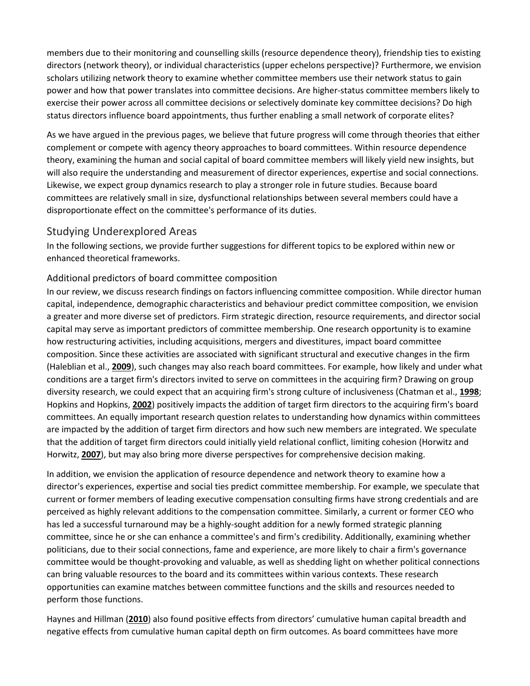members due to their monitoring and counselling skills (resource dependence theory), friendship ties to existing directors (network theory), or individual characteristics (upper echelons perspective)? Furthermore, we envision scholars utilizing network theory to examine whether committee members use their network status to gain power and how that power translates into committee decisions. Are higher-status committee members likely to exercise their power across all committee decisions or selectively dominate key committee decisions? Do high status directors influence board appointments, thus further enabling a small network of corporate elites?

As we have argued in the previous pages, we believe that future progress will come through theories that either complement or compete with agency theory approaches to board committees. Within resource dependence theory, examining the human and social capital of board committee members will likely yield new insights, but will also require the understanding and measurement of director experiences, expertise and social connections. Likewise, we expect group dynamics research to play a stronger role in future studies. Because board committees are relatively small in size, dysfunctional relationships between several members could have a disproportionate effect on the committee's performance of its duties.

## Studying Underexplored Areas

In the following sections, we provide further suggestions for different topics to be explored within new or enhanced theoretical frameworks.

## Additional predictors of board committee composition

In our review, we discuss research findings on factors influencing committee composition. While director human capital, independence, demographic characteristics and behaviour predict committee composition, we envision a greater and more diverse set of predictors. Firm strategic direction, resource requirements, and director social capital may serve as important predictors of committee membership. One research opportunity is to examine how restructuring activities, including acquisitions, mergers and divestitures, impact board committee composition. Since these activities are associated with significant structural and executive changes in the firm (Haleblian et al., **[2009](https://onlinelibrary.wiley.com/doi/full/10.1111/joms.12444#joms12444-bib-0107)**), such changes may also reach board committees. For example, how likely and under what conditions are a target firm's directors invited to serve on committees in the acquiring firm? Drawing on group diversity research, we could expect that an acquiring firm's strong culture of inclusiveness (Chatman et al., **[1998](https://onlinelibrary.wiley.com/doi/full/10.1111/joms.12444#joms12444-bib-0045)**; Hopkins and Hopkins, **[2002](https://onlinelibrary.wiley.com/doi/full/10.1111/joms.12444#joms12444-bib-0121)**) positively impacts the addition of target firm directors to the acquiring firm's board committees. An equally important research question relates to understanding how dynamics within committees are impacted by the addition of target firm directors and how such new members are integrated. We speculate that the addition of target firm directors could initially yield relational conflict, limiting cohesion (Horwitz and Horwitz, **[2007](https://onlinelibrary.wiley.com/doi/full/10.1111/joms.12444#joms12444-bib-0122)**), but may also bring more diverse perspectives for comprehensive decision making.

In addition, we envision the application of resource dependence and network theory to examine how a director's experiences, expertise and social ties predict committee membership. For example, we speculate that current or former members of leading executive compensation consulting firms have strong credentials and are perceived as highly relevant additions to the compensation committee. Similarly, a current or former CEO who has led a successful turnaround may be a highly-sought addition for a newly formed strategic planning committee, since he or she can enhance a committee's and firm's credibility. Additionally, examining whether politicians, due to their social connections, fame and experience, are more likely to chair a firm's governance committee would be thought-provoking and valuable, as well as shedding light on whether political connections can bring valuable resources to the board and its committees within various contexts. These research opportunities can examine matches between committee functions and the skills and resources needed to perform those functions.

Haynes and Hillman (**[2010](https://onlinelibrary.wiley.com/doi/full/10.1111/joms.12444#joms12444-bib-0110)**) also found positive effects from directors' cumulative human capital breadth and negative effects from cumulative human capital depth on firm outcomes. As board committees have more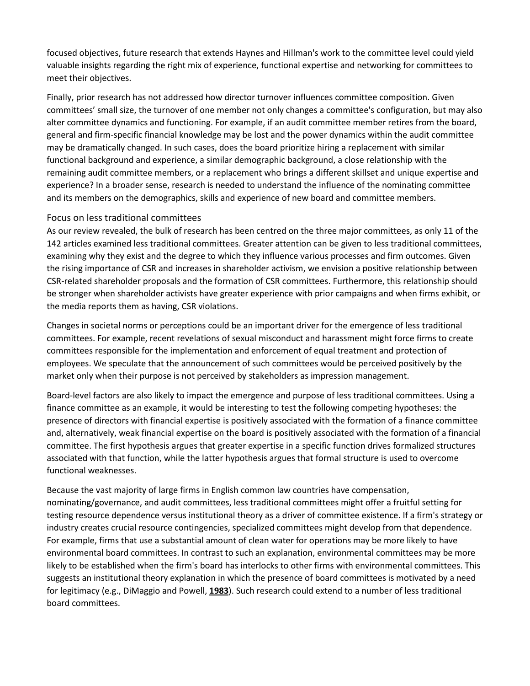focused objectives, future research that extends Haynes and Hillman's work to the committee level could yield valuable insights regarding the right mix of experience, functional expertise and networking for committees to meet their objectives.

Finally, prior research has not addressed how director turnover influences committee composition. Given committees' small size, the turnover of one member not only changes a committee's configuration, but may also alter committee dynamics and functioning. For example, if an audit committee member retires from the board, general and firm-specific financial knowledge may be lost and the power dynamics within the audit committee may be dramatically changed. In such cases, does the board prioritize hiring a replacement with similar functional background and experience, a similar demographic background, a close relationship with the remaining audit committee members, or a replacement who brings a different skillset and unique expertise and experience? In a broader sense, research is needed to understand the influence of the nominating committee and its members on the demographics, skills and experience of new board and committee members.

#### Focus on less traditional committees

As our review revealed, the bulk of research has been centred on the three major committees, as only 11 of the 142 articles examined less traditional committees. Greater attention can be given to less traditional committees, examining why they exist and the degree to which they influence various processes and firm outcomes. Given the rising importance of CSR and increases in shareholder activism, we envision a positive relationship between CSR-related shareholder proposals and the formation of CSR committees. Furthermore, this relationship should be stronger when shareholder activists have greater experience with prior campaigns and when firms exhibit, or the media reports them as having, CSR violations.

Changes in societal norms or perceptions could be an important driver for the emergence of less traditional committees. For example, recent revelations of sexual misconduct and harassment might force firms to create committees responsible for the implementation and enforcement of equal treatment and protection of employees. We speculate that the announcement of such committees would be perceived positively by the market only when their purpose is not perceived by stakeholders as impression management.

Board-level factors are also likely to impact the emergence and purpose of less traditional committees. Using a finance committee as an example, it would be interesting to test the following competing hypotheses: the presence of directors with financial expertise is positively associated with the formation of a finance committee and, alternatively, weak financial expertise on the board is positively associated with the formation of a financial committee. The first hypothesis argues that greater expertise in a specific function drives formalized structures associated with that function, while the latter hypothesis argues that formal structure is used to overcome functional weaknesses.

Because the vast majority of large firms in English common law countries have compensation, nominating/governance, and audit committees, less traditional committees might offer a fruitful setting for testing resource dependence versus institutional theory as a driver of committee existence. If a firm's strategy or industry creates crucial resource contingencies, specialized committees might develop from that dependence. For example, firms that use a substantial amount of clean water for operations may be more likely to have environmental board committees. In contrast to such an explanation, environmental committees may be more likely to be established when the firm's board has interlocks to other firms with environmental committees. This suggests an institutional theory explanation in which the presence of board committees is motivated by a need for legitimacy (e.g., DiMaggio and Powell, **[1983](https://onlinelibrary.wiley.com/doi/full/10.1111/joms.12444#joms12444-bib-0069)**). Such research could extend to a number of less traditional board committees.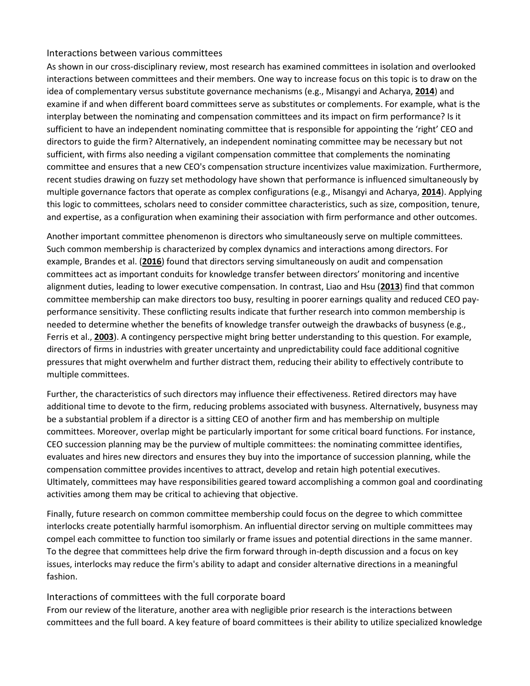#### Interactions between various committees

As shown in our cross-disciplinary review, most research has examined committees in isolation and overlooked interactions between committees and their members. One way to increase focus on this topic is to draw on the idea of complementary versus substitute governance mechanisms (e.g., Misangyi and Acharya, **[2014](https://onlinelibrary.wiley.com/doi/full/10.1111/joms.12444#joms12444-bib-0156)**) and examine if and when different board committees serve as substitutes or complements. For example, what is the interplay between the nominating and compensation committees and its impact on firm performance? Is it sufficient to have an independent nominating committee that is responsible for appointing the 'right' CEO and directors to guide the firm? Alternatively, an independent nominating committee may be necessary but not sufficient, with firms also needing a vigilant compensation committee that complements the nominating committee and ensures that a new CEO's compensation structure incentivizes value maximization. Furthermore, recent studies drawing on fuzzy set methodology have shown that performance is influenced simultaneously by multiple governance factors that operate as complex configurations (e.g., Misangyi and Acharya, **[2014](https://onlinelibrary.wiley.com/doi/full/10.1111/joms.12444#joms12444-bib-0156)**). Applying this logic to committees, scholars need to consider committee characteristics, such as size, composition, tenure, and expertise, as a configuration when examining their association with firm performance and other outcomes.

Another important committee phenomenon is directors who simultaneously serve on multiple committees. Such common membership is characterized by complex dynamics and interactions among directors. For example, Brandes et al. (**[2016](https://onlinelibrary.wiley.com/doi/full/10.1111/joms.12444#joms12444-bib-0029)**) found that directors serving simultaneously on audit and compensation committees act as important conduits for knowledge transfer between directors' monitoring and incentive alignment duties, leading to lower executive compensation. In contrast, Liao and Hsu (**[2013](https://onlinelibrary.wiley.com/doi/full/10.1111/joms.12444#joms12444-bib-0148)**) find that common committee membership can make directors too busy, resulting in poorer earnings quality and reduced CEO payperformance sensitivity. These conflicting results indicate that further research into common membership is needed to determine whether the benefits of knowledge transfer outweigh the drawbacks of busyness (e.g., Ferris et al., **[2003](https://onlinelibrary.wiley.com/doi/full/10.1111/joms.12444#joms12444-bib-0088)**). A contingency perspective might bring better understanding to this question. For example, directors of firms in industries with greater uncertainty and unpredictability could face additional cognitive pressures that might overwhelm and further distract them, reducing their ability to effectively contribute to multiple committees.

Further, the characteristics of such directors may influence their effectiveness. Retired directors may have additional time to devote to the firm, reducing problems associated with busyness. Alternatively, busyness may be a substantial problem if a director is a sitting CEO of another firm and has membership on multiple committees. Moreover, overlap might be particularly important for some critical board functions. For instance, CEO succession planning may be the purview of multiple committees: the nominating committee identifies, evaluates and hires new directors and ensures they buy into the importance of succession planning, while the compensation committee provides incentives to attract, develop and retain high potential executives. Ultimately, committees may have responsibilities geared toward accomplishing a common goal and coordinating activities among them may be critical to achieving that objective.

Finally, future research on common committee membership could focus on the degree to which committee interlocks create potentially harmful isomorphism. An influential director serving on multiple committees may compel each committee to function too similarly or frame issues and potential directions in the same manner. To the degree that committees help drive the firm forward through in-depth discussion and a focus on key issues, interlocks may reduce the firm's ability to adapt and consider alternative directions in a meaningful fashion.

## Interactions of committees with the full corporate board

From our review of the literature, another area with negligible prior research is the interactions between committees and the full board. A key feature of board committees is their ability to utilize specialized knowledge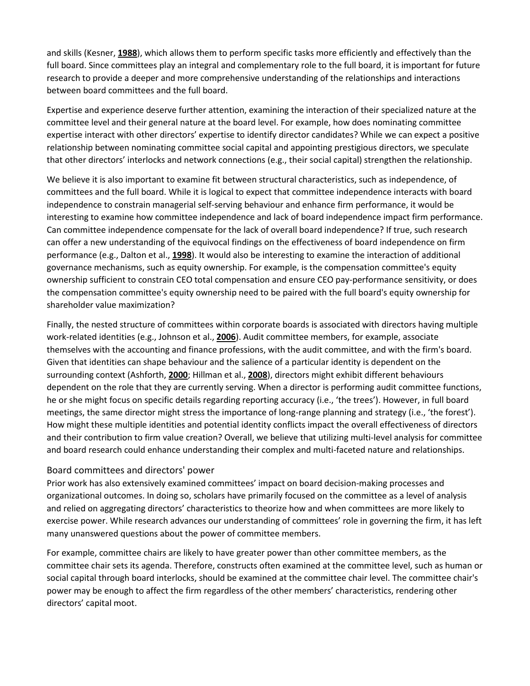and skills (Kesner, **[1988](https://onlinelibrary.wiley.com/doi/full/10.1111/joms.12444#joms12444-bib-0133)**), which allows them to perform specific tasks more efficiently and effectively than the full board. Since committees play an integral and complementary role to the full board, it is important for future research to provide a deeper and more comprehensive understanding of the relationships and interactions between board committees and the full board.

Expertise and experience deserve further attention, examining the interaction of their specialized nature at the committee level and their general nature at the board level. For example, how does nominating committee expertise interact with other directors' expertise to identify director candidates? While we can expect a positive relationship between nominating committee social capital and appointing prestigious directors, we speculate that other directors' interlocks and network connections (e.g., their social capital) strengthen the relationship.

We believe it is also important to examine fit between structural characteristics, such as independence, of committees and the full board. While it is logical to expect that committee independence interacts with board independence to constrain managerial self-serving behaviour and enhance firm performance, it would be interesting to examine how committee independence and lack of board independence impact firm performance. Can committee independence compensate for the lack of overall board independence? If true, such research can offer a new understanding of the equivocal findings on the effectiveness of board independence on firm performance (e.g., Dalton et al., **[1998](https://onlinelibrary.wiley.com/doi/full/10.1111/joms.12444#joms12444-bib-0061)**). It would also be interesting to examine the interaction of additional governance mechanisms, such as equity ownership. For example, is the compensation committee's equity ownership sufficient to constrain CEO total compensation and ensure CEO pay-performance sensitivity, or does the compensation committee's equity ownership need to be paired with the full board's equity ownership for shareholder value maximization?

Finally, the nested structure of committees within corporate boards is associated with directors having multiple work-related identities (e.g., Johnson et al., **[2006](https://onlinelibrary.wiley.com/doi/full/10.1111/joms.12444#joms12444-bib-0126)**). Audit committee members, for example, associate themselves with the accounting and finance professions, with the audit committee, and with the firm's board. Given that identities can shape behaviour and the salience of a particular identity is dependent on the surrounding context (Ashforth, **[2000](https://onlinelibrary.wiley.com/doi/full/10.1111/joms.12444#joms12444-bib-0015)**; Hillman et al., **[2008](https://onlinelibrary.wiley.com/doi/full/10.1111/joms.12444#joms12444-bib-0118)**), directors might exhibit different behaviours dependent on the role that they are currently serving. When a director is performing audit committee functions, he or she might focus on specific details regarding reporting accuracy (i.e., 'the trees'). However, in full board meetings, the same director might stress the importance of long-range planning and strategy (i.e., 'the forest'). How might these multiple identities and potential identity conflicts impact the overall effectiveness of directors and their contribution to firm value creation? Overall, we believe that utilizing multi-level analysis for committee and board research could enhance understanding their complex and multi-faceted nature and relationships.

## Board committees and directors' power

Prior work has also extensively examined committees' impact on board decision-making processes and organizational outcomes. In doing so, scholars have primarily focused on the committee as a level of analysis and relied on aggregating directors' characteristics to theorize how and when committees are more likely to exercise power. While research advances our understanding of committees' role in governing the firm, it has left many unanswered questions about the power of committee members.

For example, committee chairs are likely to have greater power than other committee members, as the committee chair sets its agenda. Therefore, constructs often examined at the committee level, such as human or social capital through board interlocks, should be examined at the committee chair level. The committee chair's power may be enough to affect the firm regardless of the other members' characteristics, rendering other directors' capital moot.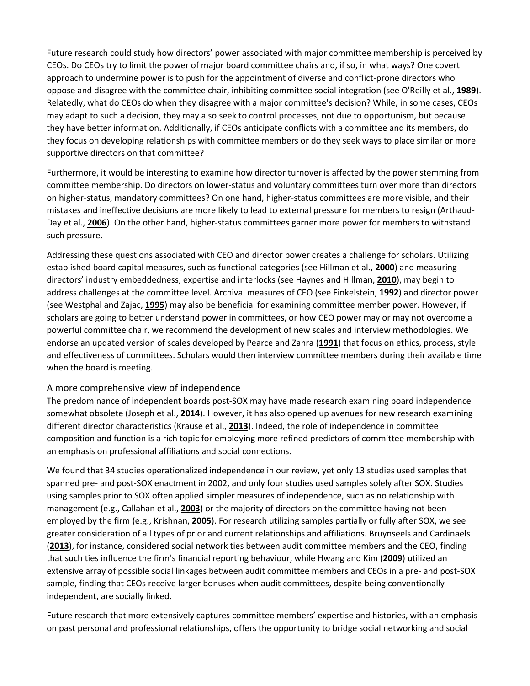Future research could study how directors' power associated with major committee membership is perceived by CEOs. Do CEOs try to limit the power of major board committee chairs and, if so, in what ways? One covert approach to undermine power is to push for the appointment of diverse and conflict-prone directors who oppose and disagree with the committee chair, inhibiting committee social integration (see O'Reilly et al., **[1989](https://onlinelibrary.wiley.com/doi/full/10.1111/joms.12444#joms12444-bib-0163)**). Relatedly, what do CEOs do when they disagree with a major committee's decision? While, in some cases, CEOs may adapt to such a decision, they may also seek to control processes, not due to opportunism, but because they have better information. Additionally, if CEOs anticipate conflicts with a committee and its members, do they focus on developing relationships with committee members or do they seek ways to place similar or more supportive directors on that committee?

Furthermore, it would be interesting to examine how director turnover is affected by the power stemming from committee membership. Do directors on lower-status and voluntary committees turn over more than directors on higher-status, mandatory committees? On one hand, higher-status committees are more visible, and their mistakes and ineffective decisions are more likely to lead to external pressure for members to resign (Arthaud-Day et al., **[2006](https://onlinelibrary.wiley.com/doi/full/10.1111/joms.12444#joms12444-bib-0014)**). On the other hand, higher-status committees garner more power for members to withstand such pressure.

Addressing these questions associated with CEO and director power creates a challenge for scholars. Utilizing established board capital measures, such as functional categories (see Hillman et al., **[2000](https://onlinelibrary.wiley.com/doi/full/10.1111/joms.12444#joms12444-bib-0115)**) and measuring directors' industry embeddedness, expertise and interlocks (see Haynes and Hillman, **[2010](https://onlinelibrary.wiley.com/doi/full/10.1111/joms.12444#joms12444-bib-0110)**), may begin to address challenges at the committee level. Archival measures of CEO (see Finkelstein, **[1992](https://onlinelibrary.wiley.com/doi/full/10.1111/joms.12444#joms12444-bib-0093)**) and director power (see Westphal and Zajac, **[1995](https://onlinelibrary.wiley.com/doi/full/10.1111/joms.12444#joms12444-bib-0193)**) may also be beneficial for examining committee member power. However, if scholars are going to better understand power in committees, or how CEO power may or may not overcome a powerful committee chair, we recommend the development of new scales and interview methodologies. We endorse an updated version of scales developed by Pearce and Zahra (**[1991](https://onlinelibrary.wiley.com/doi/full/10.1111/joms.12444#joms12444-bib-0164)**) that focus on ethics, process, style and effectiveness of committees. Scholars would then interview committee members during their available time when the board is meeting.

#### A more comprehensive view of independence

The predominance of independent boards post-SOX may have made research examining board independence somewhat obsolete (Joseph et al., **[2014](https://onlinelibrary.wiley.com/doi/full/10.1111/joms.12444#joms12444-bib-0129)**). However, it has also opened up avenues for new research examining different director characteristics (Krause et al., **[2013](https://onlinelibrary.wiley.com/doi/full/10.1111/joms.12444#joms12444-bib-0139)**). Indeed, the role of independence in committee composition and function is a rich topic for employing more refined predictors of committee membership with an emphasis on professional affiliations and social connections.

We found that 34 studies operationalized independence in our review, yet only 13 studies used samples that spanned pre- and post-SOX enactment in 2002, and only four studies used samples solely after SOX. Studies using samples prior to SOX often applied simpler measures of independence, such as no relationship with management (e.g., Callahan et al., **[2003](https://onlinelibrary.wiley.com/doi/full/10.1111/joms.12444#joms12444-bib-0035)**) or the majority of directors on the committee having not been employed by the firm (e.g., Krishnan, **[2005](https://onlinelibrary.wiley.com/doi/full/10.1111/joms.12444#joms12444-bib-0140)**). For research utilizing samples partially or fully after SOX, we see greater consideration of all types of prior and current relationships and affiliations. Bruynseels and Cardinaels (**[2013](https://onlinelibrary.wiley.com/doi/full/10.1111/joms.12444#joms12444-bib-0031)**), for instance, considered social network ties between audit committee members and the CEO, finding that such ties influence the firm's financial reporting behaviour, while Hwang and Kim (**[2009](https://onlinelibrary.wiley.com/doi/full/10.1111/joms.12444#joms12444-bib-0124)**) utilized an extensive array of possible social linkages between audit committee members and CEOs in a pre- and post-SOX sample, finding that CEOs receive larger bonuses when audit committees, despite being conventionally independent, are socially linked.

Future research that more extensively captures committee members' expertise and histories, with an emphasis on past personal and professional relationships, offers the opportunity to bridge social networking and social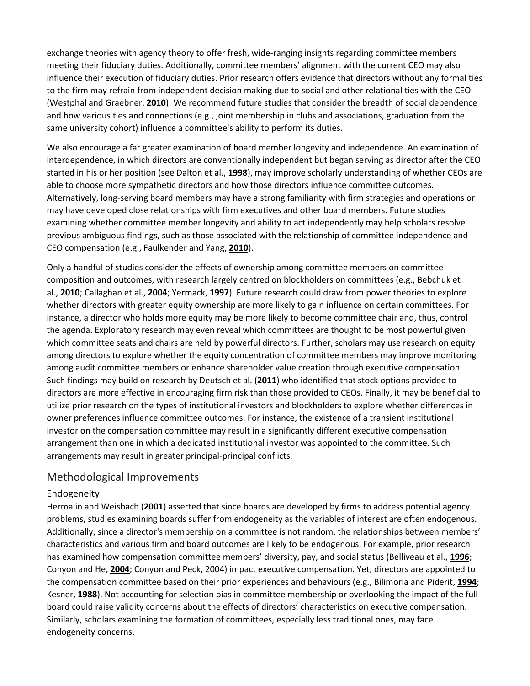exchange theories with agency theory to offer fresh, wide-ranging insights regarding committee members meeting their fiduciary duties. Additionally, committee members' alignment with the current CEO may also influence their execution of fiduciary duties. Prior research offers evidence that directors without any formal ties to the firm may refrain from independent decision making due to social and other relational ties with the CEO (Westphal and Graebner, **[2010](https://onlinelibrary.wiley.com/doi/full/10.1111/joms.12444#joms12444-bib-0192)**). We recommend future studies that consider the breadth of social dependence and how various ties and connections (e.g., joint membership in clubs and associations, graduation from the same university cohort) influence a committee's ability to perform its duties.

We also encourage a far greater examination of board member longevity and independence. An examination of interdependence, in which directors are conventionally independent but began serving as director after the CEO started in his or her position (see Dalton et al., **[1998](https://onlinelibrary.wiley.com/doi/full/10.1111/joms.12444#joms12444-bib-0061)**), may improve scholarly understanding of whether CEOs are able to choose more sympathetic directors and how those directors influence committee outcomes. Alternatively, long-serving board members may have a strong familiarity with firm strategies and operations or may have developed close relationships with firm executives and other board members. Future studies examining whether committee member longevity and ability to act independently may help scholars resolve previous ambiguous findings, such as those associated with the relationship of committee independence and CEO compensation (e.g., Faulkender and Yang, **[2010](https://onlinelibrary.wiley.com/doi/full/10.1111/joms.12444#joms12444-bib-0085)**).

Only a handful of studies consider the effects of ownership among committee members on committee composition and outcomes, with research largely centred on blockholders on committees (e.g., Bebchuk et al., **[2010](https://onlinelibrary.wiley.com/doi/full/10.1111/joms.12444#joms12444-bib-0018)**; Callaghan et al., **[2004](https://onlinelibrary.wiley.com/doi/full/10.1111/joms.12444#joms12444-bib-0034)**; Yermack, **[1997](https://onlinelibrary.wiley.com/doi/full/10.1111/joms.12444#joms12444-bib-0195)**). Future research could draw from power theories to explore whether directors with greater equity ownership are more likely to gain influence on certain committees. For instance, a director who holds more equity may be more likely to become committee chair and, thus, control the agenda. Exploratory research may even reveal which committees are thought to be most powerful given which committee seats and chairs are held by powerful directors. Further, scholars may use research on equity among directors to explore whether the equity concentration of committee members may improve monitoring among audit committee members or enhance shareholder value creation through executive compensation. Such findings may build on research by Deutsch et al. (**[2011](https://onlinelibrary.wiley.com/doi/full/10.1111/joms.12444#joms12444-bib-0067)**) who identified that stock options provided to directors are more effective in encouraging firm risk than those provided to CEOs. Finally, it may be beneficial to utilize prior research on the types of institutional investors and blockholders to explore whether differences in owner preferences influence committee outcomes. For instance, the existence of a transient institutional investor on the compensation committee may result in a significantly different executive compensation arrangement than one in which a dedicated institutional investor was appointed to the committee. Such arrangements may result in greater principal-principal conflicts.

## Methodological Improvements

## Endogeneity

Hermalin and Weisbach (**[2001](https://onlinelibrary.wiley.com/doi/full/10.1111/joms.12444#joms12444-bib-0113)**) asserted that since boards are developed by firms to address potential agency problems, studies examining boards suffer from endogeneity as the variables of interest are often endogenous. Additionally, since a director's membership on a committee is not random, the relationships between members' characteristics and various firm and board outcomes are likely to be endogenous. For example, prior research has examined how compensation committee members' diversity, pay, and social status (Belliveau et al., **[1996](https://onlinelibrary.wiley.com/doi/full/10.1111/joms.12444#joms12444-bib-0023)**; Conyon and He, **[2004](https://onlinelibrary.wiley.com/doi/full/10.1111/joms.12444#joms12444-bib-0055)**; Conyon and Peck, 2004) impact executive compensation. Yet, directors are appointed to the compensation committee based on their prior experiences and behaviours (e.g., Bilimoria and Piderit, **[1994](https://onlinelibrary.wiley.com/doi/full/10.1111/joms.12444#joms12444-bib-0025)**; Kesner, **[1988](https://onlinelibrary.wiley.com/doi/full/10.1111/joms.12444#joms12444-bib-0133)**). Not accounting for selection bias in committee membership or overlooking the impact of the full board could raise validity concerns about the effects of directors' characteristics on executive compensation. Similarly, scholars examining the formation of committees, especially less traditional ones, may face endogeneity concerns.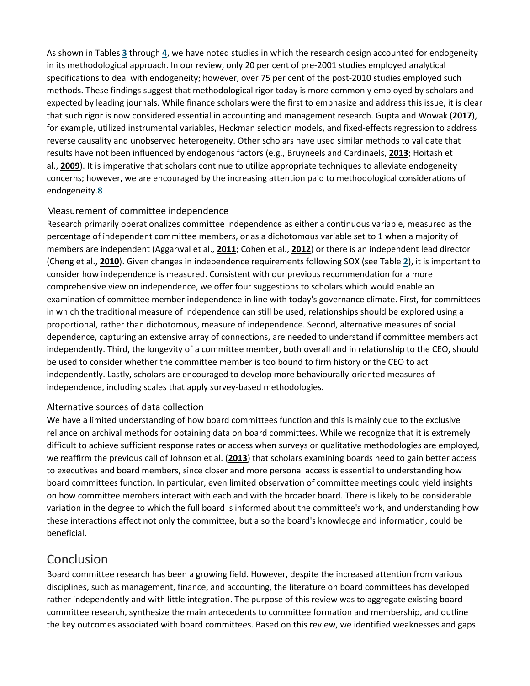As shown in Tables **[3](https://onlinelibrary.wiley.com/doi/full/10.1111/joms.12444#joms12444-tbl-0003)** through **[4](https://onlinelibrary.wiley.com/doi/full/10.1111/joms.12444#joms12444-tbl-0004)**, we have noted studies in which the research design accounted for endogeneity in its methodological approach. In our review, only 20 per cent of pre-2001 studies employed analytical specifications to deal with endogeneity; however, over 75 per cent of the post-2010 studies employed such methods. These findings suggest that methodological rigor today is more commonly employed by scholars and expected by leading journals. While finance scholars were the first to emphasize and address this issue, it is clear that such rigor is now considered essential in accounting and management research. Gupta and Wowak (**[2017](https://onlinelibrary.wiley.com/doi/full/10.1111/joms.12444#joms12444-bib-0105)**), for example, utilized instrumental variables, Heckman selection models, and fixed-effects regression to address reverse causality and unobserved heterogeneity. Other scholars have used similar methods to validate that results have not been influenced by endogenous factors (e.g., Bruyneels and Cardinaels, **[2013](https://onlinelibrary.wiley.com/doi/full/10.1111/joms.12444#joms12444-bib-0031)**; Hoitash et al., **[2009](https://onlinelibrary.wiley.com/doi/full/10.1111/joms.12444#joms12444-bib-0120)**). It is imperative that scholars continue to utilize appropriate techniques to alleviate endogeneity concerns; however, we are encouraged by the increasing attention paid to methodological considerations of endogeneity.**[8](https://onlinelibrary.wiley.com/doi/full/10.1111/joms.12444#joms12444-note-1008_370)**

## Measurement of committee independence

Research primarily operationalizes committee independence as either a continuous variable, measured as the percentage of independent committee members, or as a dichotomous variable set to 1 when a majority of members are independent (Aggarwal et al., **[2011](https://onlinelibrary.wiley.com/doi/full/10.1111/joms.12444#joms12444-bib-0006)**; Cohen et al., **[2012](https://onlinelibrary.wiley.com/doi/full/10.1111/joms.12444#joms12444-bib-0053)**) or there is an independent lead director (Cheng et al., **[2010](https://onlinelibrary.wiley.com/doi/full/10.1111/joms.12444#joms12444-bib-0048)**). Given changes in independence requirements following SOX (see Table **[2](https://onlinelibrary.wiley.com/doi/full/10.1111/joms.12444#joms12444-tbl-0002)**), it is important to consider how independence is measured. Consistent with our previous recommendation for a more comprehensive view on independence, we offer four suggestions to scholars which would enable an examination of committee member independence in line with today's governance climate. First, for committees in which the traditional measure of independence can still be used, relationships should be explored using a proportional, rather than dichotomous, measure of independence. Second, alternative measures of social dependence, capturing an extensive array of connections, are needed to understand if committee members act independently. Third, the longevity of a committee member, both overall and in relationship to the CEO, should be used to consider whether the committee member is too bound to firm history or the CEO to act independently. Lastly, scholars are encouraged to develop more behaviourally-oriented measures of independence, including scales that apply survey-based methodologies.

## Alternative sources of data collection

We have a limited understanding of how board committees function and this is mainly due to the exclusive reliance on archival methods for obtaining data on board committees. While we recognize that it is extremely difficult to achieve sufficient response rates or access when surveys or qualitative methodologies are employed, we reaffirm the previous call of Johnson et al. (**[2013](https://onlinelibrary.wiley.com/doi/full/10.1111/joms.12444#joms12444-bib-0127)**) that scholars examining boards need to gain better access to executives and board members, since closer and more personal access is essential to understanding how board committees function. In particular, even limited observation of committee meetings could yield insights on how committee members interact with each and with the broader board. There is likely to be considerable variation in the degree to which the full board is informed about the committee's work, and understanding how these interactions affect not only the committee, but also the board's knowledge and information, could be beneficial.

## Conclusion

Board committee research has been a growing field. However, despite the increased attention from various disciplines, such as management, finance, and accounting, the literature on board committees has developed rather independently and with little integration. The purpose of this review was to aggregate existing board committee research, synthesize the main antecedents to committee formation and membership, and outline the key outcomes associated with board committees. Based on this review, we identified weaknesses and gaps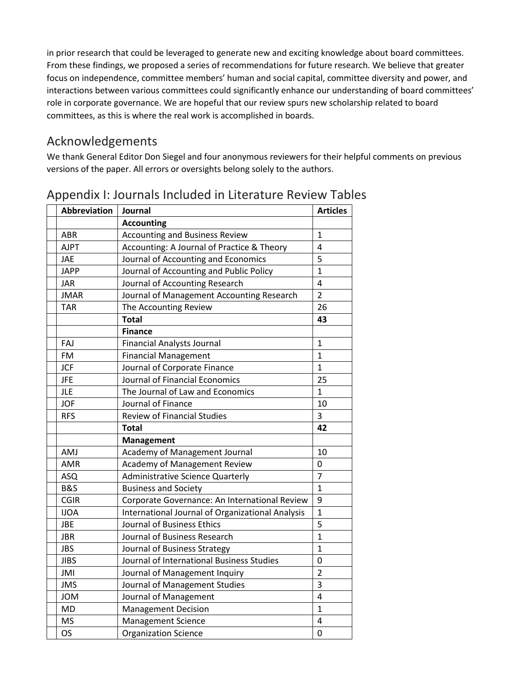in prior research that could be leveraged to generate new and exciting knowledge about board committees. From these findings, we proposed a series of recommendations for future research. We believe that greater focus on independence, committee members' human and social capital, committee diversity and power, and interactions between various committees could significantly enhance our understanding of board committees' role in corporate governance. We are hopeful that our review spurs new scholarship related to board committees, as this is where the real work is accomplished in boards.

## Acknowledgements

We thank General Editor Don Siegel and four anonymous reviewers for their helpful comments on previous versions of the paper. All errors or oversights belong solely to the authors.

| <b>Abbreviation</b> | Journal                                          | <b>Articles</b> |
|---------------------|--------------------------------------------------|-----------------|
|                     | <b>Accounting</b>                                |                 |
| ABR                 | <b>Accounting and Business Review</b>            | $\mathbf{1}$    |
| <b>AJPT</b>         | Accounting: A Journal of Practice & Theory       | 4               |
| <b>JAE</b>          | Journal of Accounting and Economics              | 5               |
| <b>JAPP</b>         | Journal of Accounting and Public Policy          | $\mathbf{1}$    |
| <b>JAR</b>          | Journal of Accounting Research                   | 4               |
| <b>JMAR</b>         | Journal of Management Accounting Research        | $\overline{2}$  |
| <b>TAR</b>          | The Accounting Review                            | 26              |
|                     | <b>Total</b>                                     | 43              |
|                     | <b>Finance</b>                                   |                 |
| FAJ                 | <b>Financial Analysts Journal</b>                | $\mathbf{1}$    |
| <b>FM</b>           | <b>Financial Management</b>                      | $\mathbf{1}$    |
| <b>JCF</b>          | Journal of Corporate Finance                     | $\mathbf{1}$    |
| <b>JFE</b>          | Journal of Financial Economics                   | 25              |
| <b>JLE</b>          | The Journal of Law and Economics                 | $\mathbf{1}$    |
| <b>JOF</b>          | Journal of Finance                               | 10              |
| <b>RFS</b>          | <b>Review of Financial Studies</b>               | 3               |
|                     | <b>Total</b>                                     | 42              |
|                     | <b>Management</b>                                |                 |
| AMJ                 | Academy of Management Journal                    | 10              |
| AMR                 | Academy of Management Review                     | 0               |
| ASQ                 | <b>Administrative Science Quarterly</b>          | $\overline{7}$  |
| <b>B&amp;S</b>      | <b>Business and Society</b>                      | $\mathbf{1}$    |
| <b>CGIR</b>         | Corporate Governance: An International Review    | 9               |
| <b>IJOA</b>         | International Journal of Organizational Analysis | $\mathbf{1}$    |
| <b>JBE</b>          | Journal of Business Ethics                       | 5               |
| <b>JBR</b>          | Journal of Business Research                     | $\overline{1}$  |
| <b>JBS</b>          | Journal of Business Strategy                     | $\mathbf{1}$    |
| <b>JIBS</b>         | Journal of International Business Studies        | 0               |
| JMI                 | Journal of Management Inquiry                    | $\overline{2}$  |
| <b>JMS</b>          | Journal of Management Studies                    | 3               |
| <b>JOM</b>          | Journal of Management                            | 4               |
| <b>MD</b>           | <b>Management Decision</b>                       | $\mathbf{1}$    |
| <b>MS</b>           | <b>Management Science</b>                        | 4               |
| <b>OS</b>           | <b>Organization Science</b>                      | 0               |

## Appendix I: Journals Included in Literature Review Tables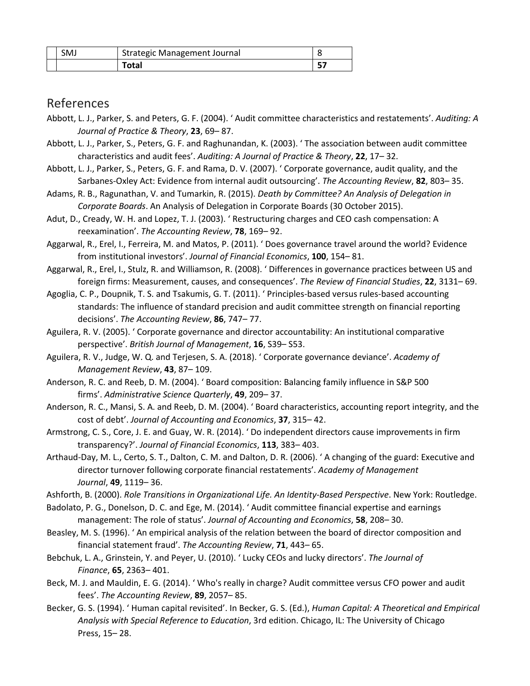| <b>SMJ</b> | Strategic Management Journal |  |
|------------|------------------------------|--|

## References

- Abbott, L. J., Parker, S. and Peters, G. F. (2004). ' Audit committee characteristics and restatements'. *Auditing: A Journal of Practice & Theory*, **23**, 69– 87.
- Abbott, L. J., Parker, S., Peters, G. F. and Raghunandan, K. (2003). ' The association between audit committee characteristics and audit fees'. *Auditing: A Journal of Practice & Theory*, **22**, 17– 32.
- Abbott, L. J., Parker, S., Peters, G. F. and Rama, D. V. (2007). ' Corporate governance, audit quality, and the Sarbanes-Oxley Act: Evidence from internal audit outsourcing'. *The Accounting Review*, **82**, 803– 35.
- Adams, R. B., Ragunathan, V. and Tumarkin, R. (2015). *Death by Committee? An Analysis of Delegation in Corporate Boards*. An Analysis of Delegation in Corporate Boards (30 October 2015).
- Adut, D., Cready, W. H. and Lopez, T. J. (2003). ' Restructuring charges and CEO cash compensation: A reexamination'. *The Accounting Review*, **78**, 169– 92.
- Aggarwal, R., Erel, I., Ferreira, M. and Matos, P. (2011). ' Does governance travel around the world? Evidence from institutional investors'. *Journal of Financial Economics*, **100**, 154– 81.
- Aggarwal, R., Erel, I., Stulz, R. and Williamson, R. (2008). ' Differences in governance practices between US and foreign firms: Measurement, causes, and consequences'. *The Review of Financial Studies*, **22**, 3131– 69.
- Agoglia, C. P., Doupnik, T. S. and Tsakumis, G. T. (2011). ' Principles-based versus rules-based accounting standards: The influence of standard precision and audit committee strength on financial reporting decisions'. *The Accounting Review*, **86**, 747– 77.
- Aguilera, R. V. (2005). ' Corporate governance and director accountability: An institutional comparative perspective'. *British Journal of Management*, **16**, S39– S53.
- Aguilera, R. V., Judge, W. Q. and Terjesen, S. A. (2018). ' Corporate governance deviance'. *Academy of Management Review*, **43**, 87– 109.
- Anderson, R. C. and Reeb, D. M. (2004). ' Board composition: Balancing family influence in S&P 500 firms'. *Administrative Science Quarterly*, **49**, 209– 37.
- Anderson, R. C., Mansi, S. A. and Reeb, D. M. (2004). ' Board characteristics, accounting report integrity, and the cost of debt'. *Journal of Accounting and Economics*, **37**, 315– 42.
- Armstrong, C. S., Core, J. E. and Guay, W. R. (2014). ' Do independent directors cause improvements in firm transparency?'. *Journal of Financial Economics*, **113**, 383– 403.
- Arthaud-Day, M. L., Certo, S. T., Dalton, C. M. and Dalton, D. R. (2006). ' A changing of the guard: Executive and director turnover following corporate financial restatements'. *Academy of Management Journal*, **49**, 1119– 36.
- Ashforth, B. (2000). *Role Transitions in Organizational Life. An Identity‐Based Perspective*. New York: Routledge.
- Badolato, P. G., Donelson, D. C. and Ege, M. (2014). ' Audit committee financial expertise and earnings management: The role of status'. *Journal of Accounting and Economics*, **58**, 208– 30.
- Beasley, M. S. (1996). ' An empirical analysis of the relation between the board of director composition and financial statement fraud'. *The Accounting Review*, **71**, 443– 65.
- Bebchuk, L. A., Grinstein, Y. and Peyer, U. (2010). ' Lucky CEOs and lucky directors'. *The Journal of Finance*, **65**, 2363– 401.
- Beck, M. J. and Mauldin, E. G. (2014). ' Who's really in charge? Audit committee versus CFO power and audit fees'. *The Accounting Review*, **89**, 2057– 85.
- Becker, G. S. (1994). ' Human capital revisited'. In Becker, G. S. (Ed.), *Human Capital: A Theoretical and Empirical Analysis with Special Reference to Education*, 3rd edition. Chicago, IL: The University of Chicago Press, 15– 28.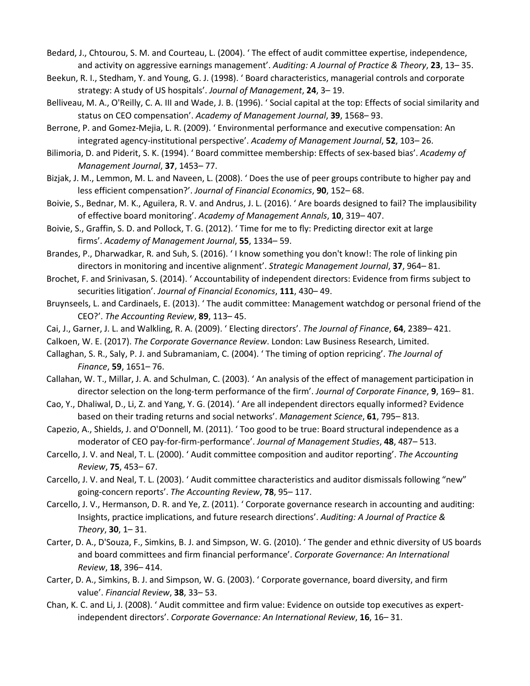Bedard, J., Chtourou, S. M. and Courteau, L. (2004). ' The effect of audit committee expertise, independence, and activity on aggressive earnings management'. *Auditing: A Journal of Practice & Theory*, **23**, 13– 35.

- Beekun, R. I., Stedham, Y. and Young, G. J. (1998). ' Board characteristics, managerial controls and corporate strategy: A study of US hospitals'. *Journal of Management*, **24**, 3– 19.
- Belliveau, M. A., O'Reilly, C. A. III and Wade, J. B. (1996). ' Social capital at the top: Effects of social similarity and status on CEO compensation'. *Academy of Management Journal*, **39**, 1568– 93.

Berrone, P. and Gomez-Mejia, L. R. (2009). ' Environmental performance and executive compensation: An integrated agency-institutional perspective'. *Academy of Management Journal*, **52**, 103– 26.

- Bilimoria, D. and Piderit, S. K. (1994). ' Board committee membership: Effects of sex-based bias'. *Academy of Management Journal*, **37**, 1453– 77.
- Bizjak, J. M., Lemmon, M. L. and Naveen, L. (2008). ' Does the use of peer groups contribute to higher pay and less efficient compensation?'. *Journal of Financial Economics*, **90**, 152– 68.
- Boivie, S., Bednar, M. K., Aguilera, R. V. and Andrus, J. L. (2016). ' Are boards designed to fail? The implausibility of effective board monitoring'. *Academy of Management Annals*, **10**, 319– 407.

Boivie, S., Graffin, S. D. and Pollock, T. G. (2012). ' Time for me to fly: Predicting director exit at large firms'. *Academy of Management Journal*, **55**, 1334– 59.

- Brandes, P., Dharwadkar, R. and Suh, S. (2016). ' I know something you don't know!: The role of linking pin directors in monitoring and incentive alignment'. *Strategic Management Journal*, **37**, 964– 81.
- Brochet, F. and Srinivasan, S. (2014). ' Accountability of independent directors: Evidence from firms subject to securities litigation'. *Journal of Financial Economics*, **111**, 430– 49.
- Bruynseels, L. and Cardinaels, E. (2013). ' The audit committee: Management watchdog or personal friend of the CEO?'. *The Accounting Review*, **89**, 113– 45.
- Cai, J., Garner, J. L. and Walkling, R. A. (2009). ' Electing directors'. *The Journal of Finance*, **64**, 2389– 421.
- Calkoen, W. E. (2017). *The Corporate Governance Review*. London: Law Business Research, Limited.
- Callaghan, S. R., Saly, P. J. and Subramaniam, C. (2004). ' The timing of option repricing'. *The Journal of Finance*, **59**, 1651– 76.
- Callahan, W. T., Millar, J. A. and Schulman, C. (2003). ' An analysis of the effect of management participation in director selection on the long-term performance of the firm'. *Journal of Corporate Finance*, **9**, 169– 81.
- Cao, Y., Dhaliwal, D., Li, Z. and Yang, Y. G. (2014). ' Are all independent directors equally informed? Evidence based on their trading returns and social networks'. *Management Science*, **61**, 795– 813.
- Capezio, A., Shields, J. and O'Donnell, M. (2011). ' Too good to be true: Board structural independence as a moderator of CEO pay-for-firm-performance'. *Journal of Management Studies*, **48**, 487– 513.
- Carcello, J. V. and Neal, T. L. (2000). ' Audit committee composition and auditor reporting'. *The Accounting Review*, **75**, 453– 67.
- Carcello, J. V. and Neal, T. L. (2003). ' Audit committee characteristics and auditor dismissals following "new" going-concern reports'. *The Accounting Review*, **78**, 95– 117.
- Carcello, J. V., Hermanson, D. R. and Ye, Z. (2011). ' Corporate governance research in accounting and auditing: Insights, practice implications, and future research directions'. *Auditing: A Journal of Practice & Theory*, **30**, 1– 31.
- Carter, D. A., D'Souza, F., Simkins, B. J. and Simpson, W. G. (2010). ' The gender and ethnic diversity of US boards and board committees and firm financial performance'. *Corporate Governance: An International Review*, **18**, 396– 414.
- Carter, D. A., Simkins, B. J. and Simpson, W. G. (2003). ' Corporate governance, board diversity, and firm value'. *Financial Review*, **38**, 33– 53.
- Chan, K. C. and Li, J. (2008). ' Audit committee and firm value: Evidence on outside top executives as expertindependent directors'. *Corporate Governance: An International Review*, **16**, 16– 31.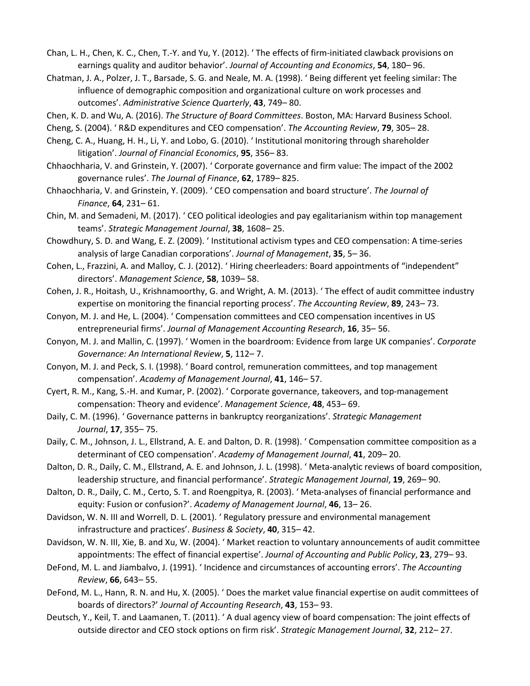- Chan, L. H., Chen, K. C., Chen, T.-Y. and Yu, Y. (2012). ' The effects of firm-initiated clawback provisions on earnings quality and auditor behavior'. *Journal of Accounting and Economics*, **54**, 180– 96.
- Chatman, J. A., Polzer, J. T., Barsade, S. G. and Neale, M. A. (1998). ' Being different yet feeling similar: The influence of demographic composition and organizational culture on work processes and outcomes'. *Administrative Science Quarterly*, **43**, 749– 80.
- Chen, K. D. and Wu, A. (2016). *The Structure of Board Committees*. Boston, MA: Harvard Business School.
- Cheng, S. (2004). ' R&D expenditures and CEO compensation'. *The Accounting Review*, **79**, 305– 28.
- Cheng, C. A., Huang, H. H., Li, Y. and Lobo, G. (2010). ' Institutional monitoring through shareholder litigation'. *Journal of Financial Economics*, **95**, 356– 83.
- Chhaochharia, V. and Grinstein, Y. (2007). ' Corporate governance and firm value: The impact of the 2002 governance rules'. *The Journal of Finance*, **62**, 1789– 825.
- Chhaochharia, V. and Grinstein, Y. (2009). ' CEO compensation and board structure'. *The Journal of Finance*, **64**, 231– 61.
- Chin, M. and Semadeni, M. (2017). ' CEO political ideologies and pay egalitarianism within top management teams'. *Strategic Management Journal*, **38**, 1608– 25.
- Chowdhury, S. D. and Wang, E. Z. (2009). ' Institutional activism types and CEO compensation: A time-series analysis of large Canadian corporations'. *Journal of Management*, **35**, 5– 36.
- Cohen, L., Frazzini, A. and Malloy, C. J. (2012). ' Hiring cheerleaders: Board appointments of "independent" directors'. *Management Science*, **58**, 1039– 58.
- Cohen, J. R., Hoitash, U., Krishnamoorthy, G. and Wright, A. M. (2013). ' The effect of audit committee industry expertise on monitoring the financial reporting process'. *The Accounting Review*, **89**, 243– 73.
- Conyon, M. J. and He, L. (2004). ' Compensation committees and CEO compensation incentives in US entrepreneurial firms'. *Journal of Management Accounting Research*, **16**, 35– 56.
- Conyon, M. J. and Mallin, C. (1997). ' Women in the boardroom: Evidence from large UK companies'. *Corporate Governance: An International Review*, **5**, 112– 7.
- Conyon, M. J. and Peck, S. I. (1998). ' Board control, remuneration committees, and top management compensation'. *Academy of Management Journal*, **41**, 146– 57.
- Cyert, R. M., Kang, S.-H. and Kumar, P. (2002). ' Corporate governance, takeovers, and top-management compensation: Theory and evidence'. *Management Science*, **48**, 453– 69.
- Daily, C. M. (1996). ' Governance patterns in bankruptcy reorganizations'. *Strategic Management Journal*, **17**, 355– 75.
- Daily, C. M., Johnson, J. L., Ellstrand, A. E. and Dalton, D. R. (1998). ' Compensation committee composition as a determinant of CEO compensation'. *Academy of Management Journal*, **41**, 209– 20.
- Dalton, D. R., Daily, C. M., Ellstrand, A. E. and Johnson, J. L. (1998). ' Meta-analytic reviews of board composition, leadership structure, and financial performance'. *Strategic Management Journal*, **19**, 269– 90.
- Dalton, D. R., Daily, C. M., Certo, S. T. and Roengpitya, R. (2003). ' Meta-analyses of financial performance and equity: Fusion or confusion?'. *Academy of Management Journal*, **46**, 13– 26.
- Davidson, W. N. III and Worrell, D. L. (2001). ' Regulatory pressure and environmental management infrastructure and practices'. *Business & Society*, **40**, 315– 42.
- Davidson, W. N. III, Xie, B. and Xu, W. (2004). ' Market reaction to voluntary announcements of audit committee appointments: The effect of financial expertise'. *Journal of Accounting and Public Policy*, **23**, 279– 93.
- DeFond, M. L. and Jiambalvo, J. (1991). ' Incidence and circumstances of accounting errors'. *The Accounting Review*, **66**, 643– 55.
- DeFond, M. L., Hann, R. N. and Hu, X. (2005). ' Does the market value financial expertise on audit committees of boards of directors?' *Journal of Accounting Research*, **43**, 153– 93.
- Deutsch, Y., Keil, T. and Laamanen, T. (2011). ' A dual agency view of board compensation: The joint effects of outside director and CEO stock options on firm risk'. *Strategic Management Journal*, **32**, 212– 27.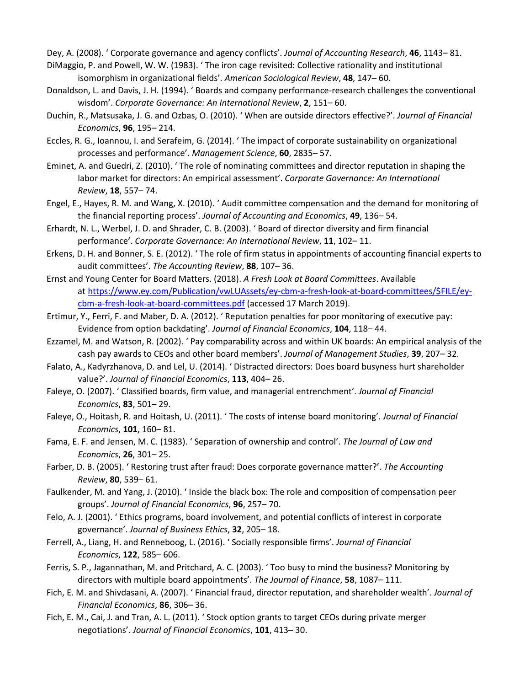Dey, A. (2008). ' Corporate governance and agency conflicts'. *Journal of Accounting Research*, **46**, 1143– 81.

- DiMaggio, P. and Powell, W. W. (1983). ' The iron cage revisited: Collective rationality and institutional isomorphism in organizational fields'. *American Sociological Review*, **48**, 147– 60.
- Donaldson, L. and Davis, J. H. (1994). ' Boards and company performance-research challenges the conventional wisdom'. *Corporate Governance: An International Review*, **2**, 151– 60.
- Duchin, R., Matsusaka, J. G. and Ozbas, O. (2010). ' When are outside directors effective?'. *Journal of Financial Economics*, **96**, 195– 214.
- Eccles, R. G., Ioannou, I. and Serafeim, G. (2014). ' The impact of corporate sustainability on organizational processes and performance'. *Management Science*, **60**, 2835– 57.
- Eminet, A. and Guedri, Z. (2010). ' The role of nominating committees and director reputation in shaping the labor market for directors: An empirical assessment'. *Corporate Governance: An International Review*, **18**, 557– 74.
- Engel, E., Hayes, R. M. and Wang, X. (2010). ' Audit committee compensation and the demand for monitoring of the financial reporting process'. *Journal of Accounting and Economics*, **49**, 136– 54.
- Erhardt, N. L., Werbel, J. D. and Shrader, C. B. (2003). ' Board of director diversity and firm financial performance'. *Corporate Governance: An International Review*, **11**, 102– 11.
- Erkens, D. H. and Bonner, S. E. (2012). ' The role of firm status in appointments of accounting financial experts to audit committees'. *The Accounting Review*, **88**, 107– 36.
- Ernst and Young Center for Board Matters. (2018). *A Fresh Look at Board Committees*. Available at [https://www.ey.com/Publication/vwLUAssets/ey-cbm-a-fresh-look-at-board-committees/\\$FILE/ey](https://www.ey.com/Publication/vwLUAssets/ey-cbm-a-fresh-look-at-board-committees/$FILE/ey-cbm-a-fresh-look-at-board-committees.pdf)[cbm-a-fresh-look-at-board-committees.pdf](https://www.ey.com/Publication/vwLUAssets/ey-cbm-a-fresh-look-at-board-committees/$FILE/ey-cbm-a-fresh-look-at-board-committees.pdf) (accessed 17 March 2019).
- Ertimur, Y., Ferri, F. and Maber, D. A. (2012). ' Reputation penalties for poor monitoring of executive pay: Evidence from option backdating'. *Journal of Financial Economics*, **104**, 118– 44.
- Ezzamel, M. and Watson, R. (2002). ' Pay comparability across and within UK boards: An empirical analysis of the cash pay awards to CEOs and other board members'. *Journal of Management Studies*, **39**, 207– 32.
- Falato, A., Kadyrzhanova, D. and Lel, U. (2014). ' Distracted directors: Does board busyness hurt shareholder value?'. *Journal of Financial Economics*, **113**, 404– 26.
- Faleye, O. (2007). ' Classified boards, firm value, and managerial entrenchment'. *Journal of Financial Economics*, **83**, 501– 29.
- Faleye, O., Hoitash, R. and Hoitash, U. (2011). ' The costs of intense board monitoring'. *Journal of Financial Economics*, **101**, 160– 81.
- Fama, E. F. and Jensen, M. C. (1983). ' Separation of ownership and control'. *The Journal of Law and Economics*, **26**, 301– 25.
- Farber, D. B. (2005). ' Restoring trust after fraud: Does corporate governance matter?'. *The Accounting Review*, **80**, 539– 61.
- Faulkender, M. and Yang, J. (2010). ' Inside the black box: The role and composition of compensation peer groups'. *Journal of Financial Economics*, **96**, 257– 70.
- Felo, A. J. (2001). ' Ethics programs, board involvement, and potential conflicts of interest in corporate governance'. *Journal of Business Ethics*, **32**, 205– 18.
- Ferrell, A., Liang, H. and Renneboog, L. (2016). ' Socially responsible firms'. *Journal of Financial Economics*, **122**, 585– 606.
- Ferris, S. P., Jagannathan, M. and Pritchard, A. C. (2003). ' Too busy to mind the business? Monitoring by directors with multiple board appointments'. *The Journal of Finance*, **58**, 1087– 111.
- Fich, E. M. and Shivdasani, A. (2007). ' Financial fraud, director reputation, and shareholder wealth'. *Journal of Financial Economics*, **86**, 306– 36.
- Fich, E. M., Cai, J. and Tran, A. L. (2011). ' Stock option grants to target CEOs during private merger negotiations'. *Journal of Financial Economics*, **101**, 413– 30.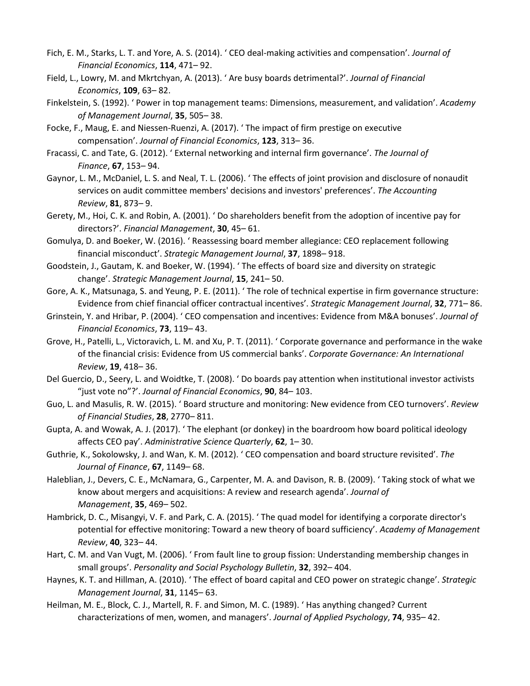- Fich, E. M., Starks, L. T. and Yore, A. S. (2014). ' CEO deal-making activities and compensation'. *Journal of Financial Economics*, **114**, 471– 92.
- Field, L., Lowry, M. and Mkrtchyan, A. (2013). ' Are busy boards detrimental?'. *Journal of Financial Economics*, **109**, 63– 82.
- Finkelstein, S. (1992). ' Power in top management teams: Dimensions, measurement, and validation'. *Academy of Management Journal*, **35**, 505– 38.
- Focke, F., Maug, E. and Niessen-Ruenzi, A. (2017). ' The impact of firm prestige on executive compensation'. *Journal of Financial Economics*, **123**, 313– 36.
- Fracassi, C. and Tate, G. (2012). ' External networking and internal firm governance'. *The Journal of Finance*, **67**, 153– 94.
- Gaynor, L. M., McDaniel, L. S. and Neal, T. L. (2006). ' The effects of joint provision and disclosure of nonaudit services on audit committee members' decisions and investors' preferences'. *The Accounting Review*, **81**, 873– 9.
- Gerety, M., Hoi, C. K. and Robin, A. (2001). ' Do shareholders benefit from the adoption of incentive pay for directors?'. *Financial Management*, **30**, 45– 61.
- Gomulya, D. and Boeker, W. (2016). ' Reassessing board member allegiance: CEO replacement following financial misconduct'. *Strategic Management Journal*, **37**, 1898– 918.
- Goodstein, J., Gautam, K. and Boeker, W. (1994). ' The effects of board size and diversity on strategic change'. *Strategic Management Journal*, **15**, 241– 50.
- Gore, A. K., Matsunaga, S. and Yeung, P. E. (2011). ' The role of technical expertise in firm governance structure: Evidence from chief financial officer contractual incentives'. *Strategic Management Journal*, **32**, 771– 86.
- Grinstein, Y. and Hribar, P. (2004). ' CEO compensation and incentives: Evidence from M&A bonuses'. *Journal of Financial Economics*, **73**, 119– 43.
- Grove, H., Patelli, L., Victoravich, L. M. and Xu, P. T. (2011). ' Corporate governance and performance in the wake of the financial crisis: Evidence from US commercial banks'. *Corporate Governance: An International Review*, **19**, 418– 36.
- Del Guercio, D., Seery, L. and Woidtke, T. (2008). ' Do boards pay attention when institutional investor activists "just vote no"?'. *Journal of Financial Economics*, **90**, 84– 103.
- Guo, L. and Masulis, R. W. (2015). ' Board structure and monitoring: New evidence from CEO turnovers'. *Review of Financial Studies*, **28**, 2770– 811.
- Gupta, A. and Wowak, A. J. (2017). ' The elephant (or donkey) in the boardroom how board political ideology affects CEO pay'. *Administrative Science Quarterly*, **62**, 1– 30.
- Guthrie, K., Sokolowsky, J. and Wan, K. M. (2012). ' CEO compensation and board structure revisited'. *The Journal of Finance*, **67**, 1149– 68.
- Haleblian, J., Devers, C. E., McNamara, G., Carpenter, M. A. and Davison, R. B. (2009). ' Taking stock of what we know about mergers and acquisitions: A review and research agenda'. *Journal of Management*, **35**, 469– 502.
- Hambrick, D. C., Misangyi, V. F. and Park, C. A. (2015). ' The quad model for identifying a corporate director's potential for effective monitoring: Toward a new theory of board sufficiency'. *Academy of Management Review*, **40**, 323– 44.
- Hart, C. M. and Van Vugt, M. (2006). ' From fault line to group fission: Understanding membership changes in small groups'. *Personality and Social Psychology Bulletin*, **32**, 392– 404.
- Haynes, K. T. and Hillman, A. (2010). ' The effect of board capital and CEO power on strategic change'. *Strategic Management Journal*, **31**, 1145– 63.
- Heilman, M. E., Block, C. J., Martell, R. F. and Simon, M. C. (1989). ' Has anything changed? Current characterizations of men, women, and managers'. *Journal of Applied Psychology*, **74**, 935– 42.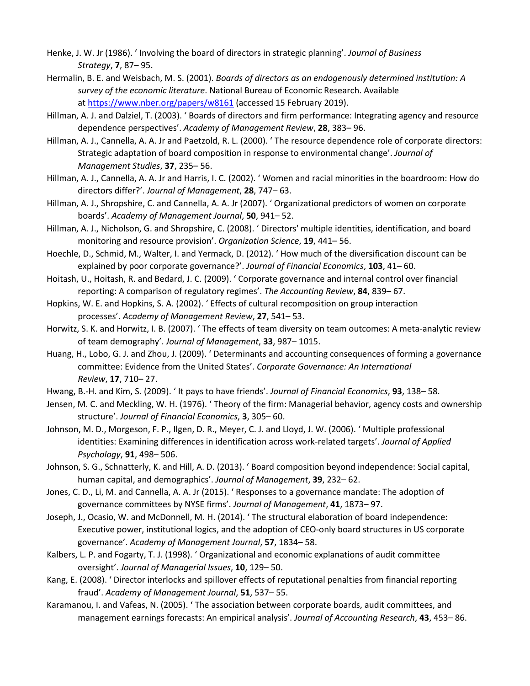- Henke, J. W. Jr (1986). ' Involving the board of directors in strategic planning'. *Journal of Business Strategy*, **7**, 87– 95.
- Hermalin, B. E. and Weisbach, M. S. (2001). *Boards of directors as an endogenously determined institution: A survey of the economic literature*. National Bureau of Economic Research. Available at <https://www.nber.org/papers/w8161> (accessed 15 February 2019).
- Hillman, A. J. and Dalziel, T. (2003). ' Boards of directors and firm performance: Integrating agency and resource dependence perspectives'. *Academy of Management Review*, **28**, 383– 96.
- Hillman, A. J., Cannella, A. A. Jr and Paetzold, R. L. (2000). ' The resource dependence role of corporate directors: Strategic adaptation of board composition in response to environmental change'. *Journal of Management Studies*, **37**, 235– 56.
- Hillman, A. J., Cannella, A. A. Jr and Harris, I. C. (2002). ' Women and racial minorities in the boardroom: How do directors differ?'. *Journal of Management*, **28**, 747– 63.
- Hillman, A. J., Shropshire, C. and Cannella, A. A. Jr (2007). ' Organizational predictors of women on corporate boards'. *Academy of Management Journal*, **50**, 941– 52.
- Hillman, A. J., Nicholson, G. and Shropshire, C. (2008). ' Directors' multiple identities, identification, and board monitoring and resource provision'. *Organization Science*, **19**, 441– 56.
- Hoechle, D., Schmid, M., Walter, I. and Yermack, D. (2012). ' How much of the diversification discount can be explained by poor corporate governance?'. *Journal of Financial Economics*, **103**, 41– 60.
- Hoitash, U., Hoitash, R. and Bedard, J. C. (2009). ' Corporate governance and internal control over financial reporting: A comparison of regulatory regimes'. *The Accounting Review*, **84**, 839– 67.
- Hopkins, W. E. and Hopkins, S. A. (2002). ' Effects of cultural recomposition on group interaction processes'. *Academy of Management Review*, **27**, 541– 53.
- Horwitz, S. K. and Horwitz, I. B. (2007). ' The effects of team diversity on team outcomes: A meta-analytic review of team demography'. *Journal of Management*, **33**, 987– 1015.
- Huang, H., Lobo, G. J. and Zhou, J. (2009). ' Determinants and accounting consequences of forming a governance committee: Evidence from the United States'. *Corporate Governance: An International Review*, **17**, 710– 27.
- Hwang, B.-H. and Kim, S. (2009). ' It pays to have friends'. *Journal of Financial Economics*, **93**, 138– 58.
- Jensen, M. C. and Meckling, W. H. (1976). ' Theory of the firm: Managerial behavior, agency costs and ownership structure'. *Journal of Financial Economics*, **3**, 305– 60.
- Johnson, M. D., Morgeson, F. P., Ilgen, D. R., Meyer, C. J. and Lloyd, J. W. (2006). ' Multiple professional identities: Examining differences in identification across work-related targets'. *Journal of Applied Psychology*, **91**, 498– 506.
- Johnson, S. G., Schnatterly, K. and Hill, A. D. (2013). ' Board composition beyond independence: Social capital, human capital, and demographics'. *Journal of Management*, **39**, 232– 62.
- Jones, C. D., Li, M. and Cannella, A. A. Jr (2015). ' Responses to a governance mandate: The adoption of governance committees by NYSE firms'. *Journal of Management*, **41**, 1873– 97.
- Joseph, J., Ocasio, W. and McDonnell, M. H. (2014). ' The structural elaboration of board independence: Executive power, institutional logics, and the adoption of CEO-only board structures in US corporate governance'. *Academy of Management Journal*, **57**, 1834– 58.
- Kalbers, L. P. and Fogarty, T. J. (1998). ' Organizational and economic explanations of audit committee oversight'. *Journal of Managerial Issues*, **10**, 129– 50.
- Kang, E. (2008). ' Director interlocks and spillover effects of reputational penalties from financial reporting fraud'. *Academy of Management Journal*, **51**, 537– 55.
- Karamanou, I. and Vafeas, N. (2005). ' The association between corporate boards, audit committees, and management earnings forecasts: An empirical analysis'. *Journal of Accounting Research*, **43**, 453– 86.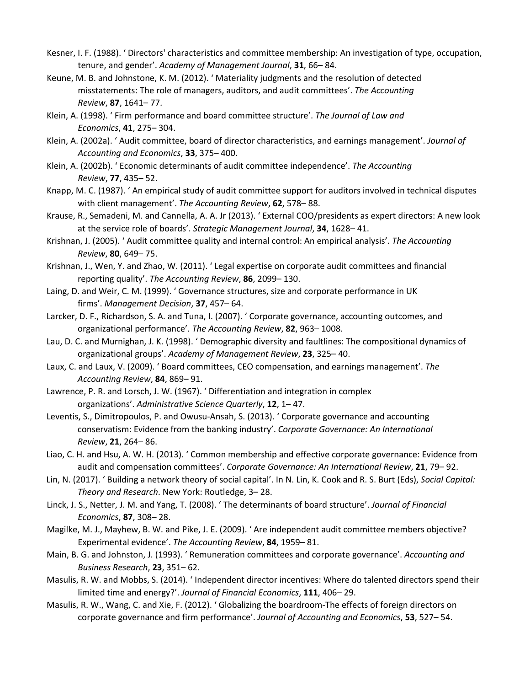- Kesner, I. F. (1988). ' Directors' characteristics and committee membership: An investigation of type, occupation, tenure, and gender'. *Academy of Management Journal*, **31**, 66– 84.
- Keune, M. B. and Johnstone, K. M. (2012). ' Materiality judgments and the resolution of detected misstatements: The role of managers, auditors, and audit committees'. *The Accounting Review*, **87**, 1641– 77.
- Klein, A. (1998). ' Firm performance and board committee structure'. *The Journal of Law and Economics*, **41**, 275– 304.
- Klein, A. (2002a). ' Audit committee, board of director characteristics, and earnings management'. *Journal of Accounting and Economics*, **33**, 375– 400.
- Klein, A. (2002b). ' Economic determinants of audit committee independence'. *The Accounting Review*, **77**, 435– 52.
- Knapp, M. C. (1987). ' An empirical study of audit committee support for auditors involved in technical disputes with client management'. *The Accounting Review*, **62**, 578– 88.
- Krause, R., Semadeni, M. and Cannella, A. A. Jr (2013). ' External COO/presidents as expert directors: A new look at the service role of boards'. *Strategic Management Journal*, **34**, 1628– 41.
- Krishnan, J. (2005). ' Audit committee quality and internal control: An empirical analysis'. *The Accounting Review*, **80**, 649– 75.
- Krishnan, J., Wen, Y. and Zhao, W. (2011). ' Legal expertise on corporate audit committees and financial reporting quality'. *The Accounting Review*, **86**, 2099– 130.
- Laing, D. and Weir, C. M. (1999). ' Governance structures, size and corporate performance in UK firms'. *Management Decision*, **37**, 457– 64.
- Larcker, D. F., Richardson, S. A. and Tuna, I. (2007). ' Corporate governance, accounting outcomes, and organizational performance'. *The Accounting Review*, **82**, 963– 1008.
- Lau, D. C. and Murnighan, J. K. (1998). ' Demographic diversity and faultlines: The compositional dynamics of organizational groups'. *Academy of Management Review*, **23**, 325– 40.
- Laux, C. and Laux, V. (2009). ' Board committees, CEO compensation, and earnings management'. *The Accounting Review*, **84**, 869– 91.
- Lawrence, P. R. and Lorsch, J. W. (1967). ' Differentiation and integration in complex organizations'. *Administrative Science Quarterly*, **12**, 1– 47.
- Leventis, S., Dimitropoulos, P. and Owusu-Ansah, S. (2013). ' Corporate governance and accounting conservatism: Evidence from the banking industry'. *Corporate Governance: An International Review*, **21**, 264– 86.
- Liao, C. H. and Hsu, A. W. H. (2013). ' Common membership and effective corporate governance: Evidence from audit and compensation committees'. *Corporate Governance: An International Review*, **21**, 79– 92.
- Lin, N. (2017). ' Building a network theory of social capital'. In N. Lin, K. Cook and R. S. Burt (Eds), *Social Capital: Theory and Research*. New York: Routledge, 3– 28.
- Linck, J. S., Netter, J. M. and Yang, T. (2008). ' The determinants of board structure'. *Journal of Financial Economics*, **87**, 308– 28.
- Magilke, M. J., Mayhew, B. W. and Pike, J. E. (2009). ' Are independent audit committee members objective? Experimental evidence'. *The Accounting Review*, **84**, 1959– 81.
- Main, B. G. and Johnston, J. (1993). ' Remuneration committees and corporate governance'. *Accounting and Business Research*, **23**, 351– 62.
- Masulis, R. W. and Mobbs, S. (2014). ' Independent director incentives: Where do talented directors spend their limited time and energy?'. *Journal of Financial Economics*, **111**, 406– 29.
- Masulis, R. W., Wang, C. and Xie, F. (2012). ' Globalizing the boardroom-The effects of foreign directors on corporate governance and firm performance'. *Journal of Accounting and Economics*, **53**, 527– 54.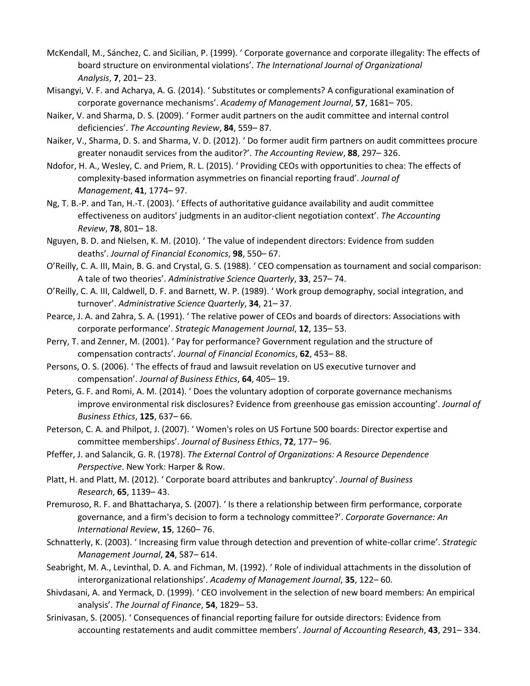- McKendall, M., Sánchez, C. and Sicilian, P. (1999). ' Corporate governance and corporate illegality: The effects of board structure on environmental violations'. *The International Journal of Organizational Analysis*, **7**, 201– 23.
- Misangyi, V. F. and Acharya, A. G. (2014). ' Substitutes or complements? A configurational examination of corporate governance mechanisms'. *Academy of Management Journal*, **57**, 1681– 705.
- Naiker, V. and Sharma, D. S. (2009). ' Former audit partners on the audit committee and internal control deficiencies'. *The Accounting Review*, **84**, 559– 87.
- Naiker, V., Sharma, D. S. and Sharma, V. D. (2012). ' Do former audit firm partners on audit committees procure greater nonaudit services from the auditor?'. *The Accounting Review*, **88**, 297– 326.
- Ndofor, H. A., Wesley, C. and Priem, R. L. (2015). ' Providing CEOs with opportunities to chea: The effects of complexity-based information asymmetries on financial reporting fraud'. *Journal of Management*, **41**, 1774– 97.
- Ng, T. B.-P. and Tan, H.-T. (2003). ' Effects of authoritative guidance availability and audit committee effectiveness on auditors' judgments in an auditor-client negotiation context'. *The Accounting Review*, **78**, 801– 18.
- Nguyen, B. D. and Nielsen, K. M. (2010). ' The value of independent directors: Evidence from sudden deaths'. *Journal of Financial Economics*, **98**, 550– 67.
- O'Reilly, C. A. III, Main, B. G. and Crystal, G. S. (1988). ' CEO compensation as tournament and social comparison: A tale of two theories'. *Administrative Science Quarterly*, **33**, 257– 74.
- O'Reilly, C. A. III, Caldwell, D. F. and Barnett, W. P. (1989). ' Work group demography, social integration, and turnover'. *Administrative Science Quarterly*, **34**, 21– 37.
- Pearce, J. A. and Zahra, S. A. (1991). ' The relative power of CEOs and boards of directors: Associations with corporate performance'. *Strategic Management Journal*, **12**, 135– 53.
- Perry, T. and Zenner, M. (2001). ' Pay for performance? Government regulation and the structure of compensation contracts'. *Journal of Financial Economics*, **62**, 453– 88.
- Persons, O. S. (2006). ' The effects of fraud and lawsuit revelation on US executive turnover and compensation'. *Journal of Business Ethics*, **64**, 405– 19.
- Peters, G. F. and Romi, A. M. (2014). ' Does the voluntary adoption of corporate governance mechanisms improve environmental risk disclosures? Evidence from greenhouse gas emission accounting'. *Journal of Business Ethics*, **125**, 637– 66.
- Peterson, C. A. and Philpot, J. (2007). ' Women's roles on US Fortune 500 boards: Director expertise and committee memberships'. *Journal of Business Ethics*, **72**, 177– 96.
- Pfeffer, J. and Salancik, G. R. (1978). *The External Control of Organizations: A Resource Dependence Perspective*. New York: Harper & Row.
- Platt, H. and Platt, M. (2012). ' Corporate board attributes and bankruptcy'. *Journal of Business Research*, **65**, 1139– 43.
- Premuroso, R. F. and Bhattacharya, S. (2007). ' Is there a relationship between firm performance, corporate governance, and a firm's decision to form a technology committee?'. *Corporate Governance: An International Review*, **15**, 1260– 76.
- Schnatterly, K. (2003). ' Increasing firm value through detection and prevention of white-collar crime'. *Strategic Management Journal*, **24**, 587– 614.
- Seabright, M. A., Levinthal, D. A. and Fichman, M. (1992). ' Role of individual attachments in the dissolution of interorganizational relationships'. *Academy of Management Journal*, **35**, 122– 60.
- Shivdasani, A. and Yermack, D. (1999). ' CEO involvement in the selection of new board members: An empirical analysis'. *The Journal of Finance*, **54**, 1829– 53.
- Srinivasan, S. (2005). ' Consequences of financial reporting failure for outside directors: Evidence from accounting restatements and audit committee members'. *Journal of Accounting Research*, **43**, 291– 334.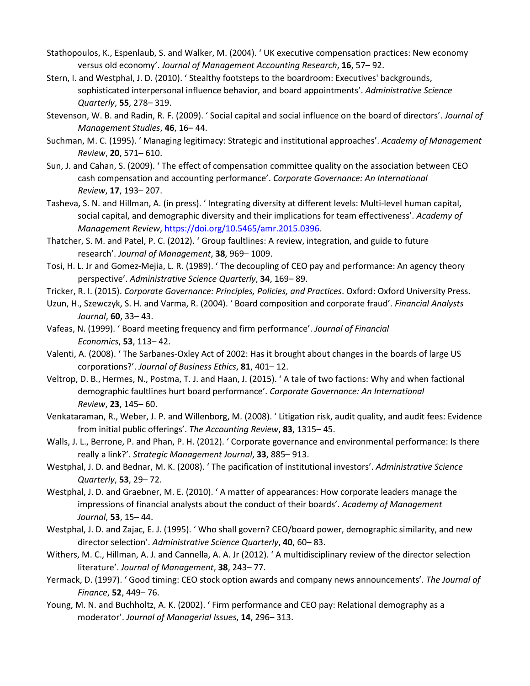- Stathopoulos, K., Espenlaub, S. and Walker, M. (2004). ' UK executive compensation practices: New economy versus old economy'. *Journal of Management Accounting Research*, **16**, 57– 92.
- Stern, I. and Westphal, J. D. (2010). ' Stealthy footsteps to the boardroom: Executives' backgrounds, sophisticated interpersonal influence behavior, and board appointments'. *Administrative Science Quarterly*, **55**, 278– 319.
- Stevenson, W. B. and Radin, R. F. (2009). ' Social capital and social influence on the board of directors'. *Journal of Management Studies*, **46**, 16– 44.
- Suchman, M. C. (1995). ' Managing legitimacy: Strategic and institutional approaches'. *Academy of Management Review*, **20**, 571– 610.
- Sun, J. and Cahan, S. (2009). ' The effect of compensation committee quality on the association between CEO cash compensation and accounting performance'. *Corporate Governance: An International Review*, **17**, 193– 207.
- Tasheva, S. N. and Hillman, A. (in press). ' Integrating diversity at different levels: Multi-level human capital, social capital, and demographic diversity and their implications for team effectiveness'. *Academy of Management Review*, [https://doi.org/10.5465/amr.2015.0396.](https://doi.org/10.5465/amr.2015.0396)
- Thatcher, S. M. and Patel, P. C. (2012). ' Group faultlines: A review, integration, and guide to future research'. *Journal of Management*, **38**, 969– 1009.
- Tosi, H. L. Jr and Gomez-Mejia, L. R. (1989). ' The decoupling of CEO pay and performance: An agency theory perspective'. *Administrative Science Quarterly*, **34**, 169– 89.
- Tricker, R. I. (2015). *Corporate Governance: Principles, Policies, and Practices*. Oxford: Oxford University Press.
- Uzun, H., Szewczyk, S. H. and Varma, R. (2004). ' Board composition and corporate fraud'. *Financial Analysts Journal*, **60**, 33– 43.
- Vafeas, N. (1999). ' Board meeting frequency and firm performance'. *Journal of Financial Economics*, **53**, 113– 42.
- Valenti, A. (2008). ' The Sarbanes-Oxley Act of 2002: Has it brought about changes in the boards of large US corporations?'. *Journal of Business Ethics*, **81**, 401– 12.
- Veltrop, D. B., Hermes, N., Postma, T. J. and Haan, J. (2015). ' A tale of two factions: Why and when factional demographic faultlines hurt board performance'. *Corporate Governance: An International Review*, **23**, 145– 60.
- Venkataraman, R., Weber, J. P. and Willenborg, M. (2008). ' Litigation risk, audit quality, and audit fees: Evidence from initial public offerings'. *The Accounting Review*, **83**, 1315– 45.
- Walls, J. L., Berrone, P. and Phan, P. H. (2012). ' Corporate governance and environmental performance: Is there really a link?'. *Strategic Management Journal*, **33**, 885– 913.
- Westphal, J. D. and Bednar, M. K. (2008). ' The pacification of institutional investors'. *Administrative Science Quarterly*, **53**, 29– 72.
- Westphal, J. D. and Graebner, M. E. (2010). ' A matter of appearances: How corporate leaders manage the impressions of financial analysts about the conduct of their boards'. *Academy of Management Journal*, **53**, 15– 44.
- Westphal, J. D. and Zajac, E. J. (1995). ' Who shall govern? CEO/board power, demographic similarity, and new director selection'. *Administrative Science Quarterly*, **40**, 60– 83.
- Withers, M. C., Hillman, A. J. and Cannella, A. A. Jr (2012). ' A multidisciplinary review of the director selection literature'. *Journal of Management*, **38**, 243– 77.
- Yermack, D. (1997). ' Good timing: CEO stock option awards and company news announcements'. *The Journal of Finance*, **52**, 449– 76.
- Young, M. N. and Buchholtz, A. K. (2002). ' Firm performance and CEO pay: Relational demography as a moderator'. *Journal of Managerial Issues*, **14**, 296– 313.